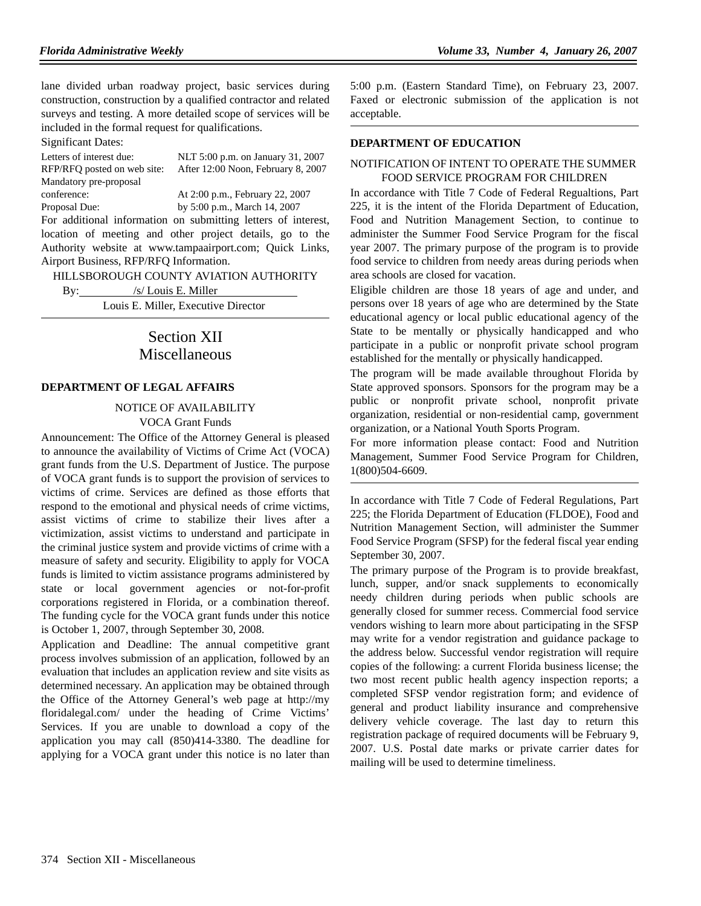lane divided urban roadway project, basic services during construction, construction by a qualified contractor and related surveys and testing. A more detailed scope of services will be included in the formal request for qualifications.

Significant Dates:

| Letters of interest due:    | NLT 5:00 p.m. on January 31, 2007                             |
|-----------------------------|---------------------------------------------------------------|
| RFP/RFQ posted on web site: | After 12:00 Noon, February 8, 2007                            |
| Mandatory pre-proposal      |                                                               |
| conference:                 | At 2:00 p.m., February 22, 2007                               |
| Proposal Due:               | by 5:00 p.m., March 14, 2007                                  |
|                             | For additional information on submitting letters of interest, |
|                             | location of meeting and other project details, go to the      |
|                             |                                                               |

Authority website at www.tampaairport.com; Quick Links, Airport Business, RFP/RFQ Information.

HILLSBOROUGH COUNTY AVIATION AUTHORITY

| By: | /s/ Louis E. Miller                 |
|-----|-------------------------------------|
|     | Louis E. Miller, Executive Director |
|     |                                     |

# Section XII Miscellaneous

#### **DEPARTMENT OF LEGAL AFFAIRS**

#### NOTICE OF AVAILABILITY

VOCA Grant Funds

Announcement: The Office of the Attorney General is pleased to announce the availability of Victims of Crime Act (VOCA) grant funds from the U.S. Department of Justice. The purpose of VOCA grant funds is to support the provision of services to victims of crime. Services are defined as those efforts that respond to the emotional and physical needs of crime victims, assist victims of crime to stabilize their lives after a victimization, assist victims to understand and participate in the criminal justice system and provide victims of crime with a measure of safety and security. Eligibility to apply for VOCA funds is limited to victim assistance programs administered by state or local government agencies or not-for-profit corporations registered in Florida, or a combination thereof. The funding cycle for the VOCA grant funds under this notice is October 1, 2007, through September 30, 2008.

Application and Deadline: The annual competitive grant process involves submission of an application, followed by an evaluation that includes an application review and site visits as determined necessary. An application may be obtained through the Office of the Attorney General's web page at http://my floridalegal.com/ under the heading of Crime Victims' Services. If you are unable to download a copy of the application you may call (850)414-3380. The deadline for applying for a VOCA grant under this notice is no later than

5:00 p.m. (Eastern Standard Time), on February 23, 2007. Faxed or electronic submission of the application is not acceptable.

#### **DEPARTMENT OF EDUCATION**

#### NOTIFICATION OF INTENT TO OPERATE THE SUMMER FOOD SERVICE PROGRAM FOR CHILDREN

In accordance with Title 7 Code of Federal Regualtions, Part 225, it is the intent of the Florida Department of Education, Food and Nutrition Management Section, to continue to administer the Summer Food Service Program for the fiscal year 2007. The primary purpose of the program is to provide food service to children from needy areas during periods when area schools are closed for vacation.

Eligible children are those 18 years of age and under, and persons over 18 years of age who are determined by the State educational agency or local public educational agency of the State to be mentally or physically handicapped and who participate in a public or nonprofit private school program established for the mentally or physically handicapped.

The program will be made available throughout Florida by State approved sponsors. Sponsors for the program may be a public or nonprofit private school, nonprofit private organization, residential or non-residential camp, government organization, or a National Youth Sports Program.

For more information please contact: Food and Nutrition Management, Summer Food Service Program for Children, 1(800)504-6609.

In accordance with Title 7 Code of Federal Regulations, Part 225; the Florida Department of Education (FLDOE), Food and Nutrition Management Section, will administer the Summer Food Service Program (SFSP) for the federal fiscal year ending September 30, 2007.

The primary purpose of the Program is to provide breakfast, lunch, supper, and/or snack supplements to economically needy children during periods when public schools are generally closed for summer recess. Commercial food service vendors wishing to learn more about participating in the SFSP may write for a vendor registration and guidance package to the address below. Successful vendor registration will require copies of the following: a current Florida business license; the two most recent public health agency inspection reports; a completed SFSP vendor registration form; and evidence of general and product liability insurance and comprehensive delivery vehicle coverage. The last day to return this registration package of required documents will be February 9, 2007. U.S. Postal date marks or private carrier dates for mailing will be used to determine timeliness.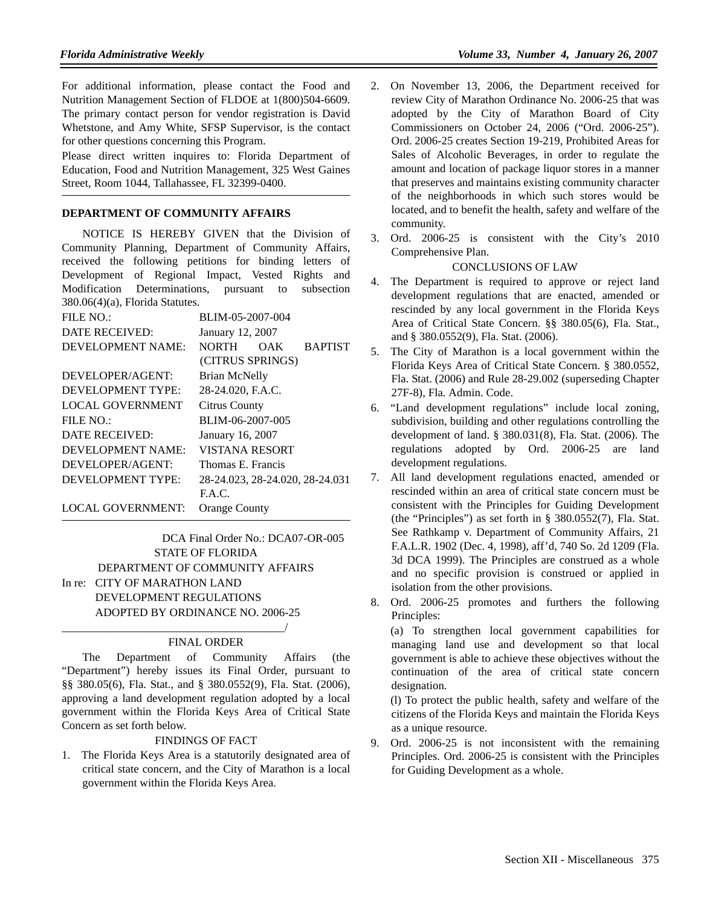For additional information, please contact the Food and Nutrition Management Section of FLDOE at 1(800)504-6609. The primary contact person for vendor registration is David Whetstone, and Amy White, SFSP Supervisor, is the contact for other questions concerning this Program.

Please direct written inquires to: Florida Department of Education, Food and Nutrition Management, 325 West Gaines Street, Room 1044, Tallahassee, FL 32399-0400.

#### **DEPARTMENT OF COMMUNITY AFFAIRS**

NOTICE IS HEREBY GIVEN that the Division of Community Planning, Department of Community Affairs, received the following petitions for binding letters of Development of Regional Impact, Vested Rights and Modification Determinations, pursuant to subsection 380.06(4)(a), Florida Statutes.

| BLIM-05-2007-004                      |  |  |
|---------------------------------------|--|--|
| January 12, 2007                      |  |  |
| <b>BAPTIST</b><br><b>NORTH</b><br>OAK |  |  |
| (CITRUS SPRINGS)                      |  |  |
| <b>Brian McNelly</b>                  |  |  |
| 28-24.020, F.A.C.                     |  |  |
| <b>Citrus County</b>                  |  |  |
| BLIM-06-2007-005                      |  |  |
| January 16, 2007                      |  |  |
| <b>VISTANA RESORT</b>                 |  |  |
| Thomas E. Francis                     |  |  |
| 28-24.023, 28-24.020, 28-24.031       |  |  |
| F.A.C.                                |  |  |
| <b>Orange County</b>                  |  |  |
|                                       |  |  |

DCA Final Order No.: DCA07-OR-005 STATE OF FLORIDA DEPARTMENT OF COMMUNITY AFFAIRS In re: CITY OF MARATHON LAND DEVELOPMENT REGULATIONS ADOPTED BY ORDINANCE NO. 2006-25

\_\_\_\_\_\_\_\_\_\_\_\_\_\_\_\_\_\_\_\_\_\_\_\_\_\_\_\_\_\_\_\_\_\_\_\_\_\_\_/

### FINAL ORDER

The Department of Community Affairs (the "Department") hereby issues its Final Order, pursuant to §§ 380.05(6), Fla. Stat., and § 380.0552(9), Fla. Stat. (2006), approving a land development regulation adopted by a local government within the Florida Keys Area of Critical State Concern as set forth below.

#### FINDINGS OF FACT

1. The Florida Keys Area is a statutorily designated area of critical state concern, and the City of Marathon is a local government within the Florida Keys Area.

- 2. On November 13, 2006, the Department received for review City of Marathon Ordinance No. 2006-25 that was adopted by the City of Marathon Board of City Commissioners on October 24, 2006 ("Ord. 2006-25"). Ord. 2006-25 creates Section 19-219, Prohibited Areas for Sales of Alcoholic Beverages, in order to regulate the amount and location of package liquor stores in a manner that preserves and maintains existing community character of the neighborhoods in which such stores would be located, and to benefit the health, safety and welfare of the community.
- 3. Ord. 2006-25 is consistent with the City's 2010 Comprehensive Plan.

# CONCLUSIONS OF LAW

- 4. The Department is required to approve or reject land development regulations that are enacted, amended or rescinded by any local government in the Florida Keys Area of Critical State Concern. §§ 380.05(6), Fla. Stat., and § 380.0552(9), Fla. Stat. (2006).
- 5. The City of Marathon is a local government within the Florida Keys Area of Critical State Concern. § 380.0552, Fla. Stat. (2006) and Rule 28-29.002 (superseding Chapter 27F-8), Fla. Admin. Code.
- 6. "Land development regulations" include local zoning, subdivision, building and other regulations controlling the development of land. § 380.031(8), Fla. Stat. (2006). The regulations adopted by Ord. 2006-25 are land development regulations.
- 7. All land development regulations enacted, amended or rescinded within an area of critical state concern must be consistent with the Principles for Guiding Development (the "Principles") as set forth in § 380.0552(7), Fla. Stat. See Rathkamp v. Department of Community Affairs, 21 F.A.L.R. 1902 (Dec. 4, 1998), aff'd, 740 So. 2d 1209 (Fla. 3d DCA 1999). The Principles are construed as a whole and no specific provision is construed or applied in isolation from the other provisions.
- 8. Ord. 2006-25 promotes and furthers the following Principles:

(a) To strengthen local government capabilities for managing land use and development so that local government is able to achieve these objectives without the continuation of the area of critical state concern designation.

(l) To protect the public health, safety and welfare of the citizens of the Florida Keys and maintain the Florida Keys as a unique resource.

9. Ord. 2006-25 is not inconsistent with the remaining Principles. Ord. 2006-25 is consistent with the Principles for Guiding Development as a whole.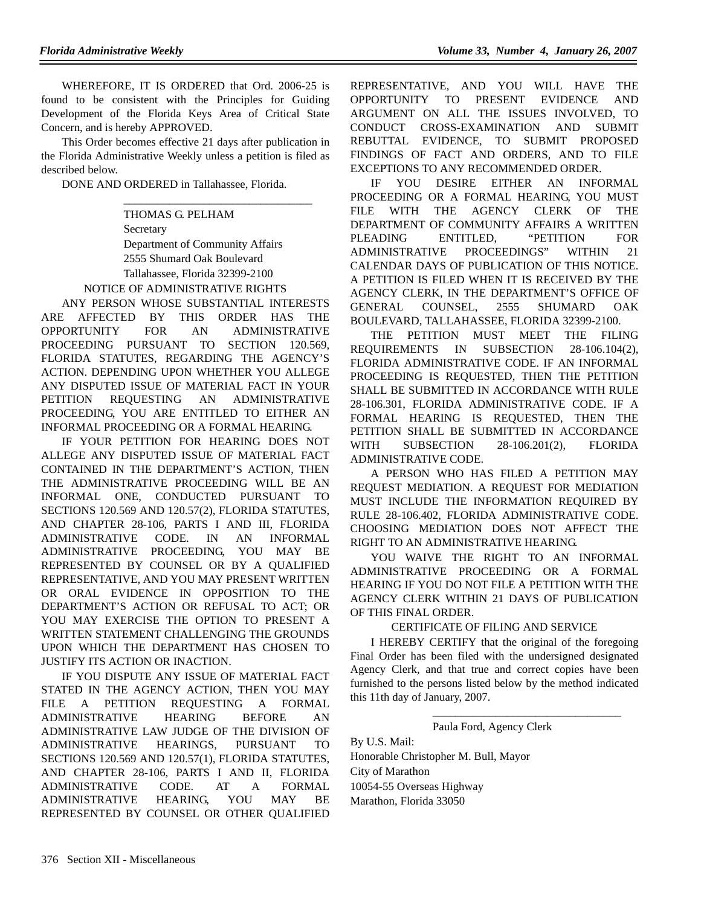WHEREFORE, IT IS ORDERED that Ord. 2006-25 is found to be consistent with the Principles for Guiding Development of the Florida Keys Area of Critical State Concern, and is hereby APPROVED.

This Order becomes effective 21 days after publication in the Florida Administrative Weekly unless a petition is filed as described below.

DONE AND ORDERED in Tallahassee, Florida.

#### THOMAS G. PELHAM

Secretary Department of Community Affairs 2555 Shumard Oak Boulevard Tallahassee, Florida 32399-2100 NOTICE OF ADMINISTRATIVE RIGHTS

\_\_\_\_\_\_\_\_\_\_\_\_\_\_\_\_\_\_\_\_\_\_\_\_\_\_\_\_\_\_\_\_\_

ANY PERSON WHOSE SUBSTANTIAL INTERESTS ARE AFFECTED BY THIS ORDER HAS THE OPPORTUNITY FOR AN ADMINISTRATIVE PROCEEDING PURSUANT TO SECTION 120.569, FLORIDA STATUTES, REGARDING THE AGENCY'S ACTION. DEPENDING UPON WHETHER YOU ALLEGE ANY DISPUTED ISSUE OF MATERIAL FACT IN YOUR PETITION REQUESTING AN ADMINISTRATIVE PROCEEDING, YOU ARE ENTITLED TO EITHER AN INFORMAL PROCEEDING OR A FORMAL HEARING.

IF YOUR PETITION FOR HEARING DOES NOT ALLEGE ANY DISPUTED ISSUE OF MATERIAL FACT CONTAINED IN THE DEPARTMENT'S ACTION, THEN THE ADMINISTRATIVE PROCEEDING WILL BE AN INFORMAL ONE, CONDUCTED PURSUANT TO SECTIONS 120.569 AND 120.57(2), FLORIDA STATUTES, AND CHAPTER 28-106, PARTS I AND III, FLORIDA ADMINISTRATIVE CODE. IN AN INFORMAL ADMINISTRATIVE PROCEEDING, YOU MAY BE REPRESENTED BY COUNSEL OR BY A QUALIFIED REPRESENTATIVE, AND YOU MAY PRESENT WRITTEN OR ORAL EVIDENCE IN OPPOSITION TO THE DEPARTMENT'S ACTION OR REFUSAL TO ACT; OR YOU MAY EXERCISE THE OPTION TO PRESENT A WRITTEN STATEMENT CHALLENGING THE GROUNDS UPON WHICH THE DEPARTMENT HAS CHOSEN TO JUSTIFY ITS ACTION OR INACTION.

IF YOU DISPUTE ANY ISSUE OF MATERIAL FACT STATED IN THE AGENCY ACTION, THEN YOU MAY FILE A PETITION REQUESTING A FORMAL ADMINISTRATIVE HEARING BEFORE AN ADMINISTRATIVE LAW JUDGE OF THE DIVISION OF ADMINISTRATIVE HEARINGS, PURSUANT TO SECTIONS 120.569 AND 120.57(1), FLORIDA STATUTES, AND CHAPTER 28-106, PARTS I AND II, FLORIDA ADMINISTRATIVE CODE. AT A FORMAL ADMINISTRATIVE HEARING, YOU MAY BE REPRESENTED BY COUNSEL OR OTHER QUALIFIED

REPRESENTATIVE, AND YOU WILL HAVE THE OPPORTUNITY TO PRESENT EVIDENCE AND ARGUMENT ON ALL THE ISSUES INVOLVED, TO CONDUCT CROSS-EXAMINATION AND SUBMIT REBUTTAL EVIDENCE, TO SUBMIT PROPOSED FINDINGS OF FACT AND ORDERS, AND TO FILE EXCEPTIONS TO ANY RECOMMENDED ORDER.

IF YOU DESIRE EITHER AN INFORMAL PROCEEDING OR A FORMAL HEARING, YOU MUST FILE WITH THE AGENCY CLERK OF THE DEPARTMENT OF COMMUNITY AFFAIRS A WRITTEN PLEADING ENTITLED, "PETITION FOR ADMINISTRATIVE PROCEEDINGS" WITHIN 21 CALENDAR DAYS OF PUBLICATION OF THIS NOTICE. A PETITION IS FILED WHEN IT IS RECEIVED BY THE AGENCY CLERK, IN THE DEPARTMENT'S OFFICE OF GENERAL COUNSEL, 2555 SHUMARD OAK BOULEVARD, TALLAHASSEE, FLORIDA 32399-2100.

THE PETITION MUST MEET THE FILING REQUIREMENTS IN SUBSECTION 28-106.104(2), FLORIDA ADMINISTRATIVE CODE. IF AN INFORMAL PROCEEDING IS REQUESTED, THEN THE PETITION SHALL BE SUBMITTED IN ACCORDANCE WITH RULE 28-106.301, FLORIDA ADMINISTRATIVE CODE. IF A FORMAL HEARING IS REQUESTED, THEN THE PETITION SHALL BE SUBMITTED IN ACCORDANCE WITH SUBSECTION 28-106.201(2), FLORIDA ADMINISTRATIVE CODE.

A PERSON WHO HAS FILED A PETITION MAY REQUEST MEDIATION. A REQUEST FOR MEDIATION MUST INCLUDE THE INFORMATION REQUIRED BY RULE 28-106.402, FLORIDA ADMINISTRATIVE CODE. CHOOSING MEDIATION DOES NOT AFFECT THE RIGHT TO AN ADMINISTRATIVE HEARING.

YOU WAIVE THE RIGHT TO AN INFORMAL ADMINISTRATIVE PROCEEDING OR A FORMAL HEARING IF YOU DO NOT FILE A PETITION WITH THE AGENCY CLERK WITHIN 21 DAYS OF PUBLICATION OF THIS FINAL ORDER.

### CERTIFICATE OF FILING AND SERVICE

I HEREBY CERTIFY that the original of the foregoing Final Order has been filed with the undersigned designated Agency Clerk, and that true and correct copies have been furnished to the persons listed below by the method indicated this 11th day of January, 2007.

#### Paula Ford, Agency Clerk

\_\_\_\_\_\_\_\_\_\_\_\_\_\_\_\_\_\_\_\_\_\_\_\_\_\_\_\_\_\_\_\_\_

By U.S. Mail: Honorable Christopher M. Bull, Mayor City of Marathon 10054-55 Overseas Highway Marathon, Florida 33050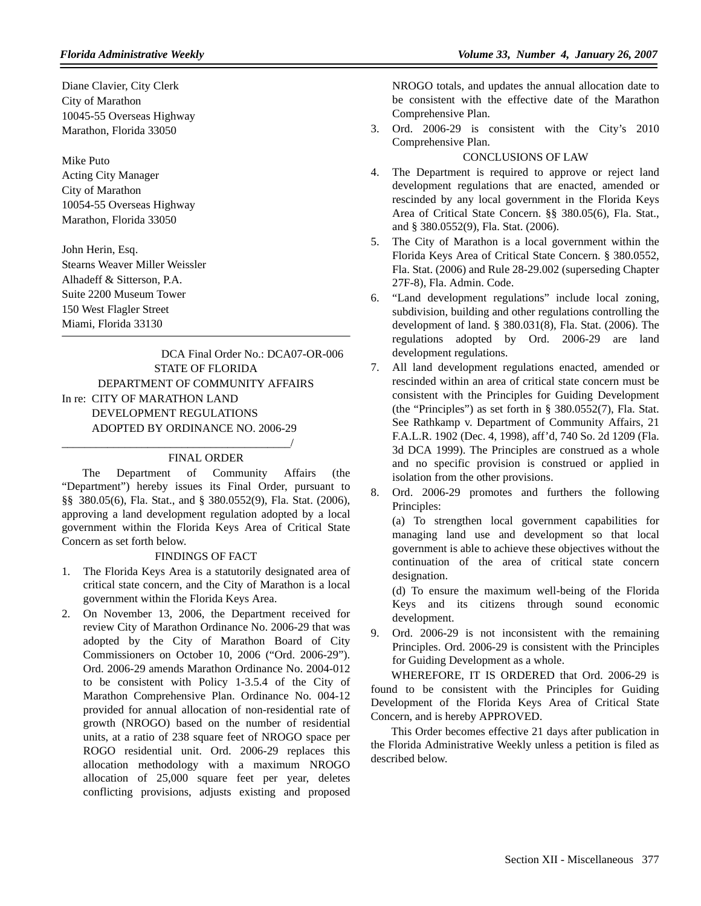Diane Clavier, City Clerk City of Marathon 10045-55 Overseas Highway Marathon, Florida 33050

Mike Puto Acting City Manager City of Marathon 10054-55 Overseas Highway Marathon, Florida 33050

John Herin, Esq. Stearns Weaver Miller Weissler Alhadeff & Sitterson, P.A. Suite 2200 Museum Tower 150 West Flagler Street Miami, Florida 33130

DCA Final Order No.: DCA07-OR-006 STATE OF FLORIDA DEPARTMENT OF COMMUNITY AFFAIRS In re: CITY OF MARATHON LAND DEVELOPMENT REGULATIONS ADOPTED BY ORDINANCE NO. 2006-29

#### FINAL ORDER

\_\_\_\_\_\_\_\_\_\_\_\_\_\_\_\_\_\_\_\_\_\_\_\_\_\_\_\_\_\_\_\_\_\_\_\_\_\_\_\_/

The Department of Community Affairs (the "Department") hereby issues its Final Order, pursuant to §§ 380.05(6), Fla. Stat., and § 380.0552(9), Fla. Stat. (2006), approving a land development regulation adopted by a local government within the Florida Keys Area of Critical State Concern as set forth below.

### FINDINGS OF FACT

- 1. The Florida Keys Area is a statutorily designated area of critical state concern, and the City of Marathon is a local government within the Florida Keys Area.
- 2. On November 13, 2006, the Department received for review City of Marathon Ordinance No. 2006-29 that was adopted by the City of Marathon Board of City Commissioners on October 10, 2006 ("Ord. 2006-29"). Ord. 2006-29 amends Marathon Ordinance No. 2004-012 to be consistent with Policy 1-3.5.4 of the City of Marathon Comprehensive Plan. Ordinance No. 004-12 provided for annual allocation of non-residential rate of growth (NROGO) based on the number of residential units, at a ratio of 238 square feet of NROGO space per ROGO residential unit. Ord. 2006-29 replaces this allocation methodology with a maximum NROGO allocation of 25,000 square feet per year, deletes conflicting provisions, adjusts existing and proposed

NROGO totals, and updates the annual allocation date to be consistent with the effective date of the Marathon Comprehensive Plan.

3. Ord. 2006-29 is consistent with the City's 2010 Comprehensive Plan.

# CONCLUSIONS OF LAW

- 4. The Department is required to approve or reject land development regulations that are enacted, amended or rescinded by any local government in the Florida Keys Area of Critical State Concern. §§ 380.05(6), Fla. Stat., and § 380.0552(9), Fla. Stat. (2006).
- 5. The City of Marathon is a local government within the Florida Keys Area of Critical State Concern. § 380.0552, Fla. Stat. (2006) and Rule 28-29.002 (superseding Chapter 27F-8), Fla. Admin. Code.
- 6. "Land development regulations" include local zoning, subdivision, building and other regulations controlling the development of land. § 380.031(8), Fla. Stat. (2006). The regulations adopted by Ord. 2006-29 are land development regulations.
- 7. All land development regulations enacted, amended or rescinded within an area of critical state concern must be consistent with the Principles for Guiding Development (the "Principles") as set forth in § 380.0552(7), Fla. Stat. See Rathkamp v. Department of Community Affairs, 21 F.A.L.R. 1902 (Dec. 4, 1998), aff'd, 740 So. 2d 1209 (Fla. 3d DCA 1999). The Principles are construed as a whole and no specific provision is construed or applied in isolation from the other provisions.
- 8. Ord. 2006-29 promotes and furthers the following Principles:

(a) To strengthen local government capabilities for managing land use and development so that local government is able to achieve these objectives without the continuation of the area of critical state concern designation.

(d) To ensure the maximum well-being of the Florida Keys and its citizens through sound economic development.

9. Ord. 2006-29 is not inconsistent with the remaining Principles. Ord. 2006-29 is consistent with the Principles for Guiding Development as a whole.

WHEREFORE, IT IS ORDERED that Ord. 2006-29 is found to be consistent with the Principles for Guiding Development of the Florida Keys Area of Critical State Concern, and is hereby APPROVED.

This Order becomes effective 21 days after publication in the Florida Administrative Weekly unless a petition is filed as described below.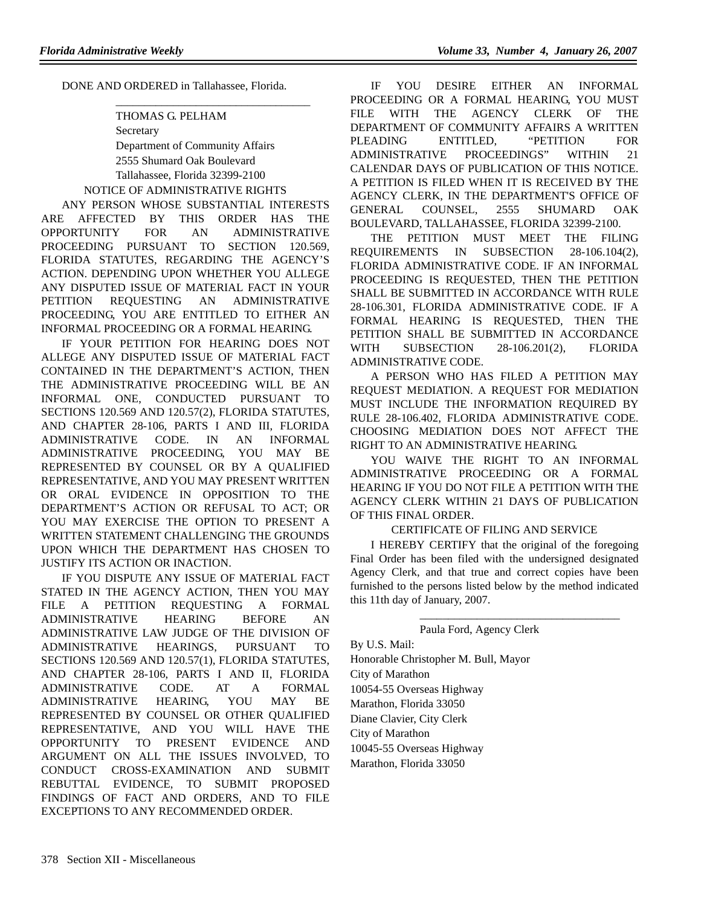DONE AND ORDERED in Tallahassee, Florida.

# THOMAS G. PELHAM

Secretary Department of Community Affairs 2555 Shumard Oak Boulevard Tallahassee, Florida 32399-2100 NOTICE OF ADMINISTRATIVE RIGHTS

\_\_\_\_\_\_\_\_\_\_\_\_\_\_\_\_\_\_\_\_\_\_\_\_\_\_\_\_\_\_\_\_\_\_

ANY PERSON WHOSE SUBSTANTIAL INTERESTS ARE AFFECTED BY THIS ORDER HAS THE OPPORTUNITY FOR AN ADMINISTRATIVE PROCEEDING PURSUANT TO SECTION 120.569, FLORIDA STATUTES, REGARDING THE AGENCY'S ACTION. DEPENDING UPON WHETHER YOU ALLEGE ANY DISPUTED ISSUE OF MATERIAL FACT IN YOUR PETITION REQUESTING AN ADMINISTRATIVE PROCEEDING, YOU ARE ENTITLED TO EITHER AN INFORMAL PROCEEDING OR A FORMAL HEARING.

IF YOUR PETITION FOR HEARING DOES NOT ALLEGE ANY DISPUTED ISSUE OF MATERIAL FACT CONTAINED IN THE DEPARTMENT'S ACTION, THEN THE ADMINISTRATIVE PROCEEDING WILL BE AN INFORMAL ONE, CONDUCTED PURSUANT TO SECTIONS 120.569 AND 120.57(2), FLORIDA STATUTES, AND CHAPTER 28-106, PARTS I AND III, FLORIDA ADMINISTRATIVE CODE. IN AN INFORMAL ADMINISTRATIVE PROCEEDING, YOU MAY BE REPRESENTED BY COUNSEL OR BY A QUALIFIED REPRESENTATIVE, AND YOU MAY PRESENT WRITTEN OR ORAL EVIDENCE IN OPPOSITION TO THE DEPARTMENT'S ACTION OR REFUSAL TO ACT; OR YOU MAY EXERCISE THE OPTION TO PRESENT A WRITTEN STATEMENT CHALLENGING THE GROUNDS UPON WHICH THE DEPARTMENT HAS CHOSEN TO JUSTIFY ITS ACTION OR INACTION.

IF YOU DISPUTE ANY ISSUE OF MATERIAL FACT STATED IN THE AGENCY ACTION, THEN YOU MAY FILE A PETITION REQUESTING A FORMAL ADMINISTRATIVE HEARING BEFORE AN ADMINISTRATIVE LAW JUDGE OF THE DIVISION OF ADMINISTRATIVE HEARINGS, PURSUANT TO SECTIONS 120.569 AND 120.57(1), FLORIDA STATUTES, AND CHAPTER 28-106, PARTS I AND II, FLORIDA ADMINISTRATIVE CODE. AT A FORMAL ADMINISTRATIVE HEARING, YOU MAY BE REPRESENTED BY COUNSEL OR OTHER QUALIFIED REPRESENTATIVE, AND YOU WILL HAVE THE OPPORTUNITY TO PRESENT EVIDENCE AND ARGUMENT ON ALL THE ISSUES INVOLVED, TO CONDUCT CROSS-EXAMINATION AND SUBMIT REBUTTAL EVIDENCE, TO SUBMIT PROPOSED FINDINGS OF FACT AND ORDERS, AND TO FILE EXCEPTIONS TO ANY RECOMMENDED ORDER.

IF YOU DESIRE EITHER AN INFORMAL PROCEEDING OR A FORMAL HEARING, YOU MUST FILE WITH THE AGENCY CLERK OF THE DEPARTMENT OF COMMUNITY AFFAIRS A WRITTEN PLEADING ENTITLED, "PETITION FOR ADMINISTRATIVE PROCEEDINGS" WITHIN 21 CALENDAR DAYS OF PUBLICATION OF THIS NOTICE. A PETITION IS FILED WHEN IT IS RECEIVED BY THE AGENCY CLERK, IN THE DEPARTMENT'S OFFICE OF GENERAL COUNSEL, 2555 SHUMARD OAK BOULEVARD, TALLAHASSEE, FLORIDA 32399-2100.

THE PETITION MUST MEET THE FILING REQUIREMENTS IN SUBSECTION 28-106.104(2), FLORIDA ADMINISTRATIVE CODE. IF AN INFORMAL PROCEEDING IS REQUESTED, THEN THE PETITION SHALL BE SUBMITTED IN ACCORDANCE WITH RULE 28-106.301, FLORIDA ADMINISTRATIVE CODE. IF A FORMAL HEARING IS REQUESTED, THEN THE PETITION SHALL BE SUBMITTED IN ACCORDANCE WITH SUBSECTION 28-106.201(2), FLORIDA ADMINISTRATIVE CODE.

A PERSON WHO HAS FILED A PETITION MAY REQUEST MEDIATION. A REQUEST FOR MEDIATION MUST INCLUDE THE INFORMATION REQUIRED BY RULE 28-106.402, FLORIDA ADMINISTRATIVE CODE. CHOOSING MEDIATION DOES NOT AFFECT THE RIGHT TO AN ADMINISTRATIVE HEARING.

YOU WAIVE THE RIGHT TO AN INFORMAL ADMINISTRATIVE PROCEEDING OR A FORMAL HEARING IF YOU DO NOT FILE A PETITION WITH THE AGENCY CLERK WITHIN 21 DAYS OF PUBLICATION OF THIS FINAL ORDER.

### CERTIFICATE OF FILING AND SERVICE

I HEREBY CERTIFY that the original of the foregoing Final Order has been filed with the undersigned designated Agency Clerk, and that true and correct copies have been furnished to the persons listed below by the method indicated this 11th day of January, 2007.

\_\_\_\_\_\_\_\_\_\_\_\_\_\_\_\_\_\_\_\_\_\_\_\_\_\_\_\_\_\_\_\_\_\_\_

#### Paula Ford, Agency Clerk

By U.S. Mail: Honorable Christopher M. Bull, Mayor City of Marathon 10054-55 Overseas Highway Marathon, Florida 33050 Diane Clavier, City Clerk City of Marathon 10045-55 Overseas Highway Marathon, Florida 33050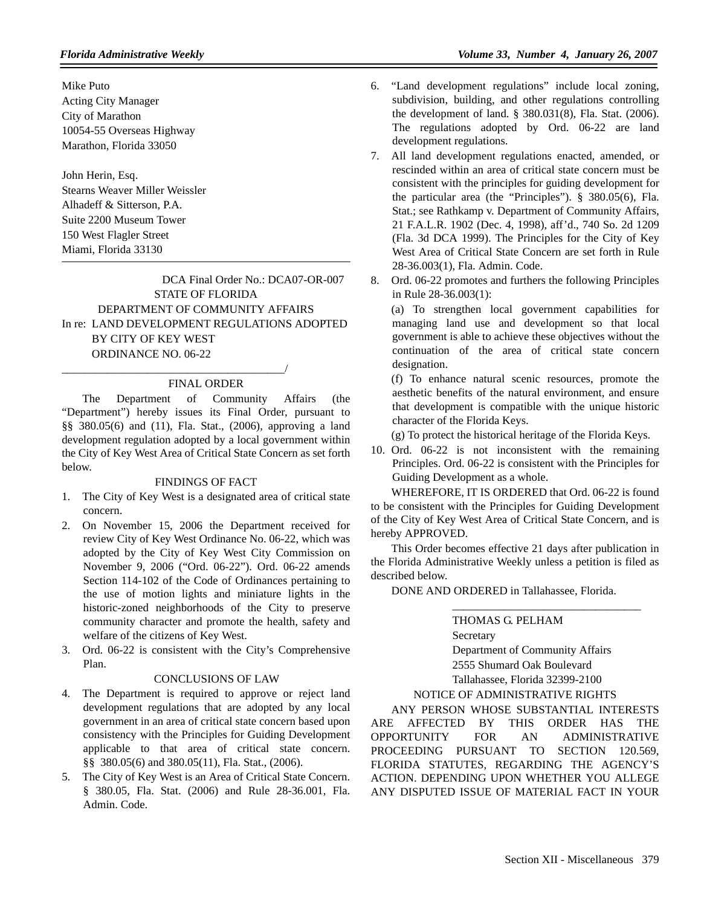Mike Puto Acting City Manager City of Marathon 10054-55 Overseas Highway Marathon, Florida 33050

John Herin, Esq. Stearns Weaver Miller Weissler Alhadeff & Sitterson, P.A. Suite 2200 Museum Tower 150 West Flagler Street Miami, Florida 33130

DCA Final Order No.: DCA07-OR-007 STATE OF FLORIDA DEPARTMENT OF COMMUNITY AFFAIRS In re: LAND DEVELOPMENT REGULATIONS ADOPTED BY CITY OF KEY WEST ORDINANCE NO. 06-22

### FINAL ORDER

\_\_\_\_\_\_\_\_\_\_\_\_\_\_\_\_\_\_\_\_\_\_\_\_\_\_\_\_\_\_\_\_\_\_\_\_\_\_\_/

The Department of Community Affairs (the "Department") hereby issues its Final Order, pursuant to §§ 380.05(6) and (11), Fla. Stat., (2006), approving a land development regulation adopted by a local government within the City of Key West Area of Critical State Concern as set forth below.

#### FINDINGS OF FACT

- 1. The City of Key West is a designated area of critical state concern.
- 2. On November 15, 2006 the Department received for review City of Key West Ordinance No. 06-22, which was adopted by the City of Key West City Commission on November 9, 2006 ("Ord. 06-22"). Ord. 06-22 amends Section 114-102 of the Code of Ordinances pertaining to the use of motion lights and miniature lights in the historic-zoned neighborhoods of the City to preserve community character and promote the health, safety and welfare of the citizens of Key West.
- 3. Ord. 06-22 is consistent with the City's Comprehensive Plan.

#### CONCLUSIONS OF LAW

- 4. The Department is required to approve or reject land development regulations that are adopted by any local government in an area of critical state concern based upon consistency with the Principles for Guiding Development applicable to that area of critical state concern. §§ 380.05(6) and 380.05(11), Fla. Stat., (2006).
- 5. The City of Key West is an Area of Critical State Concern. § 380.05, Fla. Stat. (2006) and Rule 28-36.001, Fla. Admin. Code.
- 6. "Land development regulations" include local zoning, subdivision, building, and other regulations controlling the development of land. § 380.031(8), Fla. Stat. (2006). The regulations adopted by Ord. 06-22 are land development regulations.
- 7. All land development regulations enacted, amended, or rescinded within an area of critical state concern must be consistent with the principles for guiding development for the particular area (the "Principles"). § 380.05(6), Fla. Stat.; see Rathkamp v. Department of Community Affairs, 21 F.A.L.R. 1902 (Dec. 4, 1998), aff'd., 740 So. 2d 1209 (Fla. 3d DCA 1999). The Principles for the City of Key West Area of Critical State Concern are set forth in Rule 28-36.003(1), Fla. Admin. Code.
- 8. Ord. 06-22 promotes and furthers the following Principles in Rule 28-36.003(1):

(a) To strengthen local government capabilities for managing land use and development so that local government is able to achieve these objectives without the continuation of the area of critical state concern designation.

(f) To enhance natural scenic resources, promote the aesthetic benefits of the natural environment, and ensure that development is compatible with the unique historic character of the Florida Keys.

(g) To protect the historical heritage of the Florida Keys.

10. Ord. 06-22 is not inconsistent with the remaining Principles. Ord. 06-22 is consistent with the Principles for Guiding Development as a whole.

WHEREFORE, IT IS ORDERED that Ord. 06-22 is found to be consistent with the Principles for Guiding Development of the City of Key West Area of Critical State Concern, and is hereby APPROVED.

This Order becomes effective 21 days after publication in the Florida Administrative Weekly unless a petition is filed as described below.

DONE AND ORDERED in Tallahassee, Florida.

THOMAS G. PELHAM Secretary Department of Community Affairs 2555 Shumard Oak Boulevard Tallahassee, Florida 32399-2100

\_\_\_\_\_\_\_\_\_\_\_\_\_\_\_\_\_\_\_\_\_\_\_\_\_\_\_\_\_\_\_\_\_

### NOTICE OF ADMINISTRATIVE RIGHTS

ANY PERSON WHOSE SUBSTANTIAL INTERESTS ARE AFFECTED BY THIS ORDER HAS THE OPPORTUNITY FOR AN ADMINISTRATIVE PROCEEDING PURSUANT TO SECTION 120.569, FLORIDA STATUTES, REGARDING THE AGENCY'S ACTION. DEPENDING UPON WHETHER YOU ALLEGE ANY DISPUTED ISSUE OF MATERIAL FACT IN YOUR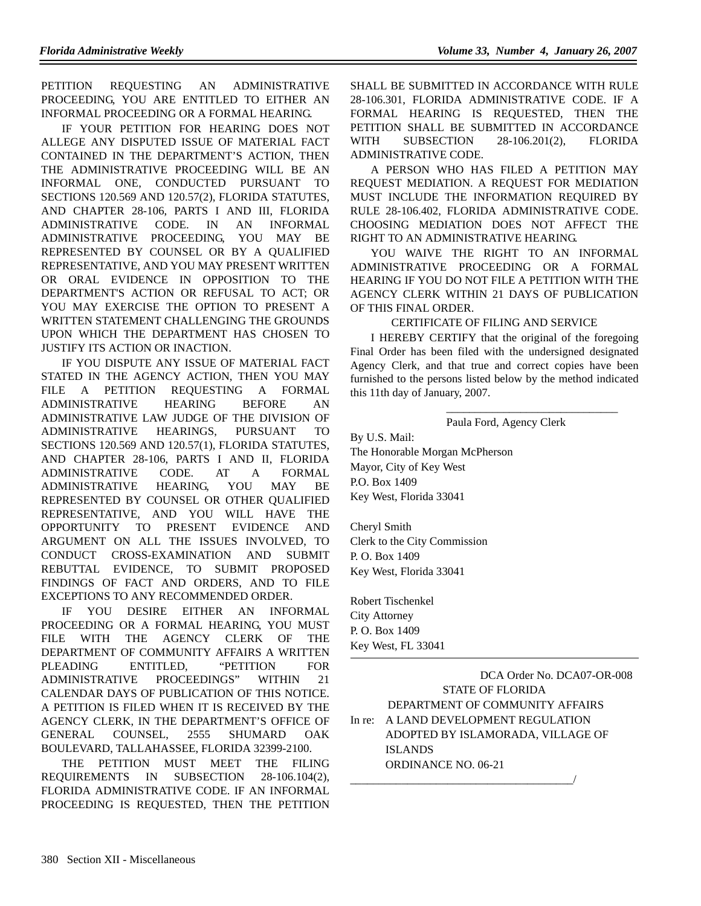PETITION REQUESTING AN ADMINISTRATIVE PROCEEDING, YOU ARE ENTITLED TO EITHER AN INFORMAL PROCEEDING OR A FORMAL HEARING.

IF YOUR PETITION FOR HEARING DOES NOT ALLEGE ANY DISPUTED ISSUE OF MATERIAL FACT CONTAINED IN THE DEPARTMENT'S ACTION, THEN THE ADMINISTRATIVE PROCEEDING WILL BE AN INFORMAL ONE, CONDUCTED PURSUANT TO SECTIONS 120.569 AND 120.57(2), FLORIDA STATUTES, AND CHAPTER 28-106, PARTS I AND III, FLORIDA ADMINISTRATIVE CODE. IN AN INFORMAL ADMINISTRATIVE PROCEEDING, YOU MAY BE REPRESENTED BY COUNSEL OR BY A QUALIFIED REPRESENTATIVE, AND YOU MAY PRESENT WRITTEN OR ORAL EVIDENCE IN OPPOSITION TO THE DEPARTMENT'S ACTION OR REFUSAL TO ACT; OR YOU MAY EXERCISE THE OPTION TO PRESENT A WRITTEN STATEMENT CHALLENGING THE GROUNDS UPON WHICH THE DEPARTMENT HAS CHOSEN TO JUSTIFY ITS ACTION OR INACTION.

IF YOU DISPUTE ANY ISSUE OF MATERIAL FACT STATED IN THE AGENCY ACTION, THEN YOU MAY FILE A PETITION REQUESTING A FORMAL ADMINISTRATIVE HEARING BEFORE AN ADMINISTRATIVE LAW JUDGE OF THE DIVISION OF ADMINISTRATIVE HEARINGS, PURSUANT TO SECTIONS 120.569 AND 120.57(1), FLORIDA STATUTES, AND CHAPTER 28-106, PARTS I AND II, FLORIDA ADMINISTRATIVE CODE. AT A FORMAL ADMINISTRATIVE HEARING, YOU MAY BE REPRESENTED BY COUNSEL OR OTHER QUALIFIED REPRESENTATIVE, AND YOU WILL HAVE THE OPPORTUNITY TO PRESENT EVIDENCE AND ARGUMENT ON ALL THE ISSUES INVOLVED, TO CONDUCT CROSS-EXAMINATION AND SUBMIT REBUTTAL EVIDENCE, TO SUBMIT PROPOSED FINDINGS OF FACT AND ORDERS, AND TO FILE EXCEPTIONS TO ANY RECOMMENDED ORDER.

IF YOU DESIRE EITHER AN INFORMAL PROCEEDING OR A FORMAL HEARING, YOU MUST FILE WITH THE AGENCY CLERK OF THE DEPARTMENT OF COMMUNITY AFFAIRS A WRITTEN PLEADING ENTITLED, "PETITION FOR ADMINISTRATIVE PROCEEDINGS" WITHIN 21 CALENDAR DAYS OF PUBLICATION OF THIS NOTICE. A PETITION IS FILED WHEN IT IS RECEIVED BY THE AGENCY CLERK, IN THE DEPARTMENT'S OFFICE OF GENERAL COUNSEL, 2555 SHUMARD OAK BOULEVARD, TALLAHASSEE, FLORIDA 32399-2100.

THE PETITION MUST MEET THE FILING REQUIREMENTS IN SUBSECTION 28-106.104(2), FLORIDA ADMINISTRATIVE CODE. IF AN INFORMAL PROCEEDING IS REQUESTED, THEN THE PETITION

SHALL BE SUBMITTED IN ACCORDANCE WITH RULE 28-106.301, FLORIDA ADMINISTRATIVE CODE. IF A FORMAL HEARING IS REQUESTED, THEN THE PETITION SHALL BE SUBMITTED IN ACCORDANCE WITH SUBSECTION 28-106.201(2), FLORIDA ADMINISTRATIVE CODE.

A PERSON WHO HAS FILED A PETITION MAY REQUEST MEDIATION. A REQUEST FOR MEDIATION MUST INCLUDE THE INFORMATION REQUIRED BY RULE 28-106.402, FLORIDA ADMINISTRATIVE CODE. CHOOSING MEDIATION DOES NOT AFFECT THE RIGHT TO AN ADMINISTRATIVE HEARING.

YOU WAIVE THE RIGHT TO AN INFORMAL ADMINISTRATIVE PROCEEDING OR A FORMAL HEARING IF YOU DO NOT FILE A PETITION WITH THE AGENCY CLERK WITHIN 21 DAYS OF PUBLICATION OF THIS FINAL ORDER.

#### CERTIFICATE OF FILING AND SERVICE

I HEREBY CERTIFY that the original of the foregoing Final Order has been filed with the undersigned designated Agency Clerk, and that true and correct copies have been furnished to the persons listed below by the method indicated this 11th day of January, 2007.

Paula Ford, Agency Clerk

\_\_\_\_\_\_\_\_\_\_\_\_\_\_\_\_\_\_\_\_\_\_\_\_\_\_\_\_\_\_

By U.S. Mail: The Honorable Morgan McPherson Mayor, City of Key West P.O. Box 1409 Key West, Florida 33041

Cheryl Smith Clerk to the City Commission P. O. Box 1409 Key West, Florida 33041

Robert Tischenkel City Attorney P. O. Box 1409 Key West, FL 33041

DCA Order No. DCA07-OR-008 STATE OF FLORIDA DEPARTMENT OF COMMUNITY AFFAIRS In re: A LAND DEVELOPMENT REGULATION ADOPTED BY ISLAMORADA, VILLAGE OF ISLANDS ORDINANCE NO. 06-21 \_\_\_\_\_\_\_\_\_\_\_\_\_\_\_\_\_\_\_\_\_\_\_\_\_\_\_\_\_\_\_\_\_\_\_\_\_\_\_/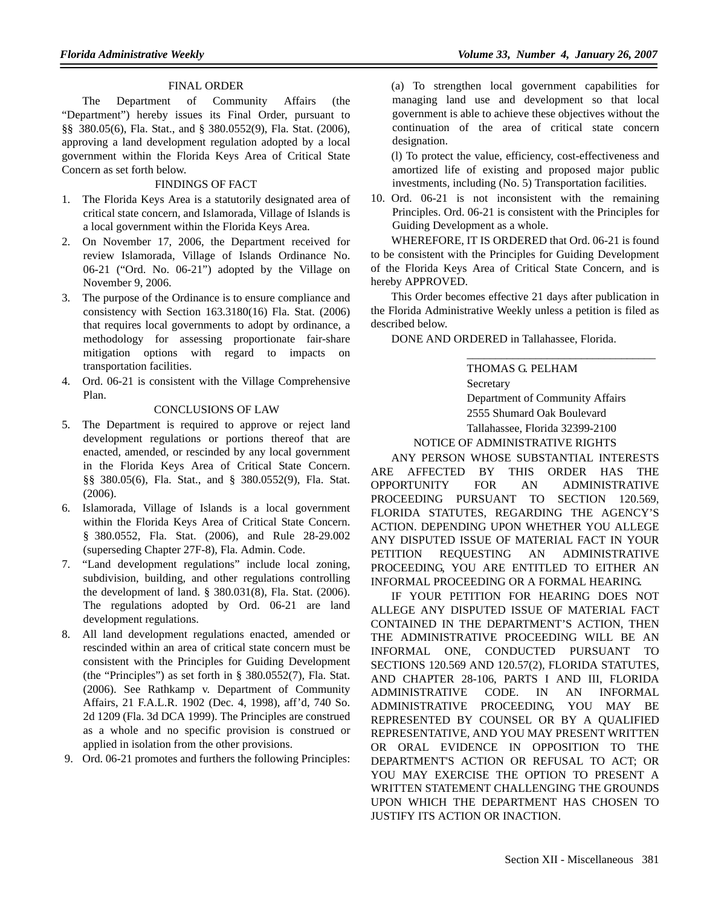# FINAL ORDER

The Department of Community Affairs (the "Department") hereby issues its Final Order, pursuant to §§ 380.05(6), Fla. Stat., and § 380.0552(9), Fla. Stat. (2006), approving a land development regulation adopted by a local government within the Florida Keys Area of Critical State Concern as set forth below.

#### FINDINGS OF FACT

- 1. The Florida Keys Area is a statutorily designated area of critical state concern, and Islamorada, Village of Islands is a local government within the Florida Keys Area.
- 2. On November 17, 2006, the Department received for review Islamorada, Village of Islands Ordinance No. 06-21 ("Ord. No. 06-21") adopted by the Village on November 9, 2006.
- 3. The purpose of the Ordinance is to ensure compliance and consistency with Section 163.3180(16) Fla. Stat. (2006) that requires local governments to adopt by ordinance, a methodology for assessing proportionate fair-share mitigation options with regard to impacts on transportation facilities.
- 4. Ord. 06-21 is consistent with the Village Comprehensive Plan.

#### CONCLUSIONS OF LAW

- 5. The Department is required to approve or reject land development regulations or portions thereof that are enacted, amended, or rescinded by any local government in the Florida Keys Area of Critical State Concern. §§ 380.05(6), Fla. Stat., and § 380.0552(9), Fla. Stat. (2006).
- 6. Islamorada, Village of Islands is a local government within the Florida Keys Area of Critical State Concern. § 380.0552, Fla. Stat. (2006), and Rule 28-29.002 (superseding Chapter 27F-8), Fla. Admin. Code.
- 7. "Land development regulations" include local zoning, subdivision, building, and other regulations controlling the development of land. § 380.031(8), Fla. Stat. (2006). The regulations adopted by Ord. 06-21 are land development regulations.
- 8. All land development regulations enacted, amended or rescinded within an area of critical state concern must be consistent with the Principles for Guiding Development (the "Principles") as set forth in § 380.0552(7), Fla. Stat. (2006). See Rathkamp v. Department of Community Affairs, 21 F.A.L.R. 1902 (Dec. 4, 1998), aff'd, 740 So. 2d 1209 (Fla. 3d DCA 1999). The Principles are construed as a whole and no specific provision is construed or applied in isolation from the other provisions.
- 9. Ord. 06-21 promotes and furthers the following Principles:

(a) To strengthen local government capabilities for managing land use and development so that local government is able to achieve these objectives without the continuation of the area of critical state concern designation.

(l) To protect the value, efficiency, cost-effectiveness and amortized life of existing and proposed major public investments, including (No. 5) Transportation facilities.

10. Ord. 06-21 is not inconsistent with the remaining Principles. Ord. 06-21 is consistent with the Principles for Guiding Development as a whole.

WHEREFORE, IT IS ORDERED that Ord. 06-21 is found to be consistent with the Principles for Guiding Development of the Florida Keys Area of Critical State Concern, and is hereby APPROVED.

This Order becomes effective 21 days after publication in the Florida Administrative Weekly unless a petition is filed as described below.

DONE AND ORDERED in Tallahassee, Florida.

THOMAS G. PELHAM Secretary Department of Community Affairs 2555 Shumard Oak Boulevard

\_\_\_\_\_\_\_\_\_\_\_\_\_\_\_\_\_\_\_\_\_\_\_\_\_\_\_\_\_\_\_\_\_

Tallahassee, Florida 32399-2100 NOTICE OF ADMINISTRATIVE RIGHTS

ANY PERSON WHOSE SUBSTANTIAL INTERESTS ARE AFFECTED BY THIS ORDER HAS THE OPPORTUNITY FOR AN ADMINISTRATIVE PROCEEDING PURSUANT TO SECTION 120.569, FLORIDA STATUTES, REGARDING THE AGENCY'S ACTION. DEPENDING UPON WHETHER YOU ALLEGE ANY DISPUTED ISSUE OF MATERIAL FACT IN YOUR PETITION REQUESTING AN ADMINISTRATIVE PROCEEDING, YOU ARE ENTITLED TO EITHER AN INFORMAL PROCEEDING OR A FORMAL HEARING.

IF YOUR PETITION FOR HEARING DOES NOT ALLEGE ANY DISPUTED ISSUE OF MATERIAL FACT CONTAINED IN THE DEPARTMENT'S ACTION, THEN THE ADMINISTRATIVE PROCEEDING WILL BE AN INFORMAL ONE, CONDUCTED PURSUANT TO SECTIONS 120.569 AND 120.57(2), FLORIDA STATUTES, AND CHAPTER 28-106, PARTS I AND III, FLORIDA ADMINISTRATIVE CODE. IN AN INFORMAL ADMINISTRATIVE PROCEEDING, YOU MAY BE REPRESENTED BY COUNSEL OR BY A QUALIFIED REPRESENTATIVE, AND YOU MAY PRESENT WRITTEN OR ORAL EVIDENCE IN OPPOSITION TO THE DEPARTMENT'S ACTION OR REFUSAL TO ACT; OR YOU MAY EXERCISE THE OPTION TO PRESENT A WRITTEN STATEMENT CHALLENGING THE GROUNDS UPON WHICH THE DEPARTMENT HAS CHOSEN TO JUSTIFY ITS ACTION OR INACTION.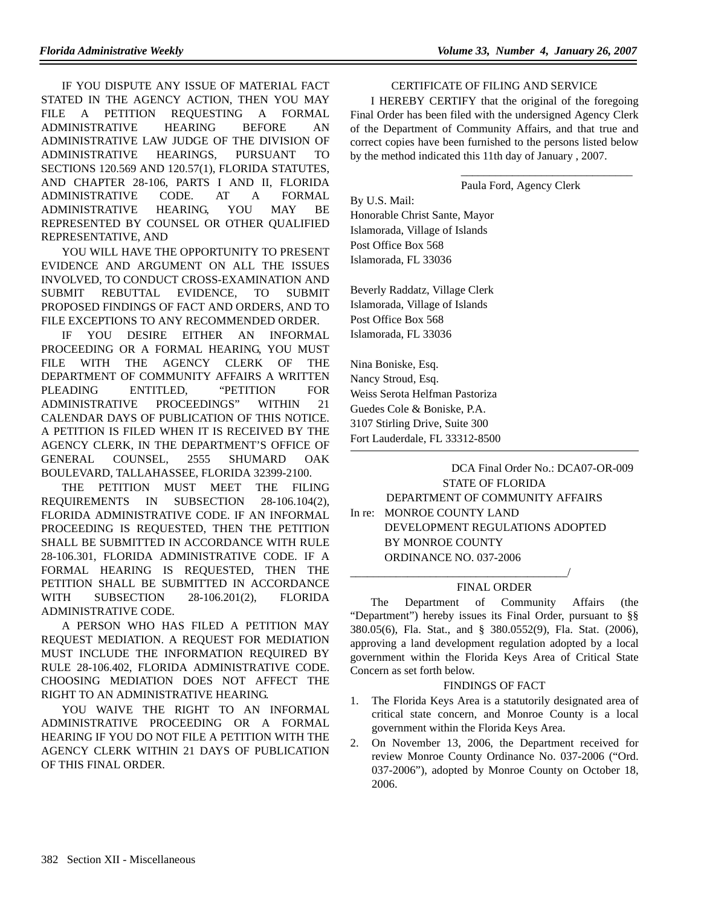IF YOU DISPUTE ANY ISSUE OF MATERIAL FACT STATED IN THE AGENCY ACTION, THEN YOU MAY FILE A PETITION REQUESTING A FORMAL ADMINISTRATIVE HEARING BEFORE AN ADMINISTRATIVE LAW JUDGE OF THE DIVISION OF ADMINISTRATIVE HEARINGS, PURSUANT TO SECTIONS 120.569 AND 120.57(1), FLORIDA STATUTES, AND CHAPTER 28-106, PARTS I AND II, FLORIDA ADMINISTRATIVE CODE. AT A FORMAL ADMINISTRATIVE HEARING, YOU MAY BE REPRESENTED BY COUNSEL OR OTHER QUALIFIED REPRESENTATIVE, AND

YOU WILL HAVE THE OPPORTUNITY TO PRESENT EVIDENCE AND ARGUMENT ON ALL THE ISSUES INVOLVED, TO CONDUCT CROSS-EXAMINATION AND SUBMIT REBUTTAL EVIDENCE, TO SUBMIT PROPOSED FINDINGS OF FACT AND ORDERS, AND TO FILE EXCEPTIONS TO ANY RECOMMENDED ORDER.

IF YOU DESIRE EITHER AN INFORMAL PROCEEDING OR A FORMAL HEARING, YOU MUST FILE WITH THE AGENCY CLERK OF THE DEPARTMENT OF COMMUNITY AFFAIRS A WRITTEN PLEADING ENTITLED, "PETITION FOR ADMINISTRATIVE PROCEEDINGS" WITHIN 21 CALENDAR DAYS OF PUBLICATION OF THIS NOTICE. A PETITION IS FILED WHEN IT IS RECEIVED BY THE AGENCY CLERK, IN THE DEPARTMENT'S OFFICE OF GENERAL COUNSEL, 2555 SHUMARD OAK BOULEVARD, TALLAHASSEE, FLORIDA 32399-2100.

THE PETITION MUST MEET THE FILING REQUIREMENTS IN SUBSECTION 28-106.104(2), FLORIDA ADMINISTRATIVE CODE. IF AN INFORMAL PROCEEDING IS REQUESTED, THEN THE PETITION SHALL BE SUBMITTED IN ACCORDANCE WITH RULE 28-106.301, FLORIDA ADMINISTRATIVE CODE. IF A FORMAL HEARING IS REQUESTED, THEN THE PETITION SHALL BE SUBMITTED IN ACCORDANCE WITH SUBSECTION 28-106.201(2), FLORIDA ADMINISTRATIVE CODE.

A PERSON WHO HAS FILED A PETITION MAY REQUEST MEDIATION. A REQUEST FOR MEDIATION MUST INCLUDE THE INFORMATION REQUIRED BY RULE 28-106.402, FLORIDA ADMINISTRATIVE CODE. CHOOSING MEDIATION DOES NOT AFFECT THE RIGHT TO AN ADMINISTRATIVE HEARING.

YOU WAIVE THE RIGHT TO AN INFORMAL ADMINISTRATIVE PROCEEDING OR A FORMAL HEARING IF YOU DO NOT FILE A PETITION WITH THE AGENCY CLERK WITHIN 21 DAYS OF PUBLICATION OF THIS FINAL ORDER.

#### CERTIFICATE OF FILING AND SERVICE

I HEREBY CERTIFY that the original of the foregoing Final Order has been filed with the undersigned Agency Clerk of the Department of Community Affairs, and that true and correct copies have been furnished to the persons listed below by the method indicated this 11th day of January , 2007.

Paula Ford, Agency Clerk

\_\_\_\_\_\_\_\_\_\_\_\_\_\_\_\_\_\_\_\_\_\_\_\_\_\_\_\_\_\_

By U.S. Mail: Honorable Christ Sante, Mayor Islamorada, Village of Islands Post Office Box 568 Islamorada, FL 33036

Beverly Raddatz, Village Clerk Islamorada, Village of Islands Post Office Box 568 Islamorada, FL 33036

Nina Boniske, Esq. Nancy Stroud, Esq. Weiss Serota Helfman Pastoriza Guedes Cole & Boniske, P.A. 3107 Stirling Drive, Suite 300 Fort Lauderdale, FL 33312-8500

> DCA Final Order No.: DCA07-OR-009 STATE OF FLORIDA DEPARTMENT OF COMMUNITY AFFAIRS

In re: MONROE COUNTY LAND DEVELOPMENT REGULATIONS ADOPTED BY MONROE COUNTY ORDINANCE NO. 037-2006

\_\_\_\_\_\_\_\_\_\_\_\_\_\_\_\_\_\_\_\_\_\_\_\_\_\_\_\_\_\_\_\_\_\_\_\_\_\_/

### FINAL ORDER

The Department of Community Affairs (the "Department") hereby issues its Final Order, pursuant to §§ 380.05(6), Fla. Stat., and § 380.0552(9), Fla. Stat. (2006), approving a land development regulation adopted by a local government within the Florida Keys Area of Critical State Concern as set forth below.

#### FINDINGS OF FACT

- 1. The Florida Keys Area is a statutorily designated area of critical state concern, and Monroe County is a local government within the Florida Keys Area.
- 2. On November 13, 2006, the Department received for review Monroe County Ordinance No. 037-2006 ("Ord. 037-2006"), adopted by Monroe County on October 18, 2006.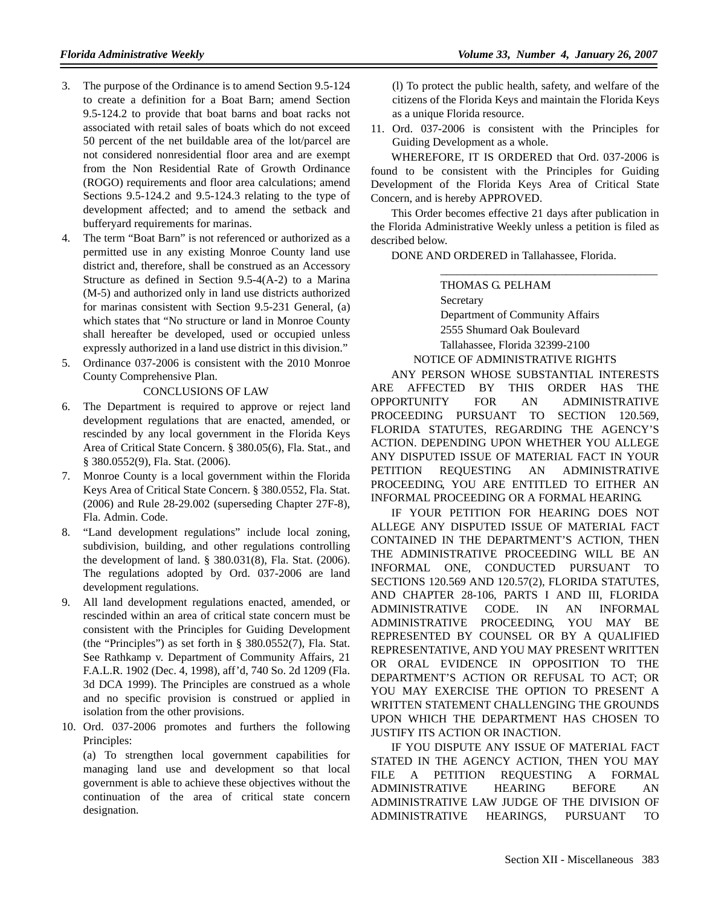- 3. The purpose of the Ordinance is to amend Section 9.5-124 to create a definition for a Boat Barn; amend Section 9.5-124.2 to provide that boat barns and boat racks not associated with retail sales of boats which do not exceed 50 percent of the net buildable area of the lot/parcel are not considered nonresidential floor area and are exempt from the Non Residential Rate of Growth Ordinance (ROGO) requirements and floor area calculations; amend Sections 9.5-124.2 and 9.5-124.3 relating to the type of development affected; and to amend the setback and bufferyard requirements for marinas.
- 4. The term "Boat Barn" is not referenced or authorized as a permitted use in any existing Monroe County land use district and, therefore, shall be construed as an Accessory Structure as defined in Section 9.5-4(A-2) to a Marina (M-5) and authorized only in land use districts authorized for marinas consistent with Section 9.5-231 General, (a) which states that "No structure or land in Monroe County shall hereafter be developed, used or occupied unless expressly authorized in a land use district in this division."
- 5. Ordinance 037-2006 is consistent with the 2010 Monroe County Comprehensive Plan.

#### CONCLUSIONS OF LAW

- 6. The Department is required to approve or reject land development regulations that are enacted, amended, or rescinded by any local government in the Florida Keys Area of Critical State Concern. § 380.05(6), Fla. Stat., and § 380.0552(9), Fla. Stat. (2006).
- 7. Monroe County is a local government within the Florida Keys Area of Critical State Concern. § 380.0552, Fla. Stat. (2006) and Rule 28-29.002 (superseding Chapter 27F-8), Fla. Admin. Code.
- 8. "Land development regulations" include local zoning, subdivision, building, and other regulations controlling the development of land. § 380.031(8), Fla. Stat. (2006). The regulations adopted by Ord. 037-2006 are land development regulations.
- 9. All land development regulations enacted, amended, or rescinded within an area of critical state concern must be consistent with the Principles for Guiding Development (the "Principles") as set forth in § 380.0552(7), Fla. Stat. See Rathkamp v. Department of Community Affairs, 21 F.A.L.R. 1902 (Dec. 4, 1998), aff'd, 740 So. 2d 1209 (Fla. 3d DCA 1999). The Principles are construed as a whole and no specific provision is construed or applied in isolation from the other provisions.
- 10. Ord. 037-2006 promotes and furthers the following Principles:

(a) To strengthen local government capabilities for managing land use and development so that local government is able to achieve these objectives without the continuation of the area of critical state concern designation.

(l) To protect the public health, safety, and welfare of the citizens of the Florida Keys and maintain the Florida Keys as a unique Florida resource.

11. Ord. 037-2006 is consistent with the Principles for Guiding Development as a whole.

WHEREFORE, IT IS ORDERED that Ord. 037-2006 is found to be consistent with the Principles for Guiding Development of the Florida Keys Area of Critical State Concern, and is hereby APPROVED.

This Order becomes effective 21 days after publication in the Florida Administrative Weekly unless a petition is filed as described below.

DONE AND ORDERED in Tallahassee, Florida.

THOMAS G. PELHAM Secretary Department of Community Affairs 2555 Shumard Oak Boulevard Tallahassee, Florida 32399-2100 NOTICE OF ADMINISTRATIVE RIGHTS

\_\_\_\_\_\_\_\_\_\_\_\_\_\_\_\_\_\_\_\_\_\_\_\_\_\_\_\_\_\_\_\_\_\_\_\_\_\_

ANY PERSON WHOSE SUBSTANTIAL INTERESTS ARE AFFECTED BY THIS ORDER HAS THE OPPORTUNITY FOR AN ADMINISTRATIVE PROCEEDING PURSUANT TO SECTION 120.569, FLORIDA STATUTES, REGARDING THE AGENCY'S ACTION. DEPENDING UPON WHETHER YOU ALLEGE ANY DISPUTED ISSUE OF MATERIAL FACT IN YOUR PETITION REQUESTING AN ADMINISTRATIVE PROCEEDING, YOU ARE ENTITLED TO EITHER AN INFORMAL PROCEEDING OR A FORMAL HEARING.

IF YOUR PETITION FOR HEARING DOES NOT ALLEGE ANY DISPUTED ISSUE OF MATERIAL FACT CONTAINED IN THE DEPARTMENT'S ACTION, THEN THE ADMINISTRATIVE PROCEEDING WILL BE AN INFORMAL ONE, CONDUCTED PURSUANT TO SECTIONS 120.569 AND 120.57(2), FLORIDA STATUTES, AND CHAPTER 28-106, PARTS I AND III, FLORIDA ADMINISTRATIVE CODE. IN AN INFORMAL ADMINISTRATIVE PROCEEDING, YOU MAY BE REPRESENTED BY COUNSEL OR BY A QUALIFIED REPRESENTATIVE, AND YOU MAY PRESENT WRITTEN OR ORAL EVIDENCE IN OPPOSITION TO THE DEPARTMENT'S ACTION OR REFUSAL TO ACT; OR YOU MAY EXERCISE THE OPTION TO PRESENT A WRITTEN STATEMENT CHALLENGING THE GROUNDS UPON WHICH THE DEPARTMENT HAS CHOSEN TO JUSTIFY ITS ACTION OR INACTION.

IF YOU DISPUTE ANY ISSUE OF MATERIAL FACT STATED IN THE AGENCY ACTION, THEN YOU MAY FILE A PETITION REQUESTING A FORMAL ADMINISTRATIVE HEARING BEFORE AN ADMINISTRATIVE LAW JUDGE OF THE DIVISION OF ADMINISTRATIVE HEARINGS, PURSUANT TO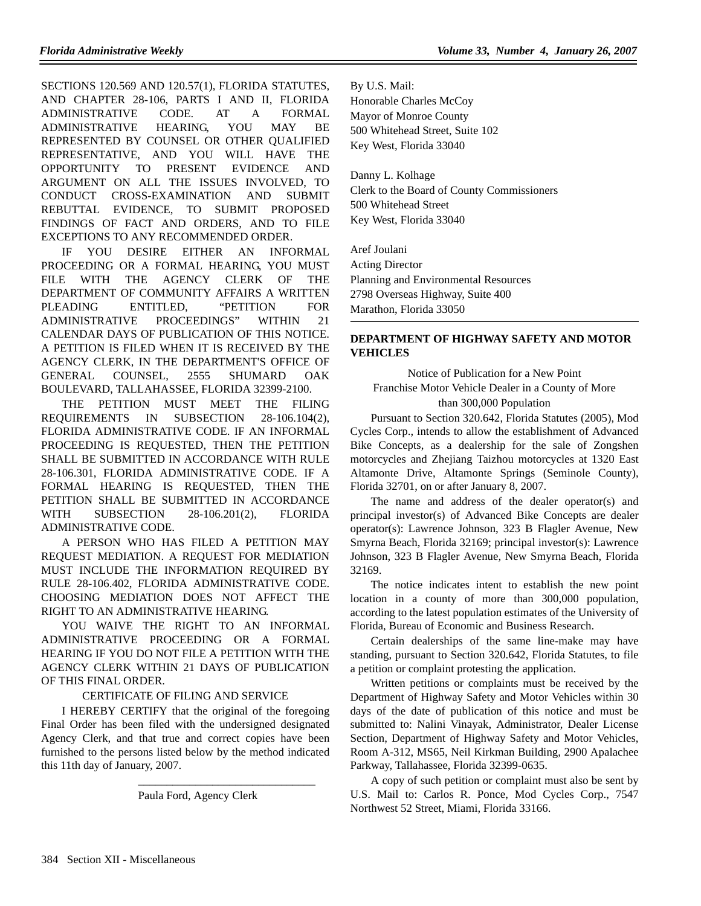SECTIONS 120.569 AND 120.57(1), FLORIDA STATUTES, AND CHAPTER 28-106, PARTS I AND II, FLORIDA ADMINISTRATIVE CODE. AT A FORMAL ADMINISTRATIVE HEARING, YOU MAY BE REPRESENTED BY COUNSEL OR OTHER QUALIFIED REPRESENTATIVE, AND YOU WILL HAVE THE OPPORTUNITY TO PRESENT EVIDENCE AND ARGUMENT ON ALL THE ISSUES INVOLVED, TO CONDUCT CROSS-EXAMINATION AND SUBMIT REBUTTAL EVIDENCE, TO SUBMIT PROPOSED FINDINGS OF FACT AND ORDERS, AND TO FILE EXCEPTIONS TO ANY RECOMMENDED ORDER.

IF YOU DESIRE EITHER AN INFORMAL PROCEEDING OR A FORMAL HEARING, YOU MUST FILE WITH THE AGENCY CLERK OF THE DEPARTMENT OF COMMUNITY AFFAIRS A WRITTEN PLEADING ENTITLED, "PETITION FOR ADMINISTRATIVE PROCEEDINGS" WITHIN 21 CALENDAR DAYS OF PUBLICATION OF THIS NOTICE. A PETITION IS FILED WHEN IT IS RECEIVED BY THE AGENCY CLERK, IN THE DEPARTMENT'S OFFICE OF GENERAL COUNSEL, 2555 SHUMARD OAK BOULEVARD, TALLAHASSEE, FLORIDA 32399-2100.

THE PETITION MUST MEET THE FILING REQUIREMENTS IN SUBSECTION 28-106.104(2), FLORIDA ADMINISTRATIVE CODE. IF AN INFORMAL PROCEEDING IS REQUESTED, THEN THE PETITION SHALL BE SUBMITTED IN ACCORDANCE WITH RULE 28-106.301, FLORIDA ADMINISTRATIVE CODE. IF A FORMAL HEARING IS REQUESTED, THEN THE PETITION SHALL BE SUBMITTED IN ACCORDANCE WITH SUBSECTION 28-106.201(2), FLORIDA ADMINISTRATIVE CODE.

A PERSON WHO HAS FILED A PETITION MAY REQUEST MEDIATION. A REQUEST FOR MEDIATION MUST INCLUDE THE INFORMATION REQUIRED BY RULE 28-106.402, FLORIDA ADMINISTRATIVE CODE. CHOOSING MEDIATION DOES NOT AFFECT THE RIGHT TO AN ADMINISTRATIVE HEARING.

YOU WAIVE THE RIGHT TO AN INFORMAL ADMINISTRATIVE PROCEEDING OR A FORMAL HEARING IF YOU DO NOT FILE A PETITION WITH THE AGENCY CLERK WITHIN 21 DAYS OF PUBLICATION OF THIS FINAL ORDER.

#### CERTIFICATE OF FILING AND SERVICE

I HEREBY CERTIFY that the original of the foregoing Final Order has been filed with the undersigned designated Agency Clerk, and that true and correct copies have been furnished to the persons listed below by the method indicated this 11th day of January, 2007.

Paula Ford, Agency Clerk

\_\_\_\_\_\_\_\_\_\_\_\_\_\_\_\_\_\_\_\_\_\_\_\_\_\_\_\_\_\_\_

By U.S. Mail: Honorable Charles McCoy Mayor of Monroe County 500 Whitehead Street, Suite 102

Key West, Florida 33040

Danny L. Kolhage Clerk to the Board of County Commissioners 500 Whitehead Street Key West, Florida 33040

Aref Joulani Acting Director Planning and Environmental Resources 2798 Overseas Highway, Suite 400 Marathon, Florida 33050

# **DEPARTMENT OF HIGHWAY SAFETY AND MOTOR VEHICLES**

Notice of Publication for a New Point Franchise Motor Vehicle Dealer in a County of More than 300,000 Population

Pursuant to Section 320.642, Florida Statutes (2005), Mod Cycles Corp., intends to allow the establishment of Advanced Bike Concepts, as a dealership for the sale of Zongshen motorcycles and Zhejiang Taizhou motorcycles at 1320 East Altamonte Drive, Altamonte Springs (Seminole County), Florida 32701, on or after January 8, 2007.

The name and address of the dealer operator(s) and principal investor(s) of Advanced Bike Concepts are dealer operator(s): Lawrence Johnson, 323 B Flagler Avenue, New Smyrna Beach, Florida 32169; principal investor(s): Lawrence Johnson, 323 B Flagler Avenue, New Smyrna Beach, Florida 32169.

The notice indicates intent to establish the new point location in a county of more than 300,000 population, according to the latest population estimates of the University of Florida, Bureau of Economic and Business Research.

Certain dealerships of the same line-make may have standing, pursuant to Section 320.642, Florida Statutes, to file a petition or complaint protesting the application.

Written petitions or complaints must be received by the Department of Highway Safety and Motor Vehicles within 30 days of the date of publication of this notice and must be submitted to: Nalini Vinayak, Administrator, Dealer License Section, Department of Highway Safety and Motor Vehicles, Room A-312, MS65, Neil Kirkman Building, 2900 Apalachee Parkway, Tallahassee, Florida 32399-0635.

A copy of such petition or complaint must also be sent by U.S. Mail to: Carlos R. Ponce, Mod Cycles Corp., 7547 Northwest 52 Street, Miami, Florida 33166.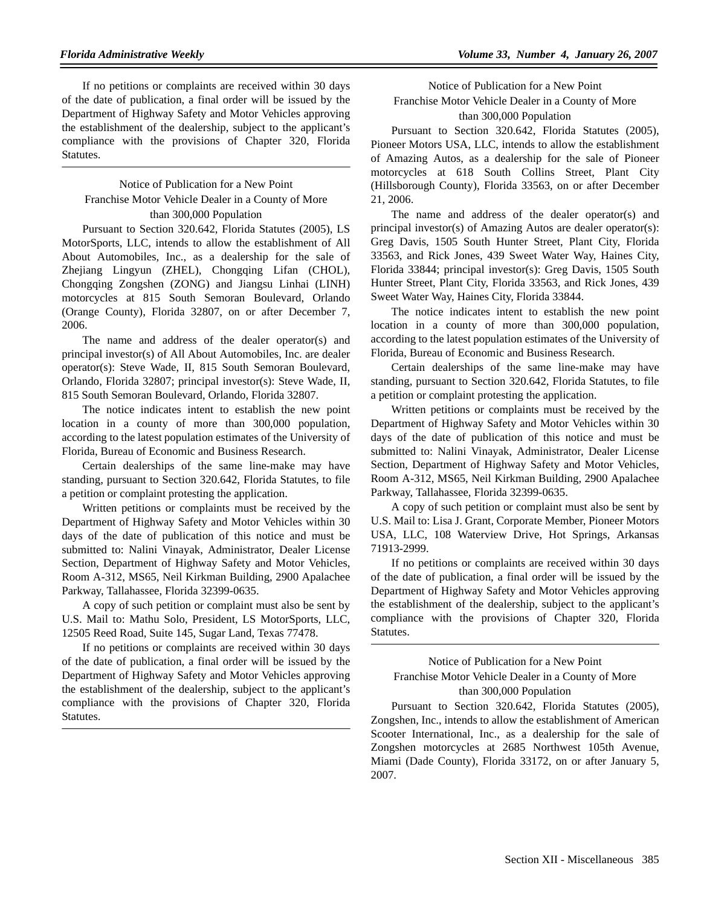If no petitions or complaints are received within 30 days of the date of publication, a final order will be issued by the Department of Highway Safety and Motor Vehicles approving the establishment of the dealership, subject to the applicant's compliance with the provisions of Chapter 320, Florida Statutes.

# Notice of Publication for a New Point Franchise Motor Vehicle Dealer in a County of More than 300,000 Population

Pursuant to Section 320.642, Florida Statutes (2005), LS MotorSports, LLC, intends to allow the establishment of All About Automobiles, Inc., as a dealership for the sale of Zhejiang Lingyun (ZHEL), Chongqing Lifan (CHOL), Chongqing Zongshen (ZONG) and Jiangsu Linhai (LINH) motorcycles at 815 South Semoran Boulevard, Orlando (Orange County), Florida 32807, on or after December 7, 2006.

The name and address of the dealer operator(s) and principal investor(s) of All About Automobiles, Inc. are dealer operator(s): Steve Wade, II, 815 South Semoran Boulevard, Orlando, Florida 32807; principal investor(s): Steve Wade, II, 815 South Semoran Boulevard, Orlando, Florida 32807.

The notice indicates intent to establish the new point location in a county of more than 300,000 population, according to the latest population estimates of the University of Florida, Bureau of Economic and Business Research.

Certain dealerships of the same line-make may have standing, pursuant to Section 320.642, Florida Statutes, to file a petition or complaint protesting the application.

Written petitions or complaints must be received by the Department of Highway Safety and Motor Vehicles within 30 days of the date of publication of this notice and must be submitted to: Nalini Vinayak, Administrator, Dealer License Section, Department of Highway Safety and Motor Vehicles, Room A-312, MS65, Neil Kirkman Building, 2900 Apalachee Parkway, Tallahassee, Florida 32399-0635.

A copy of such petition or complaint must also be sent by U.S. Mail to: Mathu Solo, President, LS MotorSports, LLC, 12505 Reed Road, Suite 145, Sugar Land, Texas 77478.

If no petitions or complaints are received within 30 days of the date of publication, a final order will be issued by the Department of Highway Safety and Motor Vehicles approving the establishment of the dealership, subject to the applicant's compliance with the provisions of Chapter 320, Florida Statutes.

Notice of Publication for a New Point Franchise Motor Vehicle Dealer in a County of More than 300,000 Population

Pursuant to Section 320.642, Florida Statutes (2005), Pioneer Motors USA, LLC, intends to allow the establishment of Amazing Autos, as a dealership for the sale of Pioneer motorcycles at 618 South Collins Street, Plant City (Hillsborough County), Florida 33563, on or after December 21, 2006.

The name and address of the dealer operator(s) and principal investor(s) of Amazing Autos are dealer operator(s): Greg Davis, 1505 South Hunter Street, Plant City, Florida 33563, and Rick Jones, 439 Sweet Water Way, Haines City, Florida 33844; principal investor(s): Greg Davis, 1505 South Hunter Street, Plant City, Florida 33563, and Rick Jones, 439 Sweet Water Way, Haines City, Florida 33844.

The notice indicates intent to establish the new point location in a county of more than 300,000 population, according to the latest population estimates of the University of Florida, Bureau of Economic and Business Research.

Certain dealerships of the same line-make may have standing, pursuant to Section 320.642, Florida Statutes, to file a petition or complaint protesting the application.

Written petitions or complaints must be received by the Department of Highway Safety and Motor Vehicles within 30 days of the date of publication of this notice and must be submitted to: Nalini Vinayak, Administrator, Dealer License Section, Department of Highway Safety and Motor Vehicles, Room A-312, MS65, Neil Kirkman Building, 2900 Apalachee Parkway, Tallahassee, Florida 32399-0635.

A copy of such petition or complaint must also be sent by U.S. Mail to: Lisa J. Grant, Corporate Member, Pioneer Motors USA, LLC, 108 Waterview Drive, Hot Springs, Arkansas 71913-2999.

If no petitions or complaints are received within 30 days of the date of publication, a final order will be issued by the Department of Highway Safety and Motor Vehicles approving the establishment of the dealership, subject to the applicant's compliance with the provisions of Chapter 320, Florida Statutes.

# Notice of Publication for a New Point Franchise Motor Vehicle Dealer in a County of More than 300,000 Population

Pursuant to Section 320.642, Florida Statutes (2005), Zongshen, Inc., intends to allow the establishment of American Scooter International, Inc., as a dealership for the sale of Zongshen motorcycles at 2685 Northwest 105th Avenue, Miami (Dade County), Florida 33172, on or after January 5, 2007.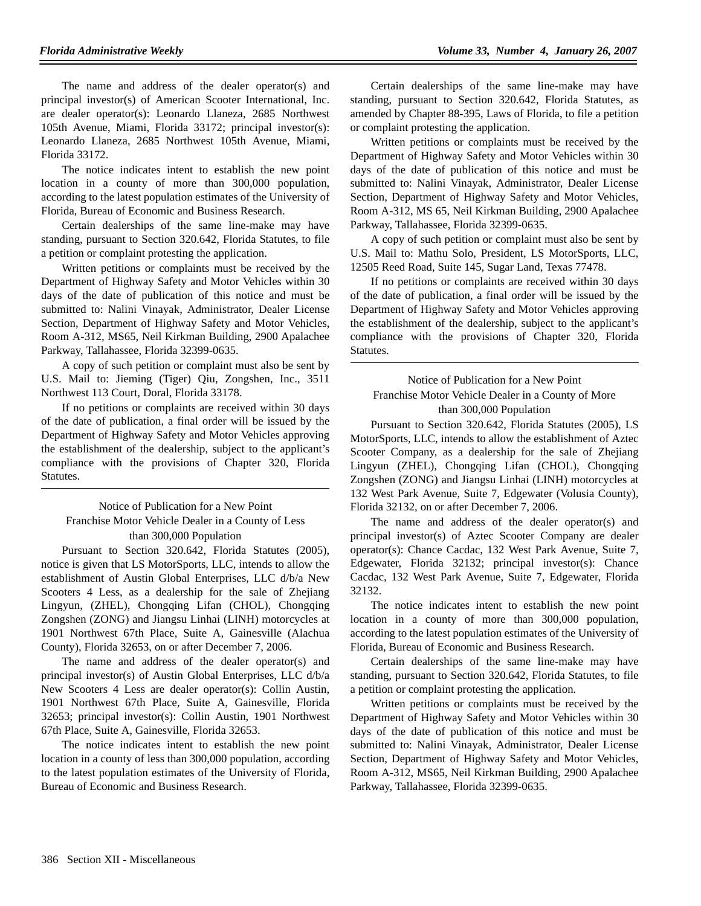The name and address of the dealer operator(s) and principal investor(s) of American Scooter International, Inc. are dealer operator(s): Leonardo Llaneza, 2685 Northwest 105th Avenue, Miami, Florida 33172; principal investor(s): Leonardo Llaneza, 2685 Northwest 105th Avenue, Miami, Florida 33172.

The notice indicates intent to establish the new point location in a county of more than 300,000 population, according to the latest population estimates of the University of Florida, Bureau of Economic and Business Research.

Certain dealerships of the same line-make may have standing, pursuant to Section 320.642, Florida Statutes, to file a petition or complaint protesting the application.

Written petitions or complaints must be received by the Department of Highway Safety and Motor Vehicles within 30 days of the date of publication of this notice and must be submitted to: Nalini Vinayak, Administrator, Dealer License Section, Department of Highway Safety and Motor Vehicles, Room A-312, MS65, Neil Kirkman Building, 2900 Apalachee Parkway, Tallahassee, Florida 32399-0635.

A copy of such petition or complaint must also be sent by U.S. Mail to: Jieming (Tiger) Qiu, Zongshen, Inc., 3511 Northwest 113 Court, Doral, Florida 33178.

If no petitions or complaints are received within 30 days of the date of publication, a final order will be issued by the Department of Highway Safety and Motor Vehicles approving the establishment of the dealership, subject to the applicant's compliance with the provisions of Chapter 320, Florida Statutes.

# Notice of Publication for a New Point Franchise Motor Vehicle Dealer in a County of Less than 300,000 Population

Pursuant to Section 320.642, Florida Statutes (2005), notice is given that LS MotorSports, LLC, intends to allow the establishment of Austin Global Enterprises, LLC d/b/a New Scooters 4 Less, as a dealership for the sale of Zhejiang Lingyun, (ZHEL), Chongqing Lifan (CHOL), Chongqing Zongshen (ZONG) and Jiangsu Linhai (LINH) motorcycles at 1901 Northwest 67th Place, Suite A, Gainesville (Alachua County), Florida 32653, on or after December 7, 2006.

The name and address of the dealer operator(s) and principal investor(s) of Austin Global Enterprises, LLC d/b/a New Scooters 4 Less are dealer operator(s): Collin Austin, 1901 Northwest 67th Place, Suite A, Gainesville, Florida 32653; principal investor(s): Collin Austin, 1901 Northwest 67th Place, Suite A, Gainesville, Florida 32653.

The notice indicates intent to establish the new point location in a county of less than 300,000 population, according to the latest population estimates of the University of Florida, Bureau of Economic and Business Research.

Certain dealerships of the same line-make may have standing, pursuant to Section 320.642, Florida Statutes, as amended by Chapter 88-395, Laws of Florida, to file a petition or complaint protesting the application.

Written petitions or complaints must be received by the Department of Highway Safety and Motor Vehicles within 30 days of the date of publication of this notice and must be submitted to: Nalini Vinayak, Administrator, Dealer License Section, Department of Highway Safety and Motor Vehicles, Room A-312, MS 65, Neil Kirkman Building, 2900 Apalachee Parkway, Tallahassee, Florida 32399-0635.

A copy of such petition or complaint must also be sent by U.S. Mail to: Mathu Solo, President, LS MotorSports, LLC, 12505 Reed Road, Suite 145, Sugar Land, Texas 77478.

If no petitions or complaints are received within 30 days of the date of publication, a final order will be issued by the Department of Highway Safety and Motor Vehicles approving the establishment of the dealership, subject to the applicant's compliance with the provisions of Chapter 320, Florida Statutes.

Notice of Publication for a New Point Franchise Motor Vehicle Dealer in a County of More than 300,000 Population

Pursuant to Section 320.642, Florida Statutes (2005), LS MotorSports, LLC, intends to allow the establishment of Aztec Scooter Company, as a dealership for the sale of Zhejiang Lingyun (ZHEL), Chongqing Lifan (CHOL), Chongqing Zongshen (ZONG) and Jiangsu Linhai (LINH) motorcycles at 132 West Park Avenue, Suite 7, Edgewater (Volusia County), Florida 32132, on or after December 7, 2006.

The name and address of the dealer operator(s) and principal investor(s) of Aztec Scooter Company are dealer operator(s): Chance Cacdac, 132 West Park Avenue, Suite 7, Edgewater, Florida 32132; principal investor(s): Chance Cacdac, 132 West Park Avenue, Suite 7, Edgewater, Florida 32132.

The notice indicates intent to establish the new point location in a county of more than 300,000 population, according to the latest population estimates of the University of Florida, Bureau of Economic and Business Research.

Certain dealerships of the same line-make may have standing, pursuant to Section 320.642, Florida Statutes, to file a petition or complaint protesting the application.

Written petitions or complaints must be received by the Department of Highway Safety and Motor Vehicles within 30 days of the date of publication of this notice and must be submitted to: Nalini Vinayak, Administrator, Dealer License Section, Department of Highway Safety and Motor Vehicles, Room A-312, MS65, Neil Kirkman Building, 2900 Apalachee Parkway, Tallahassee, Florida 32399-0635.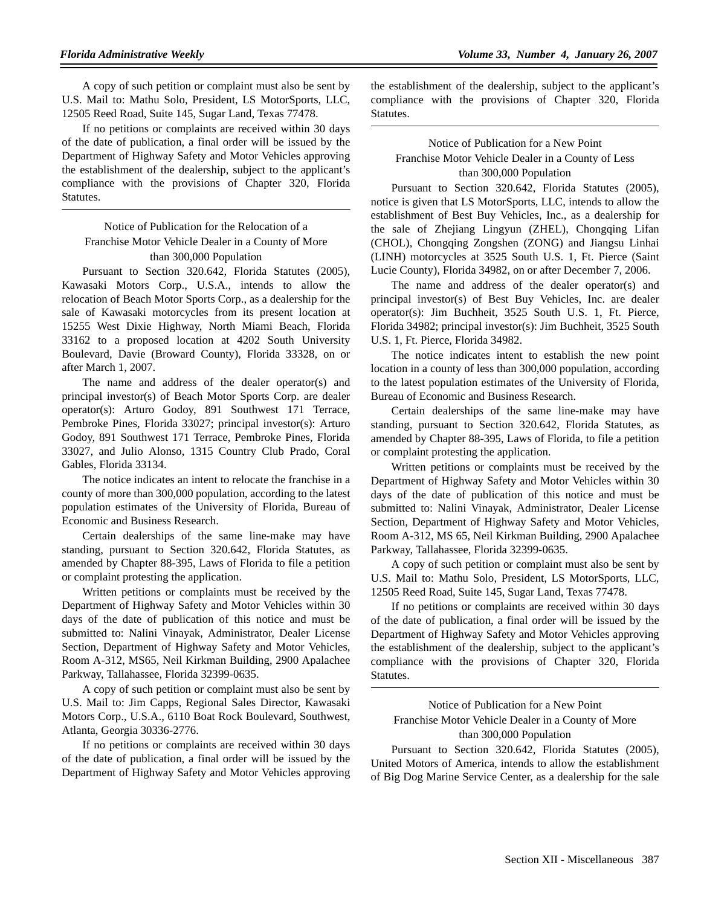A copy of such petition or complaint must also be sent by U.S. Mail to: Mathu Solo, President, LS MotorSports, LLC, 12505 Reed Road, Suite 145, Sugar Land, Texas 77478.

If no petitions or complaints are received within 30 days of the date of publication, a final order will be issued by the Department of Highway Safety and Motor Vehicles approving the establishment of the dealership, subject to the applicant's compliance with the provisions of Chapter 320, Florida Statutes.

# Notice of Publication for the Relocation of a Franchise Motor Vehicle Dealer in a County of More than 300,000 Population

Pursuant to Section 320.642, Florida Statutes (2005), Kawasaki Motors Corp., U.S.A., intends to allow the relocation of Beach Motor Sports Corp., as a dealership for the sale of Kawasaki motorcycles from its present location at 15255 West Dixie Highway, North Miami Beach, Florida 33162 to a proposed location at 4202 South University Boulevard, Davie (Broward County), Florida 33328, on or after March 1, 2007.

The name and address of the dealer operator(s) and principal investor(s) of Beach Motor Sports Corp. are dealer operator(s): Arturo Godoy, 891 Southwest 171 Terrace, Pembroke Pines, Florida 33027; principal investor(s): Arturo Godoy, 891 Southwest 171 Terrace, Pembroke Pines, Florida 33027, and Julio Alonso, 1315 Country Club Prado, Coral Gables, Florida 33134.

The notice indicates an intent to relocate the franchise in a county of more than 300,000 population, according to the latest population estimates of the University of Florida, Bureau of Economic and Business Research.

Certain dealerships of the same line-make may have standing, pursuant to Section 320.642, Florida Statutes, as amended by Chapter 88-395, Laws of Florida to file a petition or complaint protesting the application.

Written petitions or complaints must be received by the Department of Highway Safety and Motor Vehicles within 30 days of the date of publication of this notice and must be submitted to: Nalini Vinayak, Administrator, Dealer License Section, Department of Highway Safety and Motor Vehicles, Room A-312, MS65, Neil Kirkman Building, 2900 Apalachee Parkway, Tallahassee, Florida 32399-0635.

A copy of such petition or complaint must also be sent by U.S. Mail to: Jim Capps, Regional Sales Director, Kawasaki Motors Corp., U.S.A., 6110 Boat Rock Boulevard, Southwest, Atlanta, Georgia 30336-2776.

If no petitions or complaints are received within 30 days of the date of publication, a final order will be issued by the Department of Highway Safety and Motor Vehicles approving

the establishment of the dealership, subject to the applicant's compliance with the provisions of Chapter 320, Florida Statutes.

# Notice of Publication for a New Point Franchise Motor Vehicle Dealer in a County of Less than 300,000 Population

Pursuant to Section 320.642, Florida Statutes (2005), notice is given that LS MotorSports, LLC, intends to allow the establishment of Best Buy Vehicles, Inc., as a dealership for the sale of Zhejiang Lingyun (ZHEL), Chongqing Lifan (CHOL), Chongqing Zongshen (ZONG) and Jiangsu Linhai (LINH) motorcycles at 3525 South U.S. 1, Ft. Pierce (Saint Lucie County), Florida 34982, on or after December 7, 2006.

The name and address of the dealer operator(s) and principal investor(s) of Best Buy Vehicles, Inc. are dealer operator(s): Jim Buchheit, 3525 South U.S. 1, Ft. Pierce, Florida 34982; principal investor(s): Jim Buchheit, 3525 South U.S. 1, Ft. Pierce, Florida 34982.

The notice indicates intent to establish the new point location in a county of less than 300,000 population, according to the latest population estimates of the University of Florida, Bureau of Economic and Business Research.

Certain dealerships of the same line-make may have standing, pursuant to Section 320.642, Florida Statutes, as amended by Chapter 88-395, Laws of Florida, to file a petition or complaint protesting the application.

Written petitions or complaints must be received by the Department of Highway Safety and Motor Vehicles within 30 days of the date of publication of this notice and must be submitted to: Nalini Vinayak, Administrator, Dealer License Section, Department of Highway Safety and Motor Vehicles, Room A-312, MS 65, Neil Kirkman Building, 2900 Apalachee Parkway, Tallahassee, Florida 32399-0635.

A copy of such petition or complaint must also be sent by U.S. Mail to: Mathu Solo, President, LS MotorSports, LLC, 12505 Reed Road, Suite 145, Sugar Land, Texas 77478.

If no petitions or complaints are received within 30 days of the date of publication, a final order will be issued by the Department of Highway Safety and Motor Vehicles approving the establishment of the dealership, subject to the applicant's compliance with the provisions of Chapter 320, Florida Statutes.

# Notice of Publication for a New Point Franchise Motor Vehicle Dealer in a County of More than 300,000 Population

Pursuant to Section 320.642, Florida Statutes (2005), United Motors of America, intends to allow the establishment of Big Dog Marine Service Center, as a dealership for the sale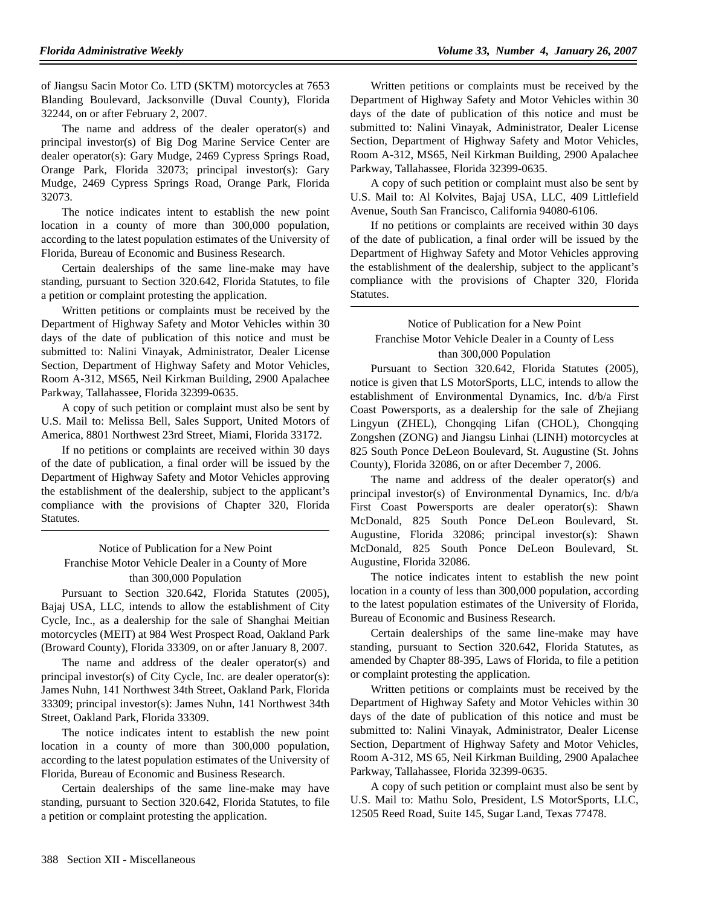of Jiangsu Sacin Motor Co. LTD (SKTM) motorcycles at 7653 Blanding Boulevard, Jacksonville (Duval County), Florida 32244, on or after February 2, 2007.

The name and address of the dealer operator(s) and principal investor(s) of Big Dog Marine Service Center are dealer operator(s): Gary Mudge, 2469 Cypress Springs Road, Orange Park, Florida 32073; principal investor(s): Gary Mudge, 2469 Cypress Springs Road, Orange Park, Florida 32073.

The notice indicates intent to establish the new point location in a county of more than 300,000 population, according to the latest population estimates of the University of Florida, Bureau of Economic and Business Research.

Certain dealerships of the same line-make may have standing, pursuant to Section 320.642, Florida Statutes, to file a petition or complaint protesting the application.

Written petitions or complaints must be received by the Department of Highway Safety and Motor Vehicles within 30 days of the date of publication of this notice and must be submitted to: Nalini Vinayak, Administrator, Dealer License Section, Department of Highway Safety and Motor Vehicles, Room A-312, MS65, Neil Kirkman Building, 2900 Apalachee Parkway, Tallahassee, Florida 32399-0635.

A copy of such petition or complaint must also be sent by U.S. Mail to: Melissa Bell, Sales Support, United Motors of America, 8801 Northwest 23rd Street, Miami, Florida 33172.

If no petitions or complaints are received within 30 days of the date of publication, a final order will be issued by the Department of Highway Safety and Motor Vehicles approving the establishment of the dealership, subject to the applicant's compliance with the provisions of Chapter 320, Florida Statutes.

# Notice of Publication for a New Point Franchise Motor Vehicle Dealer in a County of More than 300,000 Population

Pursuant to Section 320.642, Florida Statutes (2005), Bajaj USA, LLC, intends to allow the establishment of City Cycle, Inc., as a dealership for the sale of Shanghai Meitian motorcycles (MEIT) at 984 West Prospect Road, Oakland Park (Broward County), Florida 33309, on or after January 8, 2007.

The name and address of the dealer operator(s) and principal investor(s) of City Cycle, Inc. are dealer operator(s): James Nuhn, 141 Northwest 34th Street, Oakland Park, Florida 33309; principal investor(s): James Nuhn, 141 Northwest 34th Street, Oakland Park, Florida 33309.

The notice indicates intent to establish the new point location in a county of more than 300,000 population, according to the latest population estimates of the University of Florida, Bureau of Economic and Business Research.

Certain dealerships of the same line-make may have standing, pursuant to Section 320.642, Florida Statutes, to file a petition or complaint protesting the application.

Written petitions or complaints must be received by the Department of Highway Safety and Motor Vehicles within 30 days of the date of publication of this notice and must be submitted to: Nalini Vinayak, Administrator, Dealer License Section, Department of Highway Safety and Motor Vehicles, Room A-312, MS65, Neil Kirkman Building, 2900 Apalachee Parkway, Tallahassee, Florida 32399-0635.

A copy of such petition or complaint must also be sent by U.S. Mail to: Al Kolvites, Bajaj USA, LLC, 409 Littlefield Avenue, South San Francisco, California 94080-6106.

If no petitions or complaints are received within 30 days of the date of publication, a final order will be issued by the Department of Highway Safety and Motor Vehicles approving the establishment of the dealership, subject to the applicant's compliance with the provisions of Chapter 320, Florida Statutes.

Notice of Publication for a New Point Franchise Motor Vehicle Dealer in a County of Less than 300,000 Population

Pursuant to Section 320.642, Florida Statutes (2005), notice is given that LS MotorSports, LLC, intends to allow the establishment of Environmental Dynamics, Inc. d/b/a First Coast Powersports, as a dealership for the sale of Zhejiang Lingyun (ZHEL), Chongqing Lifan (CHOL), Chongqing Zongshen (ZONG) and Jiangsu Linhai (LINH) motorcycles at 825 South Ponce DeLeon Boulevard, St. Augustine (St. Johns County), Florida 32086, on or after December 7, 2006.

The name and address of the dealer operator(s) and principal investor(s) of Environmental Dynamics, Inc. d/b/a First Coast Powersports are dealer operator(s): Shawn McDonald, 825 South Ponce DeLeon Boulevard, St. Augustine, Florida 32086; principal investor(s): Shawn McDonald, 825 South Ponce DeLeon Boulevard, St. Augustine, Florida 32086.

The notice indicates intent to establish the new point location in a county of less than 300,000 population, according to the latest population estimates of the University of Florida, Bureau of Economic and Business Research.

Certain dealerships of the same line-make may have standing, pursuant to Section 320.642, Florida Statutes, as amended by Chapter 88-395, Laws of Florida, to file a petition or complaint protesting the application.

Written petitions or complaints must be received by the Department of Highway Safety and Motor Vehicles within 30 days of the date of publication of this notice and must be submitted to: Nalini Vinayak, Administrator, Dealer License Section, Department of Highway Safety and Motor Vehicles, Room A-312, MS 65, Neil Kirkman Building, 2900 Apalachee Parkway, Tallahassee, Florida 32399-0635.

A copy of such petition or complaint must also be sent by U.S. Mail to: Mathu Solo, President, LS MotorSports, LLC, 12505 Reed Road, Suite 145, Sugar Land, Texas 77478.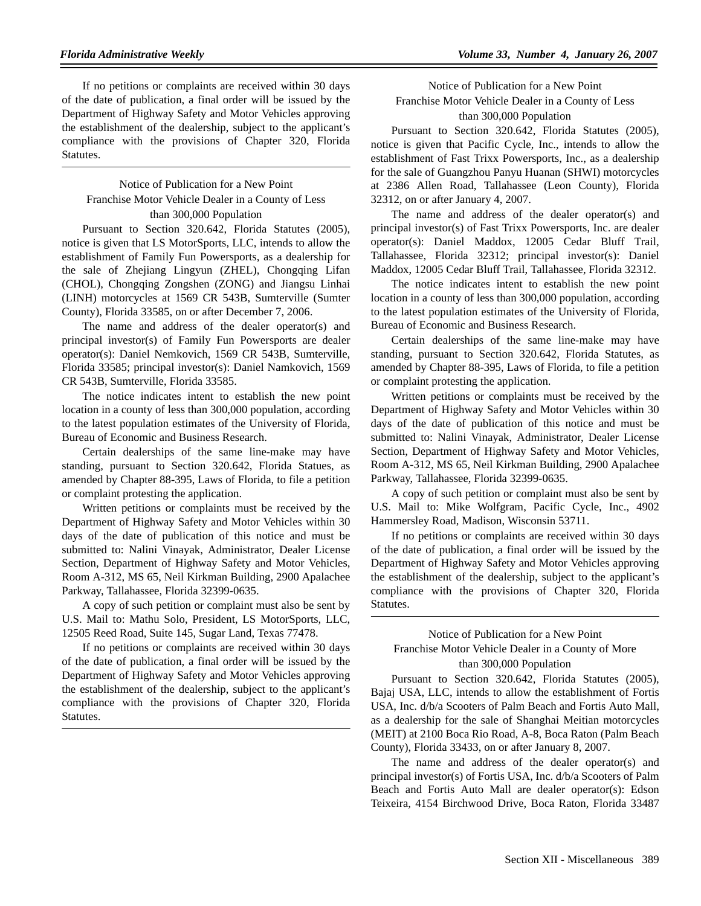If no petitions or complaints are received within 30 days of the date of publication, a final order will be issued by the Department of Highway Safety and Motor Vehicles approving the establishment of the dealership, subject to the applicant's compliance with the provisions of Chapter 320, Florida Statutes.

# Notice of Publication for a New Point Franchise Motor Vehicle Dealer in a County of Less than 300,000 Population

Pursuant to Section 320.642, Florida Statutes (2005), notice is given that LS MotorSports, LLC, intends to allow the establishment of Family Fun Powersports, as a dealership for the sale of Zhejiang Lingyun (ZHEL), Chongqing Lifan (CHOL), Chongqing Zongshen (ZONG) and Jiangsu Linhai (LINH) motorcycles at 1569 CR 543B, Sumterville (Sumter County), Florida 33585, on or after December 7, 2006.

The name and address of the dealer operator(s) and principal investor(s) of Family Fun Powersports are dealer operator(s): Daniel Nemkovich, 1569 CR 543B, Sumterville, Florida 33585; principal investor(s): Daniel Namkovich, 1569 CR 543B, Sumterville, Florida 33585.

The notice indicates intent to establish the new point location in a county of less than 300,000 population, according to the latest population estimates of the University of Florida, Bureau of Economic and Business Research.

Certain dealerships of the same line-make may have standing, pursuant to Section 320.642, Florida Statues, as amended by Chapter 88-395, Laws of Florida, to file a petition or complaint protesting the application.

Written petitions or complaints must be received by the Department of Highway Safety and Motor Vehicles within 30 days of the date of publication of this notice and must be submitted to: Nalini Vinayak, Administrator, Dealer License Section, Department of Highway Safety and Motor Vehicles, Room A-312, MS 65, Neil Kirkman Building, 2900 Apalachee Parkway, Tallahassee, Florida 32399-0635.

A copy of such petition or complaint must also be sent by U.S. Mail to: Mathu Solo, President, LS MotorSports, LLC, 12505 Reed Road, Suite 145, Sugar Land, Texas 77478.

If no petitions or complaints are received within 30 days of the date of publication, a final order will be issued by the Department of Highway Safety and Motor Vehicles approving the establishment of the dealership, subject to the applicant's compliance with the provisions of Chapter 320, Florida Statutes.

Notice of Publication for a New Point Franchise Motor Vehicle Dealer in a County of Less than 300,000 Population

Pursuant to Section 320.642, Florida Statutes (2005), notice is given that Pacific Cycle, Inc., intends to allow the establishment of Fast Trixx Powersports, Inc., as a dealership for the sale of Guangzhou Panyu Huanan (SHWI) motorcycles at 2386 Allen Road, Tallahassee (Leon County), Florida 32312, on or after January 4, 2007.

The name and address of the dealer operator(s) and principal investor(s) of Fast Trixx Powersports, Inc. are dealer operator(s): Daniel Maddox, 12005 Cedar Bluff Trail, Tallahassee, Florida 32312; principal investor(s): Daniel Maddox, 12005 Cedar Bluff Trail, Tallahassee, Florida 32312.

The notice indicates intent to establish the new point location in a county of less than 300,000 population, according to the latest population estimates of the University of Florida, Bureau of Economic and Business Research.

Certain dealerships of the same line-make may have standing, pursuant to Section 320.642, Florida Statutes, as amended by Chapter 88-395, Laws of Florida, to file a petition or complaint protesting the application.

Written petitions or complaints must be received by the Department of Highway Safety and Motor Vehicles within 30 days of the date of publication of this notice and must be submitted to: Nalini Vinayak, Administrator, Dealer License Section, Department of Highway Safety and Motor Vehicles, Room A-312, MS 65, Neil Kirkman Building, 2900 Apalachee Parkway, Tallahassee, Florida 32399-0635.

A copy of such petition or complaint must also be sent by U.S. Mail to: Mike Wolfgram, Pacific Cycle, Inc., 4902 Hammersley Road, Madison, Wisconsin 53711.

If no petitions or complaints are received within 30 days of the date of publication, a final order will be issued by the Department of Highway Safety and Motor Vehicles approving the establishment of the dealership, subject to the applicant's compliance with the provisions of Chapter 320, Florida Statutes.

# Notice of Publication for a New Point Franchise Motor Vehicle Dealer in a County of More than 300,000 Population

Pursuant to Section 320.642, Florida Statutes (2005), Bajaj USA, LLC, intends to allow the establishment of Fortis USA, Inc. d/b/a Scooters of Palm Beach and Fortis Auto Mall, as a dealership for the sale of Shanghai Meitian motorcycles (MEIT) at 2100 Boca Rio Road, A-8, Boca Raton (Palm Beach County), Florida 33433, on or after January 8, 2007.

The name and address of the dealer operator(s) and principal investor(s) of Fortis USA, Inc. d/b/a Scooters of Palm Beach and Fortis Auto Mall are dealer operator(s): Edson Teixeira, 4154 Birchwood Drive, Boca Raton, Florida 33487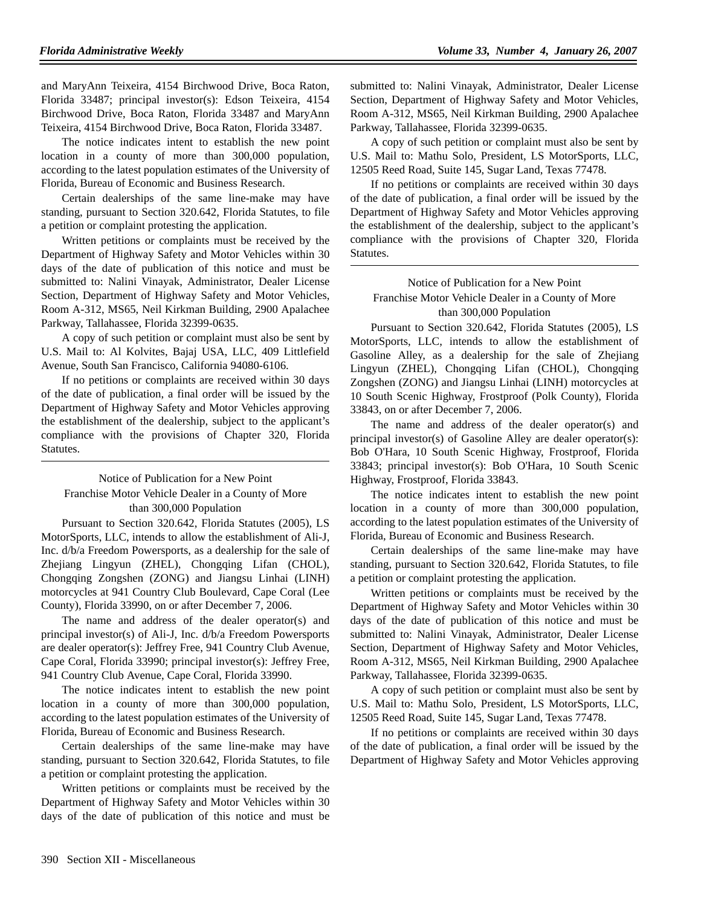and MaryAnn Teixeira, 4154 Birchwood Drive, Boca Raton, Florida 33487; principal investor(s): Edson Teixeira, 4154 Birchwood Drive, Boca Raton, Florida 33487 and MaryAnn Teixeira, 4154 Birchwood Drive, Boca Raton, Florida 33487.

The notice indicates intent to establish the new point location in a county of more than 300,000 population, according to the latest population estimates of the University of Florida, Bureau of Economic and Business Research.

Certain dealerships of the same line-make may have standing, pursuant to Section 320.642, Florida Statutes, to file a petition or complaint protesting the application.

Written petitions or complaints must be received by the Department of Highway Safety and Motor Vehicles within 30 days of the date of publication of this notice and must be submitted to: Nalini Vinayak, Administrator, Dealer License Section, Department of Highway Safety and Motor Vehicles, Room A-312, MS65, Neil Kirkman Building, 2900 Apalachee Parkway, Tallahassee, Florida 32399-0635.

A copy of such petition or complaint must also be sent by U.S. Mail to: Al Kolvites, Bajaj USA, LLC, 409 Littlefield Avenue, South San Francisco, California 94080-6106.

If no petitions or complaints are received within 30 days of the date of publication, a final order will be issued by the Department of Highway Safety and Motor Vehicles approving the establishment of the dealership, subject to the applicant's compliance with the provisions of Chapter 320, Florida Statutes.

# Notice of Publication for a New Point Franchise Motor Vehicle Dealer in a County of More than 300,000 Population

Pursuant to Section 320.642, Florida Statutes (2005), LS MotorSports, LLC, intends to allow the establishment of Ali-J, Inc. d/b/a Freedom Powersports, as a dealership for the sale of Zhejiang Lingyun (ZHEL), Chongqing Lifan (CHOL), Chongqing Zongshen (ZONG) and Jiangsu Linhai (LINH) motorcycles at 941 Country Club Boulevard, Cape Coral (Lee County), Florida 33990, on or after December 7, 2006.

The name and address of the dealer operator(s) and principal investor(s) of Ali-J, Inc. d/b/a Freedom Powersports are dealer operator(s): Jeffrey Free, 941 Country Club Avenue, Cape Coral, Florida 33990; principal investor(s): Jeffrey Free, 941 Country Club Avenue, Cape Coral, Florida 33990.

The notice indicates intent to establish the new point location in a county of more than 300,000 population, according to the latest population estimates of the University of Florida, Bureau of Economic and Business Research.

Certain dealerships of the same line-make may have standing, pursuant to Section 320.642, Florida Statutes, to file a petition or complaint protesting the application.

Written petitions or complaints must be received by the Department of Highway Safety and Motor Vehicles within 30 days of the date of publication of this notice and must be submitted to: Nalini Vinayak, Administrator, Dealer License Section, Department of Highway Safety and Motor Vehicles, Room A-312, MS65, Neil Kirkman Building, 2900 Apalachee Parkway, Tallahassee, Florida 32399-0635.

A copy of such petition or complaint must also be sent by U.S. Mail to: Mathu Solo, President, LS MotorSports, LLC, 12505 Reed Road, Suite 145, Sugar Land, Texas 77478.

If no petitions or complaints are received within 30 days of the date of publication, a final order will be issued by the Department of Highway Safety and Motor Vehicles approving the establishment of the dealership, subject to the applicant's compliance with the provisions of Chapter 320, Florida Statutes.

Notice of Publication for a New Point Franchise Motor Vehicle Dealer in a County of More than 300,000 Population

Pursuant to Section 320.642, Florida Statutes (2005), LS MotorSports, LLC, intends to allow the establishment of Gasoline Alley, as a dealership for the sale of Zhejiang Lingyun (ZHEL), Chongqing Lifan (CHOL), Chongqing Zongshen (ZONG) and Jiangsu Linhai (LINH) motorcycles at 10 South Scenic Highway, Frostproof (Polk County), Florida 33843, on or after December 7, 2006.

The name and address of the dealer operator(s) and principal investor(s) of Gasoline Alley are dealer operator(s): Bob O'Hara, 10 South Scenic Highway, Frostproof, Florida 33843; principal investor(s): Bob O'Hara, 10 South Scenic Highway, Frostproof, Florida 33843.

The notice indicates intent to establish the new point location in a county of more than 300,000 population, according to the latest population estimates of the University of Florida, Bureau of Economic and Business Research.

Certain dealerships of the same line-make may have standing, pursuant to Section 320.642, Florida Statutes, to file a petition or complaint protesting the application.

Written petitions or complaints must be received by the Department of Highway Safety and Motor Vehicles within 30 days of the date of publication of this notice and must be submitted to: Nalini Vinayak, Administrator, Dealer License Section, Department of Highway Safety and Motor Vehicles, Room A-312, MS65, Neil Kirkman Building, 2900 Apalachee Parkway, Tallahassee, Florida 32399-0635.

A copy of such petition or complaint must also be sent by U.S. Mail to: Mathu Solo, President, LS MotorSports, LLC, 12505 Reed Road, Suite 145, Sugar Land, Texas 77478.

If no petitions or complaints are received within 30 days of the date of publication, a final order will be issued by the Department of Highway Safety and Motor Vehicles approving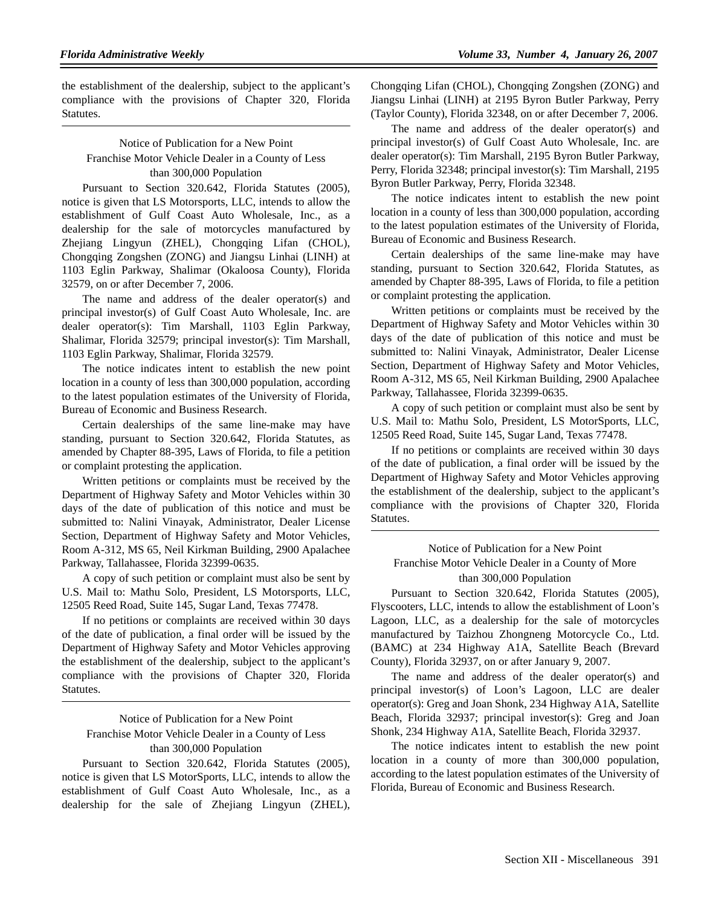the establishment of the dealership, subject to the applicant's compliance with the provisions of Chapter 320, Florida Statutes.

# Notice of Publication for a New Point Franchise Motor Vehicle Dealer in a County of Less than 300,000 Population

Pursuant to Section 320.642, Florida Statutes (2005), notice is given that LS Motorsports, LLC, intends to allow the establishment of Gulf Coast Auto Wholesale, Inc., as a dealership for the sale of motorcycles manufactured by Zhejiang Lingyun (ZHEL), Chongqing Lifan (CHOL), Chongqing Zongshen (ZONG) and Jiangsu Linhai (LINH) at 1103 Eglin Parkway, Shalimar (Okaloosa County), Florida 32579, on or after December 7, 2006.

The name and address of the dealer operator(s) and principal investor(s) of Gulf Coast Auto Wholesale, Inc. are dealer operator(s): Tim Marshall, 1103 Eglin Parkway, Shalimar, Florida 32579; principal investor(s): Tim Marshall, 1103 Eglin Parkway, Shalimar, Florida 32579.

The notice indicates intent to establish the new point location in a county of less than 300,000 population, according to the latest population estimates of the University of Florida, Bureau of Economic and Business Research.

Certain dealerships of the same line-make may have standing, pursuant to Section 320.642, Florida Statutes, as amended by Chapter 88-395, Laws of Florida, to file a petition or complaint protesting the application.

Written petitions or complaints must be received by the Department of Highway Safety and Motor Vehicles within 30 days of the date of publication of this notice and must be submitted to: Nalini Vinayak, Administrator, Dealer License Section, Department of Highway Safety and Motor Vehicles, Room A-312, MS 65, Neil Kirkman Building, 2900 Apalachee Parkway, Tallahassee, Florida 32399-0635.

A copy of such petition or complaint must also be sent by U.S. Mail to: Mathu Solo, President, LS Motorsports, LLC, 12505 Reed Road, Suite 145, Sugar Land, Texas 77478.

If no petitions or complaints are received within 30 days of the date of publication, a final order will be issued by the Department of Highway Safety and Motor Vehicles approving the establishment of the dealership, subject to the applicant's compliance with the provisions of Chapter 320, Florida Statutes.

# Notice of Publication for a New Point Franchise Motor Vehicle Dealer in a County of Less than 300,000 Population

Pursuant to Section 320.642, Florida Statutes (2005), notice is given that LS MotorSports, LLC, intends to allow the establishment of Gulf Coast Auto Wholesale, Inc., as a dealership for the sale of Zhejiang Lingyun (ZHEL), Chongqing Lifan (CHOL), Chongqing Zongshen (ZONG) and Jiangsu Linhai (LINH) at 2195 Byron Butler Parkway, Perry (Taylor County), Florida 32348, on or after December 7, 2006.

The name and address of the dealer operator(s) and principal investor(s) of Gulf Coast Auto Wholesale, Inc. are dealer operator(s): Tim Marshall, 2195 Byron Butler Parkway, Perry, Florida 32348; principal investor(s): Tim Marshall, 2195 Byron Butler Parkway, Perry, Florida 32348.

The notice indicates intent to establish the new point location in a county of less than 300,000 population, according to the latest population estimates of the University of Florida, Bureau of Economic and Business Research.

Certain dealerships of the same line-make may have standing, pursuant to Section 320.642, Florida Statutes, as amended by Chapter 88-395, Laws of Florida, to file a petition or complaint protesting the application.

Written petitions or complaints must be received by the Department of Highway Safety and Motor Vehicles within 30 days of the date of publication of this notice and must be submitted to: Nalini Vinayak, Administrator, Dealer License Section, Department of Highway Safety and Motor Vehicles, Room A-312, MS 65, Neil Kirkman Building, 2900 Apalachee Parkway, Tallahassee, Florida 32399-0635.

A copy of such petition or complaint must also be sent by U.S. Mail to: Mathu Solo, President, LS MotorSports, LLC, 12505 Reed Road, Suite 145, Sugar Land, Texas 77478.

If no petitions or complaints are received within 30 days of the date of publication, a final order will be issued by the Department of Highway Safety and Motor Vehicles approving the establishment of the dealership, subject to the applicant's compliance with the provisions of Chapter 320, Florida Statutes.

# Notice of Publication for a New Point Franchise Motor Vehicle Dealer in a County of More than 300,000 Population

Pursuant to Section 320.642, Florida Statutes (2005), Flyscooters, LLC, intends to allow the establishment of Loon's Lagoon, LLC, as a dealership for the sale of motorcycles manufactured by Taizhou Zhongneng Motorcycle Co., Ltd. (BAMC) at 234 Highway A1A, Satellite Beach (Brevard County), Florida 32937, on or after January 9, 2007.

The name and address of the dealer operator(s) and principal investor(s) of Loon's Lagoon, LLC are dealer operator(s): Greg and Joan Shonk, 234 Highway A1A, Satellite Beach, Florida 32937; principal investor(s): Greg and Joan Shonk, 234 Highway A1A, Satellite Beach, Florida 32937.

The notice indicates intent to establish the new point location in a county of more than 300,000 population, according to the latest population estimates of the University of Florida, Bureau of Economic and Business Research.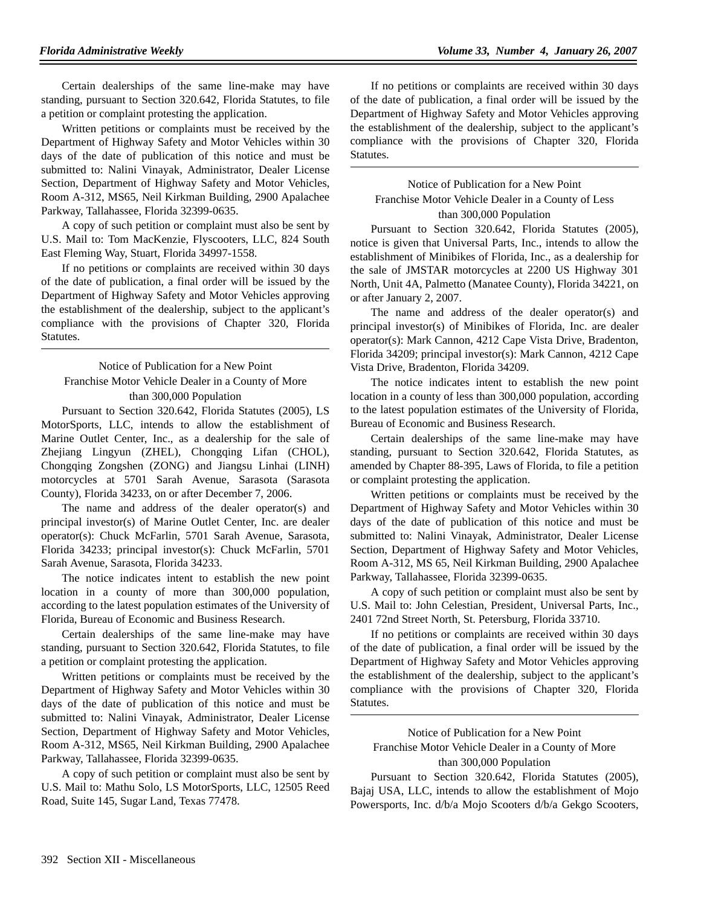Certain dealerships of the same line-make may have standing, pursuant to Section 320.642, Florida Statutes, to file a petition or complaint protesting the application.

Written petitions or complaints must be received by the Department of Highway Safety and Motor Vehicles within 30 days of the date of publication of this notice and must be submitted to: Nalini Vinayak, Administrator, Dealer License Section, Department of Highway Safety and Motor Vehicles, Room A-312, MS65, Neil Kirkman Building, 2900 Apalachee Parkway, Tallahassee, Florida 32399-0635.

A copy of such petition or complaint must also be sent by U.S. Mail to: Tom MacKenzie, Flyscooters, LLC, 824 South East Fleming Way, Stuart, Florida 34997-1558.

If no petitions or complaints are received within 30 days of the date of publication, a final order will be issued by the Department of Highway Safety and Motor Vehicles approving the establishment of the dealership, subject to the applicant's compliance with the provisions of Chapter 320, Florida Statutes.

# Notice of Publication for a New Point Franchise Motor Vehicle Dealer in a County of More than 300,000 Population

Pursuant to Section 320.642, Florida Statutes (2005), LS MotorSports, LLC, intends to allow the establishment of Marine Outlet Center, Inc., as a dealership for the sale of Zhejiang Lingyun (ZHEL), Chongqing Lifan (CHOL), Chongqing Zongshen (ZONG) and Jiangsu Linhai (LINH) motorcycles at 5701 Sarah Avenue, Sarasota (Sarasota County), Florida 34233, on or after December 7, 2006.

The name and address of the dealer operator(s) and principal investor(s) of Marine Outlet Center, Inc. are dealer operator(s): Chuck McFarlin, 5701 Sarah Avenue, Sarasota, Florida 34233; principal investor(s): Chuck McFarlin, 5701 Sarah Avenue, Sarasota, Florida 34233.

The notice indicates intent to establish the new point location in a county of more than 300,000 population, according to the latest population estimates of the University of Florida, Bureau of Economic and Business Research.

Certain dealerships of the same line-make may have standing, pursuant to Section 320.642, Florida Statutes, to file a petition or complaint protesting the application.

Written petitions or complaints must be received by the Department of Highway Safety and Motor Vehicles within 30 days of the date of publication of this notice and must be submitted to: Nalini Vinayak, Administrator, Dealer License Section, Department of Highway Safety and Motor Vehicles, Room A-312, MS65, Neil Kirkman Building, 2900 Apalachee Parkway, Tallahassee, Florida 32399-0635.

A copy of such petition or complaint must also be sent by U.S. Mail to: Mathu Solo, LS MotorSports, LLC, 12505 Reed Road, Suite 145, Sugar Land, Texas 77478.

If no petitions or complaints are received within 30 days of the date of publication, a final order will be issued by the Department of Highway Safety and Motor Vehicles approving the establishment of the dealership, subject to the applicant's compliance with the provisions of Chapter 320, Florida Statutes.

# Notice of Publication for a New Point Franchise Motor Vehicle Dealer in a County of Less than 300,000 Population

Pursuant to Section 320.642, Florida Statutes (2005), notice is given that Universal Parts, Inc., intends to allow the establishment of Minibikes of Florida, Inc., as a dealership for the sale of JMSTAR motorcycles at 2200 US Highway 301 North, Unit 4A, Palmetto (Manatee County), Florida 34221, on or after January 2, 2007.

The name and address of the dealer operator(s) and principal investor(s) of Minibikes of Florida, Inc. are dealer operator(s): Mark Cannon, 4212 Cape Vista Drive, Bradenton, Florida 34209; principal investor(s): Mark Cannon, 4212 Cape Vista Drive, Bradenton, Florida 34209.

The notice indicates intent to establish the new point location in a county of less than 300,000 population, according to the latest population estimates of the University of Florida, Bureau of Economic and Business Research.

Certain dealerships of the same line-make may have standing, pursuant to Section 320.642, Florida Statutes, as amended by Chapter 88-395, Laws of Florida, to file a petition or complaint protesting the application.

Written petitions or complaints must be received by the Department of Highway Safety and Motor Vehicles within 30 days of the date of publication of this notice and must be submitted to: Nalini Vinayak, Administrator, Dealer License Section, Department of Highway Safety and Motor Vehicles, Room A-312, MS 65, Neil Kirkman Building, 2900 Apalachee Parkway, Tallahassee, Florida 32399-0635.

A copy of such petition or complaint must also be sent by U.S. Mail to: John Celestian, President, Universal Parts, Inc., 2401 72nd Street North, St. Petersburg, Florida 33710.

If no petitions or complaints are received within 30 days of the date of publication, a final order will be issued by the Department of Highway Safety and Motor Vehicles approving the establishment of the dealership, subject to the applicant's compliance with the provisions of Chapter 320, Florida Statutes.

# Notice of Publication for a New Point Franchise Motor Vehicle Dealer in a County of More than 300,000 Population

Pursuant to Section 320.642, Florida Statutes (2005), Bajaj USA, LLC, intends to allow the establishment of Mojo Powersports, Inc. d/b/a Mojo Scooters d/b/a Gekgo Scooters,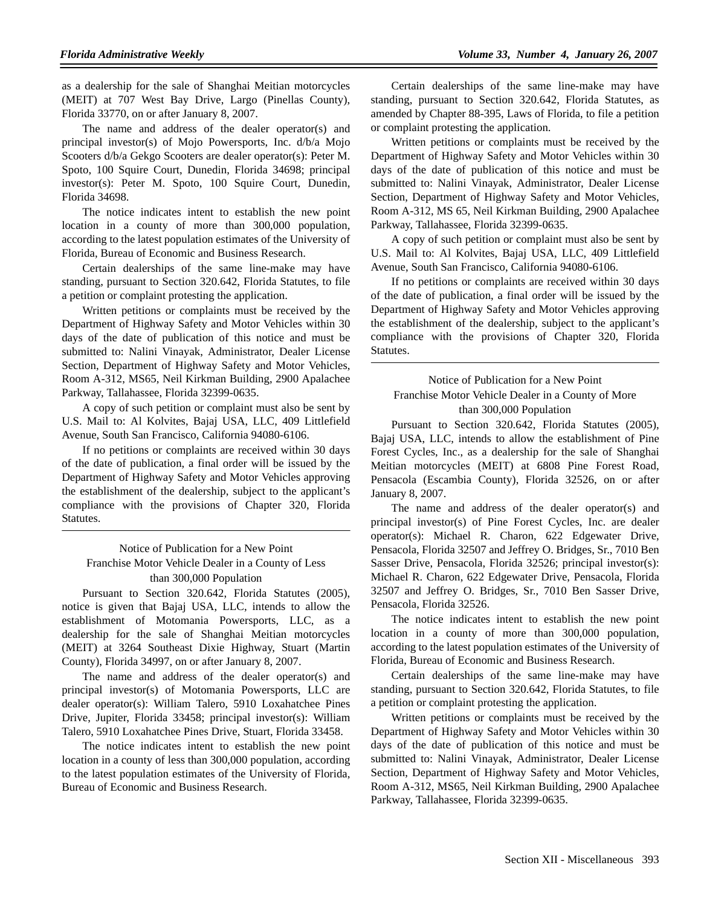as a dealership for the sale of Shanghai Meitian motorcycles (MEIT) at 707 West Bay Drive, Largo (Pinellas County), Florida 33770, on or after January 8, 2007.

The name and address of the dealer operator(s) and principal investor(s) of Mojo Powersports, Inc. d/b/a Mojo Scooters d/b/a Gekgo Scooters are dealer operator(s): Peter M. Spoto, 100 Squire Court, Dunedin, Florida 34698; principal investor(s): Peter M. Spoto, 100 Squire Court, Dunedin, Florida 34698.

The notice indicates intent to establish the new point location in a county of more than 300,000 population, according to the latest population estimates of the University of Florida, Bureau of Economic and Business Research.

Certain dealerships of the same line-make may have standing, pursuant to Section 320.642, Florida Statutes, to file a petition or complaint protesting the application.

Written petitions or complaints must be received by the Department of Highway Safety and Motor Vehicles within 30 days of the date of publication of this notice and must be submitted to: Nalini Vinayak, Administrator, Dealer License Section, Department of Highway Safety and Motor Vehicles, Room A-312, MS65, Neil Kirkman Building, 2900 Apalachee Parkway, Tallahassee, Florida 32399-0635.

A copy of such petition or complaint must also be sent by U.S. Mail to: Al Kolvites, Bajaj USA, LLC, 409 Littlefield Avenue, South San Francisco, California 94080-6106.

If no petitions or complaints are received within 30 days of the date of publication, a final order will be issued by the Department of Highway Safety and Motor Vehicles approving the establishment of the dealership, subject to the applicant's compliance with the provisions of Chapter 320, Florida Statutes.

### Notice of Publication for a New Point Franchise Motor Vehicle Dealer in a County of Less than 300,000 Population

Pursuant to Section 320.642, Florida Statutes (2005), notice is given that Bajaj USA, LLC, intends to allow the establishment of Motomania Powersports, LLC, as a dealership for the sale of Shanghai Meitian motorcycles (MEIT) at 3264 Southeast Dixie Highway, Stuart (Martin County), Florida 34997, on or after January 8, 2007.

The name and address of the dealer operator(s) and principal investor(s) of Motomania Powersports, LLC are dealer operator(s): William Talero, 5910 Loxahatchee Pines Drive, Jupiter, Florida 33458; principal investor(s): William Talero, 5910 Loxahatchee Pines Drive, Stuart, Florida 33458.

The notice indicates intent to establish the new point location in a county of less than 300,000 population, according to the latest population estimates of the University of Florida, Bureau of Economic and Business Research.

Certain dealerships of the same line-make may have standing, pursuant to Section 320.642, Florida Statutes, as amended by Chapter 88-395, Laws of Florida, to file a petition or complaint protesting the application.

Written petitions or complaints must be received by the Department of Highway Safety and Motor Vehicles within 30 days of the date of publication of this notice and must be submitted to: Nalini Vinayak, Administrator, Dealer License Section, Department of Highway Safety and Motor Vehicles, Room A-312, MS 65, Neil Kirkman Building, 2900 Apalachee Parkway, Tallahassee, Florida 32399-0635.

A copy of such petition or complaint must also be sent by U.S. Mail to: Al Kolvites, Bajaj USA, LLC, 409 Littlefield Avenue, South San Francisco, California 94080-6106.

If no petitions or complaints are received within 30 days of the date of publication, a final order will be issued by the Department of Highway Safety and Motor Vehicles approving the establishment of the dealership, subject to the applicant's compliance with the provisions of Chapter 320, Florida Statutes.

### Notice of Publication for a New Point Franchise Motor Vehicle Dealer in a County of More than 300,000 Population

Pursuant to Section 320.642, Florida Statutes (2005), Bajaj USA, LLC, intends to allow the establishment of Pine Forest Cycles, Inc., as a dealership for the sale of Shanghai Meitian motorcycles (MEIT) at 6808 Pine Forest Road, Pensacola (Escambia County), Florida 32526, on or after January 8, 2007.

The name and address of the dealer operator(s) and principal investor(s) of Pine Forest Cycles, Inc. are dealer operator(s): Michael R. Charon, 622 Edgewater Drive, Pensacola, Florida 32507 and Jeffrey O. Bridges, Sr., 7010 Ben Sasser Drive, Pensacola, Florida 32526; principal investor(s): Michael R. Charon, 622 Edgewater Drive, Pensacola, Florida 32507 and Jeffrey O. Bridges, Sr., 7010 Ben Sasser Drive, Pensacola, Florida 32526.

The notice indicates intent to establish the new point location in a county of more than 300,000 population, according to the latest population estimates of the University of Florida, Bureau of Economic and Business Research.

Certain dealerships of the same line-make may have standing, pursuant to Section 320.642, Florida Statutes, to file a petition or complaint protesting the application.

Written petitions or complaints must be received by the Department of Highway Safety and Motor Vehicles within 30 days of the date of publication of this notice and must be submitted to: Nalini Vinayak, Administrator, Dealer License Section, Department of Highway Safety and Motor Vehicles, Room A-312, MS65, Neil Kirkman Building, 2900 Apalachee Parkway, Tallahassee, Florida 32399-0635.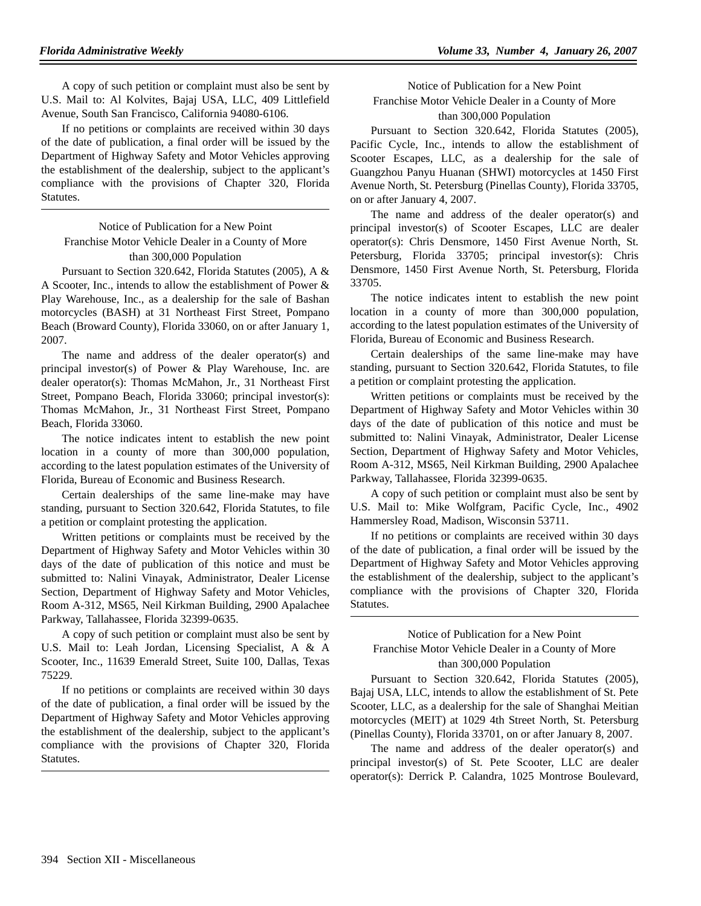A copy of such petition or complaint must also be sent by U.S. Mail to: Al Kolvites, Bajaj USA, LLC, 409 Littlefield Avenue, South San Francisco, California 94080-6106.

If no petitions or complaints are received within 30 days of the date of publication, a final order will be issued by the Department of Highway Safety and Motor Vehicles approving the establishment of the dealership, subject to the applicant's compliance with the provisions of Chapter 320, Florida Statutes.

# Notice of Publication for a New Point Franchise Motor Vehicle Dealer in a County of More than 300,000 Population

Pursuant to Section 320.642, Florida Statutes (2005), A & A Scooter, Inc., intends to allow the establishment of Power & Play Warehouse, Inc., as a dealership for the sale of Bashan motorcycles (BASH) at 31 Northeast First Street, Pompano Beach (Broward County), Florida 33060, on or after January 1, 2007.

The name and address of the dealer operator(s) and principal investor(s) of Power & Play Warehouse, Inc. are dealer operator(s): Thomas McMahon, Jr., 31 Northeast First Street, Pompano Beach, Florida 33060; principal investor(s): Thomas McMahon, Jr., 31 Northeast First Street, Pompano Beach, Florida 33060.

The notice indicates intent to establish the new point location in a county of more than 300,000 population, according to the latest population estimates of the University of Florida, Bureau of Economic and Business Research.

Certain dealerships of the same line-make may have standing, pursuant to Section 320.642, Florida Statutes, to file a petition or complaint protesting the application.

Written petitions or complaints must be received by the Department of Highway Safety and Motor Vehicles within 30 days of the date of publication of this notice and must be submitted to: Nalini Vinayak, Administrator, Dealer License Section, Department of Highway Safety and Motor Vehicles, Room A-312, MS65, Neil Kirkman Building, 2900 Apalachee Parkway, Tallahassee, Florida 32399-0635.

A copy of such petition or complaint must also be sent by U.S. Mail to: Leah Jordan, Licensing Specialist, A & A Scooter, Inc., 11639 Emerald Street, Suite 100, Dallas, Texas 75229.

If no petitions or complaints are received within 30 days of the date of publication, a final order will be issued by the Department of Highway Safety and Motor Vehicles approving the establishment of the dealership, subject to the applicant's compliance with the provisions of Chapter 320, Florida Statutes.

Notice of Publication for a New Point Franchise Motor Vehicle Dealer in a County of More than 300,000 Population

Pursuant to Section 320.642, Florida Statutes (2005), Pacific Cycle, Inc., intends to allow the establishment of Scooter Escapes, LLC, as a dealership for the sale of Guangzhou Panyu Huanan (SHWI) motorcycles at 1450 First Avenue North, St. Petersburg (Pinellas County), Florida 33705, on or after January 4, 2007.

The name and address of the dealer operator(s) and principal investor(s) of Scooter Escapes, LLC are dealer operator(s): Chris Densmore, 1450 First Avenue North, St. Petersburg, Florida 33705; principal investor(s): Chris Densmore, 1450 First Avenue North, St. Petersburg, Florida 33705.

The notice indicates intent to establish the new point location in a county of more than 300,000 population, according to the latest population estimates of the University of Florida, Bureau of Economic and Business Research.

Certain dealerships of the same line-make may have standing, pursuant to Section 320.642, Florida Statutes, to file a petition or complaint protesting the application.

Written petitions or complaints must be received by the Department of Highway Safety and Motor Vehicles within 30 days of the date of publication of this notice and must be submitted to: Nalini Vinayak, Administrator, Dealer License Section, Department of Highway Safety and Motor Vehicles, Room A-312, MS65, Neil Kirkman Building, 2900 Apalachee Parkway, Tallahassee, Florida 32399-0635.

A copy of such petition or complaint must also be sent by U.S. Mail to: Mike Wolfgram, Pacific Cycle, Inc., 4902 Hammersley Road, Madison, Wisconsin 53711.

If no petitions or complaints are received within 30 days of the date of publication, a final order will be issued by the Department of Highway Safety and Motor Vehicles approving the establishment of the dealership, subject to the applicant's compliance with the provisions of Chapter 320, Florida Statutes.

Notice of Publication for a New Point Franchise Motor Vehicle Dealer in a County of More than 300,000 Population

Pursuant to Section 320.642, Florida Statutes (2005), Bajaj USA, LLC, intends to allow the establishment of St. Pete Scooter, LLC, as a dealership for the sale of Shanghai Meitian motorcycles (MEIT) at 1029 4th Street North, St. Petersburg (Pinellas County), Florida 33701, on or after January 8, 2007.

The name and address of the dealer operator(s) and principal investor(s) of St. Pete Scooter, LLC are dealer operator(s): Derrick P. Calandra, 1025 Montrose Boulevard,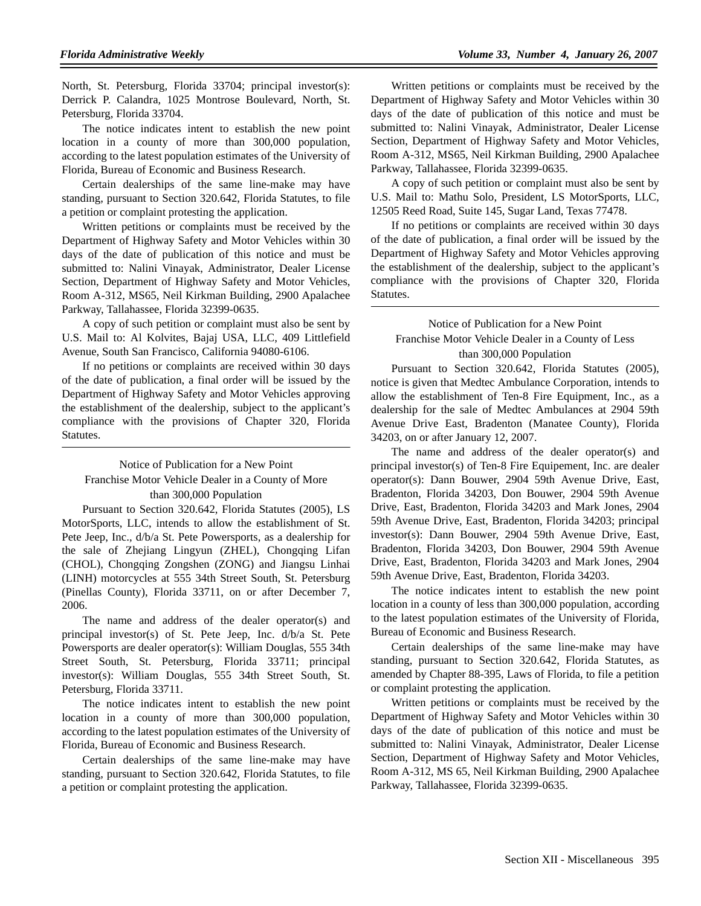North, St. Petersburg, Florida 33704; principal investor(s): Derrick P. Calandra, 1025 Montrose Boulevard, North, St. Petersburg, Florida 33704.

The notice indicates intent to establish the new point location in a county of more than 300,000 population, according to the latest population estimates of the University of Florida, Bureau of Economic and Business Research.

Certain dealerships of the same line-make may have standing, pursuant to Section 320.642, Florida Statutes, to file a petition or complaint protesting the application.

Written petitions or complaints must be received by the Department of Highway Safety and Motor Vehicles within 30 days of the date of publication of this notice and must be submitted to: Nalini Vinayak, Administrator, Dealer License Section, Department of Highway Safety and Motor Vehicles, Room A-312, MS65, Neil Kirkman Building, 2900 Apalachee Parkway, Tallahassee, Florida 32399-0635.

A copy of such petition or complaint must also be sent by U.S. Mail to: Al Kolvites, Bajaj USA, LLC, 409 Littlefield Avenue, South San Francisco, California 94080-6106.

If no petitions or complaints are received within 30 days of the date of publication, a final order will be issued by the Department of Highway Safety and Motor Vehicles approving the establishment of the dealership, subject to the applicant's compliance with the provisions of Chapter 320, Florida Statutes.

# Notice of Publication for a New Point Franchise Motor Vehicle Dealer in a County of More than 300,000 Population

Pursuant to Section 320.642, Florida Statutes (2005), LS MotorSports, LLC, intends to allow the establishment of St. Pete Jeep, Inc., d/b/a St. Pete Powersports, as a dealership for the sale of Zhejiang Lingyun (ZHEL), Chongqing Lifan (CHOL), Chongqing Zongshen (ZONG) and Jiangsu Linhai (LINH) motorcycles at 555 34th Street South, St. Petersburg (Pinellas County), Florida 33711, on or after December 7, 2006.

The name and address of the dealer operator(s) and principal investor(s) of St. Pete Jeep, Inc. d/b/a St. Pete Powersports are dealer operator(s): William Douglas, 555 34th Street South, St. Petersburg, Florida 33711; principal investor(s): William Douglas, 555 34th Street South, St. Petersburg, Florida 33711.

The notice indicates intent to establish the new point location in a county of more than 300,000 population, according to the latest population estimates of the University of Florida, Bureau of Economic and Business Research.

Certain dealerships of the same line-make may have standing, pursuant to Section 320.642, Florida Statutes, to file a petition or complaint protesting the application.

Written petitions or complaints must be received by the Department of Highway Safety and Motor Vehicles within 30 days of the date of publication of this notice and must be submitted to: Nalini Vinayak, Administrator, Dealer License Section, Department of Highway Safety and Motor Vehicles, Room A-312, MS65, Neil Kirkman Building, 2900 Apalachee Parkway, Tallahassee, Florida 32399-0635.

A copy of such petition or complaint must also be sent by U.S. Mail to: Mathu Solo, President, LS MotorSports, LLC, 12505 Reed Road, Suite 145, Sugar Land, Texas 77478.

If no petitions or complaints are received within 30 days of the date of publication, a final order will be issued by the Department of Highway Safety and Motor Vehicles approving the establishment of the dealership, subject to the applicant's compliance with the provisions of Chapter 320, Florida Statutes.

# Notice of Publication for a New Point Franchise Motor Vehicle Dealer in a County of Less than 300,000 Population

Pursuant to Section 320.642, Florida Statutes (2005), notice is given that Medtec Ambulance Corporation, intends to allow the establishment of Ten-8 Fire Equipment, Inc., as a dealership for the sale of Medtec Ambulances at 2904 59th Avenue Drive East, Bradenton (Manatee County), Florida 34203, on or after January 12, 2007.

The name and address of the dealer operator(s) and principal investor(s) of Ten-8 Fire Equipement, Inc. are dealer operator(s): Dann Bouwer, 2904 59th Avenue Drive, East, Bradenton, Florida 34203, Don Bouwer, 2904 59th Avenue Drive, East, Bradenton, Florida 34203 and Mark Jones, 2904 59th Avenue Drive, East, Bradenton, Florida 34203; principal investor(s): Dann Bouwer, 2904 59th Avenue Drive, East, Bradenton, Florida 34203, Don Bouwer, 2904 59th Avenue Drive, East, Bradenton, Florida 34203 and Mark Jones, 2904 59th Avenue Drive, East, Bradenton, Florida 34203.

The notice indicates intent to establish the new point location in a county of less than 300,000 population, according to the latest population estimates of the University of Florida, Bureau of Economic and Business Research.

Certain dealerships of the same line-make may have standing, pursuant to Section 320.642, Florida Statutes, as amended by Chapter 88-395, Laws of Florida, to file a petition or complaint protesting the application.

Written petitions or complaints must be received by the Department of Highway Safety and Motor Vehicles within 30 days of the date of publication of this notice and must be submitted to: Nalini Vinayak, Administrator, Dealer License Section, Department of Highway Safety and Motor Vehicles, Room A-312, MS 65, Neil Kirkman Building, 2900 Apalachee Parkway, Tallahassee, Florida 32399-0635.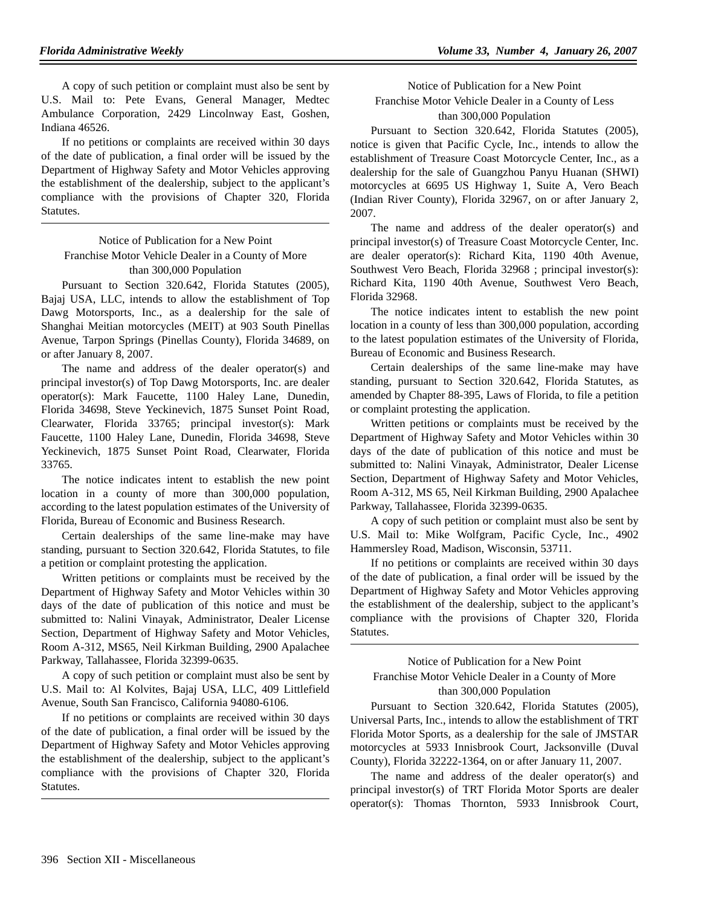A copy of such petition or complaint must also be sent by U.S. Mail to: Pete Evans, General Manager, Medtec Ambulance Corporation, 2429 Lincolnway East, Goshen, Indiana 46526.

If no petitions or complaints are received within 30 days of the date of publication, a final order will be issued by the Department of Highway Safety and Motor Vehicles approving the establishment of the dealership, subject to the applicant's compliance with the provisions of Chapter 320, Florida Statutes.

# Notice of Publication for a New Point Franchise Motor Vehicle Dealer in a County of More than 300,000 Population

Pursuant to Section 320.642, Florida Statutes (2005), Bajaj USA, LLC, intends to allow the establishment of Top Dawg Motorsports, Inc., as a dealership for the sale of Shanghai Meitian motorcycles (MEIT) at 903 South Pinellas Avenue, Tarpon Springs (Pinellas County), Florida 34689, on or after January 8, 2007.

The name and address of the dealer operator(s) and principal investor(s) of Top Dawg Motorsports, Inc. are dealer operator(s): Mark Faucette, 1100 Haley Lane, Dunedin, Florida 34698, Steve Yeckinevich, 1875 Sunset Point Road, Clearwater, Florida 33765; principal investor(s): Mark Faucette, 1100 Haley Lane, Dunedin, Florida 34698, Steve Yeckinevich, 1875 Sunset Point Road, Clearwater, Florida 33765.

The notice indicates intent to establish the new point location in a county of more than 300,000 population, according to the latest population estimates of the University of Florida, Bureau of Economic and Business Research.

Certain dealerships of the same line-make may have standing, pursuant to Section 320.642, Florida Statutes, to file a petition or complaint protesting the application.

Written petitions or complaints must be received by the Department of Highway Safety and Motor Vehicles within 30 days of the date of publication of this notice and must be submitted to: Nalini Vinayak, Administrator, Dealer License Section, Department of Highway Safety and Motor Vehicles, Room A-312, MS65, Neil Kirkman Building, 2900 Apalachee Parkway, Tallahassee, Florida 32399-0635.

A copy of such petition or complaint must also be sent by U.S. Mail to: Al Kolvites, Bajaj USA, LLC, 409 Littlefield Avenue, South San Francisco, California 94080-6106.

If no petitions or complaints are received within 30 days of the date of publication, a final order will be issued by the Department of Highway Safety and Motor Vehicles approving the establishment of the dealership, subject to the applicant's compliance with the provisions of Chapter 320, Florida Statutes.

Notice of Publication for a New Point Franchise Motor Vehicle Dealer in a County of Less than 300,000 Population

Pursuant to Section 320.642, Florida Statutes (2005), notice is given that Pacific Cycle, Inc., intends to allow the establishment of Treasure Coast Motorcycle Center, Inc., as a dealership for the sale of Guangzhou Panyu Huanan (SHWI) motorcycles at 6695 US Highway 1, Suite A, Vero Beach (Indian River County), Florida 32967, on or after January 2, 2007.

The name and address of the dealer operator(s) and principal investor(s) of Treasure Coast Motorcycle Center, Inc. are dealer operator(s): Richard Kita, 1190 40th Avenue, Southwest Vero Beach, Florida 32968 ; principal investor(s): Richard Kita, 1190 40th Avenue, Southwest Vero Beach, Florida 32968.

The notice indicates intent to establish the new point location in a county of less than 300,000 population, according to the latest population estimates of the University of Florida, Bureau of Economic and Business Research.

Certain dealerships of the same line-make may have standing, pursuant to Section 320.642, Florida Statutes, as amended by Chapter 88-395, Laws of Florida, to file a petition or complaint protesting the application.

Written petitions or complaints must be received by the Department of Highway Safety and Motor Vehicles within 30 days of the date of publication of this notice and must be submitted to: Nalini Vinayak, Administrator, Dealer License Section, Department of Highway Safety and Motor Vehicles, Room A-312, MS 65, Neil Kirkman Building, 2900 Apalachee Parkway, Tallahassee, Florida 32399-0635.

A copy of such petition or complaint must also be sent by U.S. Mail to: Mike Wolfgram, Pacific Cycle, Inc., 4902 Hammersley Road, Madison, Wisconsin, 53711.

If no petitions or complaints are received within 30 days of the date of publication, a final order will be issued by the Department of Highway Safety and Motor Vehicles approving the establishment of the dealership, subject to the applicant's compliance with the provisions of Chapter 320, Florida Statutes.

# Notice of Publication for a New Point Franchise Motor Vehicle Dealer in a County of More than 300,000 Population

Pursuant to Section 320.642, Florida Statutes (2005), Universal Parts, Inc., intends to allow the establishment of TRT Florida Motor Sports, as a dealership for the sale of JMSTAR motorcycles at 5933 Innisbrook Court, Jacksonville (Duval County), Florida 32222-1364, on or after January 11, 2007.

The name and address of the dealer operator(s) and principal investor(s) of TRT Florida Motor Sports are dealer operator(s): Thomas Thornton, 5933 Innisbrook Court,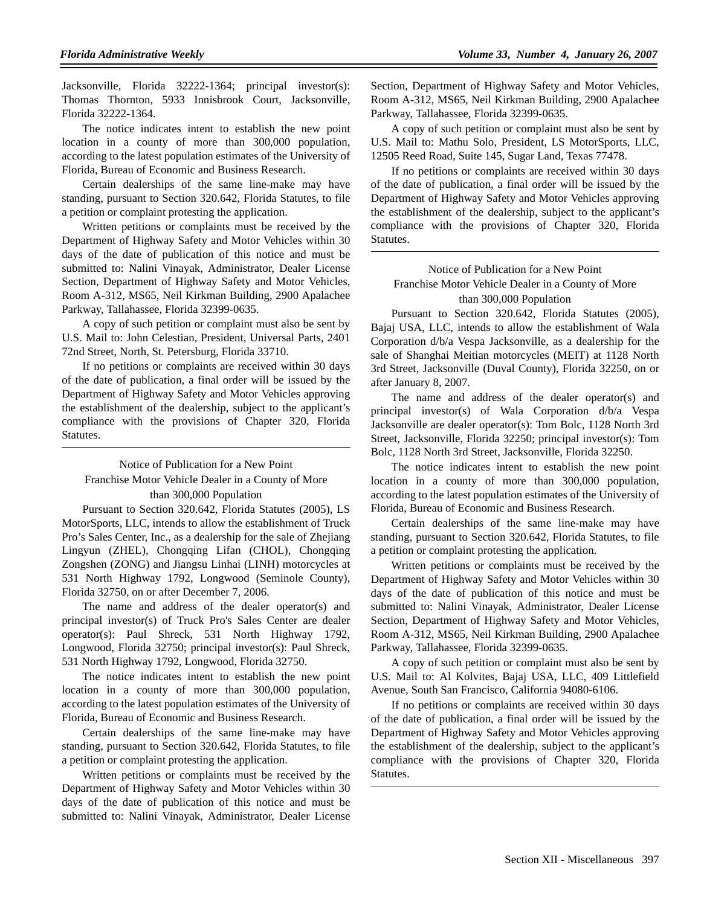Jacksonville, Florida 32222-1364; principal investor(s): Thomas Thornton, 5933 Innisbrook Court, Jacksonville, Florida 32222-1364.

The notice indicates intent to establish the new point location in a county of more than 300,000 population, according to the latest population estimates of the University of Florida, Bureau of Economic and Business Research.

Certain dealerships of the same line-make may have standing, pursuant to Section 320.642, Florida Statutes, to file a petition or complaint protesting the application.

Written petitions or complaints must be received by the Department of Highway Safety and Motor Vehicles within 30 days of the date of publication of this notice and must be submitted to: Nalini Vinayak, Administrator, Dealer License Section, Department of Highway Safety and Motor Vehicles, Room A-312, MS65, Neil Kirkman Building, 2900 Apalachee Parkway, Tallahassee, Florida 32399-0635.

A copy of such petition or complaint must also be sent by U.S. Mail to: John Celestian, President, Universal Parts, 2401 72nd Street, North, St. Petersburg, Florida 33710.

If no petitions or complaints are received within 30 days of the date of publication, a final order will be issued by the Department of Highway Safety and Motor Vehicles approving the establishment of the dealership, subject to the applicant's compliance with the provisions of Chapter 320, Florida Statutes.

# Notice of Publication for a New Point Franchise Motor Vehicle Dealer in a County of More than 300,000 Population

Pursuant to Section 320.642, Florida Statutes (2005), LS MotorSports, LLC, intends to allow the establishment of Truck Pro's Sales Center, Inc., as a dealership for the sale of Zhejiang Lingyun (ZHEL), Chongqing Lifan (CHOL), Chongqing Zongshen (ZONG) and Jiangsu Linhai (LINH) motorcycles at 531 North Highway 1792, Longwood (Seminole County), Florida 32750, on or after December 7, 2006.

The name and address of the dealer operator(s) and principal investor(s) of Truck Pro's Sales Center are dealer operator(s): Paul Shreck, 531 North Highway 1792, Longwood, Florida 32750; principal investor(s): Paul Shreck, 531 North Highway 1792, Longwood, Florida 32750.

The notice indicates intent to establish the new point location in a county of more than 300,000 population, according to the latest population estimates of the University of Florida, Bureau of Economic and Business Research.

Certain dealerships of the same line-make may have standing, pursuant to Section 320.642, Florida Statutes, to file a petition or complaint protesting the application.

Written petitions or complaints must be received by the Department of Highway Safety and Motor Vehicles within 30 days of the date of publication of this notice and must be submitted to: Nalini Vinayak, Administrator, Dealer License

Section, Department of Highway Safety and Motor Vehicles, Room A-312, MS65, Neil Kirkman Building, 2900 Apalachee Parkway, Tallahassee, Florida 32399-0635.

A copy of such petition or complaint must also be sent by U.S. Mail to: Mathu Solo, President, LS MotorSports, LLC, 12505 Reed Road, Suite 145, Sugar Land, Texas 77478.

If no petitions or complaints are received within 30 days of the date of publication, a final order will be issued by the Department of Highway Safety and Motor Vehicles approving the establishment of the dealership, subject to the applicant's compliance with the provisions of Chapter 320, Florida Statutes.

# Notice of Publication for a New Point Franchise Motor Vehicle Dealer in a County of More than 300,000 Population

Pursuant to Section 320.642, Florida Statutes (2005), Bajaj USA, LLC, intends to allow the establishment of Wala Corporation d/b/a Vespa Jacksonville, as a dealership for the sale of Shanghai Meitian motorcycles (MEIT) at 1128 North 3rd Street, Jacksonville (Duval County), Florida 32250, on or after January 8, 2007.

The name and address of the dealer operator(s) and principal investor(s) of Wala Corporation d/b/a Vespa Jacksonville are dealer operator(s): Tom Bolc, 1128 North 3rd Street, Jacksonville, Florida 32250; principal investor(s): Tom Bolc, 1128 North 3rd Street, Jacksonville, Florida 32250.

The notice indicates intent to establish the new point location in a county of more than 300,000 population, according to the latest population estimates of the University of Florida, Bureau of Economic and Business Research.

Certain dealerships of the same line-make may have standing, pursuant to Section 320.642, Florida Statutes, to file a petition or complaint protesting the application.

Written petitions or complaints must be received by the Department of Highway Safety and Motor Vehicles within 30 days of the date of publication of this notice and must be submitted to: Nalini Vinayak, Administrator, Dealer License Section, Department of Highway Safety and Motor Vehicles, Room A-312, MS65, Neil Kirkman Building, 2900 Apalachee Parkway, Tallahassee, Florida 32399-0635.

A copy of such petition or complaint must also be sent by U.S. Mail to: Al Kolvites, Bajaj USA, LLC, 409 Littlefield Avenue, South San Francisco, California 94080-6106.

If no petitions or complaints are received within 30 days of the date of publication, a final order will be issued by the Department of Highway Safety and Motor Vehicles approving the establishment of the dealership, subject to the applicant's compliance with the provisions of Chapter 320, Florida Statutes.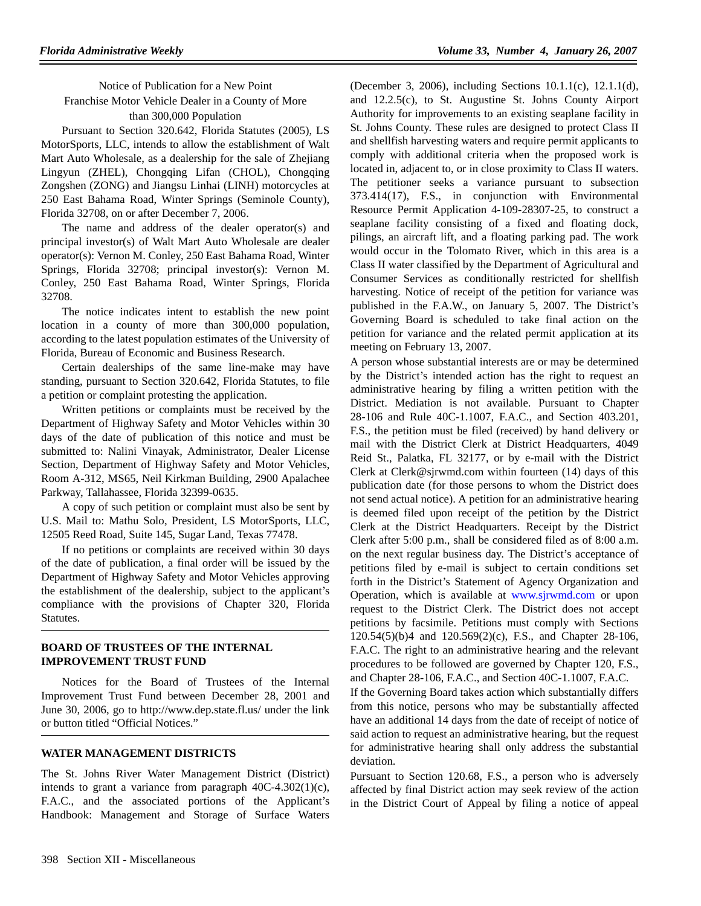Notice of Publication for a New Point Franchise Motor Vehicle Dealer in a County of More than 300,000 Population

Pursuant to Section 320.642, Florida Statutes (2005), LS MotorSports, LLC, intends to allow the establishment of Walt Mart Auto Wholesale, as a dealership for the sale of Zhejiang Lingyun (ZHEL), Chongqing Lifan (CHOL), Chongqing Zongshen (ZONG) and Jiangsu Linhai (LINH) motorcycles at 250 East Bahama Road, Winter Springs (Seminole County), Florida 32708, on or after December 7, 2006.

The name and address of the dealer operator(s) and principal investor(s) of Walt Mart Auto Wholesale are dealer operator(s): Vernon M. Conley, 250 East Bahama Road, Winter Springs, Florida 32708; principal investor(s): Vernon M. Conley, 250 East Bahama Road, Winter Springs, Florida 32708.

The notice indicates intent to establish the new point location in a county of more than 300,000 population, according to the latest population estimates of the University of Florida, Bureau of Economic and Business Research.

Certain dealerships of the same line-make may have standing, pursuant to Section 320.642, Florida Statutes, to file a petition or complaint protesting the application.

Written petitions or complaints must be received by the Department of Highway Safety and Motor Vehicles within 30 days of the date of publication of this notice and must be submitted to: Nalini Vinayak, Administrator, Dealer License Section, Department of Highway Safety and Motor Vehicles, Room A-312, MS65, Neil Kirkman Building, 2900 Apalachee Parkway, Tallahassee, Florida 32399-0635.

A copy of such petition or complaint must also be sent by U.S. Mail to: Mathu Solo, President, LS MotorSports, LLC, 12505 Reed Road, Suite 145, Sugar Land, Texas 77478.

If no petitions or complaints are received within 30 days of the date of publication, a final order will be issued by the Department of Highway Safety and Motor Vehicles approving the establishment of the dealership, subject to the applicant's compliance with the provisions of Chapter 320, Florida Statutes.

#### **BOARD OF TRUSTEES OF THE INTERNAL IMPROVEMENT TRUST FUND**

Notices for the Board of Trustees of the Internal Improvement Trust Fund between December 28, 2001 and June 30, 2006, go to http://www.dep.state.fl.us/ under the link or button titled "Official Notices."

### **WATER MANAGEMENT DISTRICTS**

The St. Johns River Water Management District (District) intends to grant a variance from paragraph 40C-4.302(1)(c), F.A.C., and the associated portions of the Applicant's Handbook: Management and Storage of Surface Waters

(December 3, 2006), including Sections 10.1.1(c), 12.1.1(d), and 12.2.5(c), to St. Augustine St. Johns County Airport Authority for improvements to an existing seaplane facility in St. Johns County. These rules are designed to protect Class II and shellfish harvesting waters and require permit applicants to comply with additional criteria when the proposed work is located in, adjacent to, or in close proximity to Class II waters. The petitioner seeks a variance pursuant to subsection 373.414(17), F.S., in conjunction with Environmental Resource Permit Application 4-109-28307-25, to construct a seaplane facility consisting of a fixed and floating dock, pilings, an aircraft lift, and a floating parking pad. The work would occur in the Tolomato River, which in this area is a Class II water classified by the Department of Agricultural and Consumer Services as conditionally restricted for shellfish harvesting. Notice of receipt of the petition for variance was published in the F.A.W., on January 5, 2007. The District's Governing Board is scheduled to take final action on the petition for variance and the related permit application at its meeting on February 13, 2007.

A person whose substantial interests are or may be determined by the District's intended action has the right to request an administrative hearing by filing a written petition with the District. Mediation is not available. Pursuant to Chapter 28-106 and Rule 40C-1.1007, F.A.C., and Section 403.201, F.S., the petition must be filed (received) by hand delivery or mail with the District Clerk at District Headquarters, 4049 Reid St., Palatka, FL 32177, or by e-mail with the District Clerk at Clerk@sjrwmd.com within fourteen (14) days of this publication date (for those persons to whom the District does not send actual notice). A petition for an administrative hearing is deemed filed upon receipt of the petition by the District Clerk at the District Headquarters. Receipt by the District Clerk after 5:00 p.m., shall be considered filed as of 8:00 a.m. on the next regular business day. The District's acceptance of petitions filed by e-mail is subject to certain conditions set forth in the District's Statement of Agency Organization and Operation, which is available at www.sjrwmd.com or upon request to the District Clerk. The District does not accept petitions by facsimile. Petitions must comply with Sections 120.54(5)(b)4 and 120.569(2)(c), F.S., and Chapter 28-106, F.A.C. The right to an administrative hearing and the relevant procedures to be followed are governed by Chapter 120, F.S., and Chapter 28-106, F.A.C., and Section 40C-1.1007, F.A.C.

If the Governing Board takes action which substantially differs from this notice, persons who may be substantially affected have an additional 14 days from the date of receipt of notice of said action to request an administrative hearing, but the request for administrative hearing shall only address the substantial deviation.

Pursuant to Section 120.68, F.S., a person who is adversely affected by final District action may seek review of the action in the District Court of Appeal by filing a notice of appeal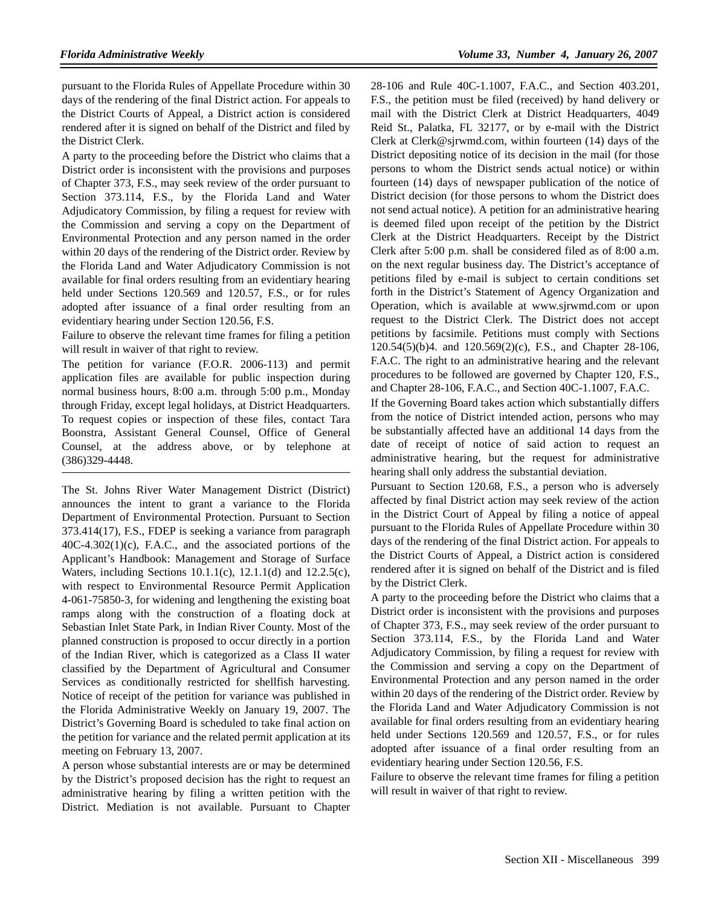pursuant to the Florida Rules of Appellate Procedure within 30 days of the rendering of the final District action. For appeals to the District Courts of Appeal, a District action is considered rendered after it is signed on behalf of the District and filed by the District Clerk.

A party to the proceeding before the District who claims that a District order is inconsistent with the provisions and purposes of Chapter 373, F.S., may seek review of the order pursuant to Section 373.114, F.S., by the Florida Land and Water Adjudicatory Commission, by filing a request for review with the Commission and serving a copy on the Department of Environmental Protection and any person named in the order within 20 days of the rendering of the District order. Review by the Florida Land and Water Adjudicatory Commission is not available for final orders resulting from an evidentiary hearing held under Sections 120.569 and 120.57, F.S., or for rules adopted after issuance of a final order resulting from an evidentiary hearing under Section 120.56, F.S.

Failure to observe the relevant time frames for filing a petition will result in waiver of that right to review.

The petition for variance (F.O.R. 2006-113) and permit application files are available for public inspection during normal business hours, 8:00 a.m. through 5:00 p.m., Monday through Friday, except legal holidays, at District Headquarters. To request copies or inspection of these files, contact Tara Boonstra, Assistant General Counsel, Office of General Counsel, at the address above, or by telephone at (386)329-4448.

The St. Johns River Water Management District (District) announces the intent to grant a variance to the Florida Department of Environmental Protection. Pursuant to Section 373.414(17), F.S., FDEP is seeking a variance from paragraph 40C-4.302(1)(c), F.A.C., and the associated portions of the Applicant's Handbook: Management and Storage of Surface Waters, including Sections 10.1.1(c), 12.1.1(d) and 12.2.5(c), with respect to Environmental Resource Permit Application 4-061-75850-3, for widening and lengthening the existing boat ramps along with the construction of a floating dock at Sebastian Inlet State Park, in Indian River County. Most of the planned construction is proposed to occur directly in a portion of the Indian River, which is categorized as a Class II water classified by the Department of Agricultural and Consumer Services as conditionally restricted for shellfish harvesting. Notice of receipt of the petition for variance was published in the Florida Administrative Weekly on January 19, 2007. The District's Governing Board is scheduled to take final action on the petition for variance and the related permit application at its meeting on February 13, 2007.

A person whose substantial interests are or may be determined by the District's proposed decision has the right to request an administrative hearing by filing a written petition with the District. Mediation is not available. Pursuant to Chapter

28-106 and Rule 40C-1.1007, F.A.C., and Section 403.201, F.S., the petition must be filed (received) by hand delivery or mail with the District Clerk at District Headquarters, 4049 Reid St., Palatka, FL 32177, or by e-mail with the District Clerk at Clerk@sjrwmd.com, within fourteen (14) days of the District depositing notice of its decision in the mail (for those persons to whom the District sends actual notice) or within fourteen (14) days of newspaper publication of the notice of District decision (for those persons to whom the District does not send actual notice). A petition for an administrative hearing is deemed filed upon receipt of the petition by the District Clerk at the District Headquarters. Receipt by the District Clerk after 5:00 p.m. shall be considered filed as of 8:00 a.m. on the next regular business day. The District's acceptance of petitions filed by e-mail is subject to certain conditions set forth in the District's Statement of Agency Organization and Operation, which is available at www.sjrwmd.com or upon request to the District Clerk. The District does not accept petitions by facsimile. Petitions must comply with Sections 120.54(5)(b)4. and 120.569(2)(c), F.S., and Chapter 28-106, F.A.C. The right to an administrative hearing and the relevant procedures to be followed are governed by Chapter 120, F.S., and Chapter 28-106, F.A.C., and Section 40C-1.1007, F.A.C.

If the Governing Board takes action which substantially differs from the notice of District intended action, persons who may be substantially affected have an additional 14 days from the date of receipt of notice of said action to request an administrative hearing, but the request for administrative hearing shall only address the substantial deviation.

Pursuant to Section 120.68, F.S., a person who is adversely affected by final District action may seek review of the action in the District Court of Appeal by filing a notice of appeal pursuant to the Florida Rules of Appellate Procedure within 30 days of the rendering of the final District action. For appeals to the District Courts of Appeal, a District action is considered rendered after it is signed on behalf of the District and is filed by the District Clerk.

A party to the proceeding before the District who claims that a District order is inconsistent with the provisions and purposes of Chapter 373, F.S., may seek review of the order pursuant to Section 373.114, F.S., by the Florida Land and Water Adjudicatory Commission, by filing a request for review with the Commission and serving a copy on the Department of Environmental Protection and any person named in the order within 20 days of the rendering of the District order. Review by the Florida Land and Water Adjudicatory Commission is not available for final orders resulting from an evidentiary hearing held under Sections 120.569 and 120.57, F.S., or for rules adopted after issuance of a final order resulting from an evidentiary hearing under Section 120.56, F.S.

Failure to observe the relevant time frames for filing a petition will result in waiver of that right to review.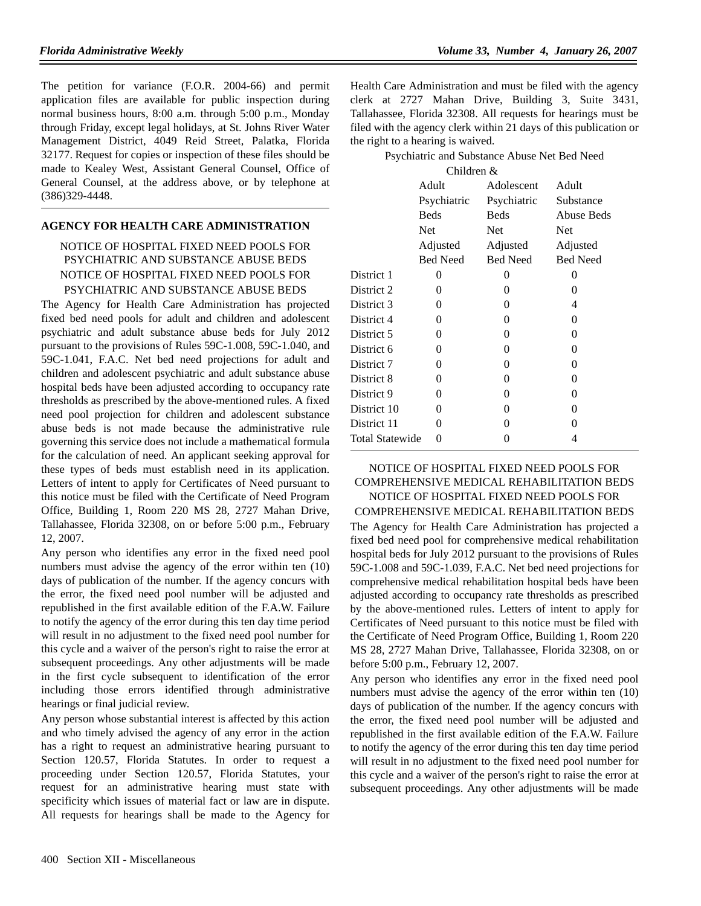The petition for variance (F.O.R. 2004-66) and permit application files are available for public inspection during normal business hours, 8:00 a.m. through 5:00 p.m., Monday through Friday, except legal holidays, at St. Johns River Water Management District, 4049 Reid Street, Palatka, Florida 32177. Request for copies or inspection of these files should be made to Kealey West, Assistant General Counsel, Office of General Counsel, at the address above, or by telephone at (386)329-4448.

# **AGENCY FOR HEALTH CARE ADMINISTRATION**

# NOTICE OF HOSPITAL FIXED NEED POOLS FOR PSYCHIATRIC AND SUBSTANCE ABUSE BEDS NOTICE OF HOSPITAL FIXED NEED POOLS FOR PSYCHIATRIC AND SUBSTANCE ABUSE BEDS

The Agency for Health Care Administration has projected fixed bed need pools for adult and children and adolescent psychiatric and adult substance abuse beds for July 2012 pursuant to the provisions of Rules 59C-1.008, 59C-1.040, and 59C-1.041, F.A.C. Net bed need projections for adult and children and adolescent psychiatric and adult substance abuse hospital beds have been adjusted according to occupancy rate thresholds as prescribed by the above-mentioned rules. A fixed need pool projection for children and adolescent substance abuse beds is not made because the administrative rule governing this service does not include a mathematical formula for the calculation of need. An applicant seeking approval for these types of beds must establish need in its application. Letters of intent to apply for Certificates of Need pursuant to this notice must be filed with the Certificate of Need Program Office, Building 1, Room 220 MS 28, 2727 Mahan Drive, Tallahassee, Florida 32308, on or before 5:00 p.m., February 12, 2007.

Any person who identifies any error in the fixed need pool numbers must advise the agency of the error within ten (10) days of publication of the number. If the agency concurs with the error, the fixed need pool number will be adjusted and republished in the first available edition of the F.A.W. Failure to notify the agency of the error during this ten day time period will result in no adjustment to the fixed need pool number for this cycle and a waiver of the person's right to raise the error at subsequent proceedings. Any other adjustments will be made in the first cycle subsequent to identification of the error including those errors identified through administrative hearings or final judicial review.

Any person whose substantial interest is affected by this action and who timely advised the agency of any error in the action has a right to request an administrative hearing pursuant to Section 120.57, Florida Statutes. In order to request a proceeding under Section 120.57, Florida Statutes, your request for an administrative hearing must state with specificity which issues of material fact or law are in dispute. All requests for hearings shall be made to the Agency for Health Care Administration and must be filed with the agency clerk at 2727 Mahan Drive, Building 3, Suite 3431, Tallahassee, Florida 32308. All requests for hearings must be filed with the agency clerk within 21 days of this publication or the right to a hearing is waived.

Psychiatric and Substance Abuse Net Bed Need

| Children &             |             |                 |                 |  |
|------------------------|-------------|-----------------|-----------------|--|
|                        | Adult       | Adolescent      | Adult           |  |
|                        | Psychiatric | Psychiatric     | Substance       |  |
|                        | <b>Beds</b> | <b>Beds</b>     | Abuse Beds      |  |
|                        | <b>Net</b>  | <b>Net</b>      | <b>Net</b>      |  |
|                        | Adjusted    | Adjusted        | Adjusted        |  |
|                        | Bed Need    | <b>Bed Need</b> | <b>Bed Need</b> |  |
| District 1             | 0           | 0               | 0               |  |
| District 2             | $\Omega$    | 0               | 0               |  |
| District 3             | 0           | 0               | 4               |  |
| District 4             | 0           | 0               | 0               |  |
| District 5             | 0           | 0               | 0               |  |
| District 6             | 0           | $\theta$        | $\theta$        |  |
| District 7             | 0           | $\theta$        | 0               |  |
| District 8             | 0           | 0               | 0               |  |
| District 9             | 0           | 0               | 0               |  |
| District 10            | 0           | 0               | 0               |  |
| District 11            | 0           | 0               | 0               |  |
| <b>Total Statewide</b> | $\Omega$    | 0               | 4               |  |
|                        |             |                 |                 |  |

# NOTICE OF HOSPITAL FIXED NEED POOLS FOR COMPREHENSIVE MEDICAL REHABILITATION BEDS NOTICE OF HOSPITAL FIXED NEED POOLS FOR COMPREHENSIVE MEDICAL REHABILITATION BEDS The Agency for Health Care Administration has projected a fixed bed need pool for comprehensive medical rehabilitation hospital beds for July 2012 pursuant to the provisions of Rules 59C-1.008 and 59C-1.039, F.A.C. Net bed need projections for comprehensive medical rehabilitation hospital beds have been adjusted according to occupancy rate thresholds as prescribed by the above-mentioned rules. Letters of intent to apply for

Certificates of Need pursuant to this notice must be filed with the Certificate of Need Program Office, Building 1, Room 220 MS 28, 2727 Mahan Drive, Tallahassee, Florida 32308, on or before 5:00 p.m., February 12, 2007.

Any person who identifies any error in the fixed need pool numbers must advise the agency of the error within ten (10) days of publication of the number. If the agency concurs with the error, the fixed need pool number will be adjusted and republished in the first available edition of the F.A.W. Failure to notify the agency of the error during this ten day time period will result in no adjustment to the fixed need pool number for this cycle and a waiver of the person's right to raise the error at subsequent proceedings. Any other adjustments will be made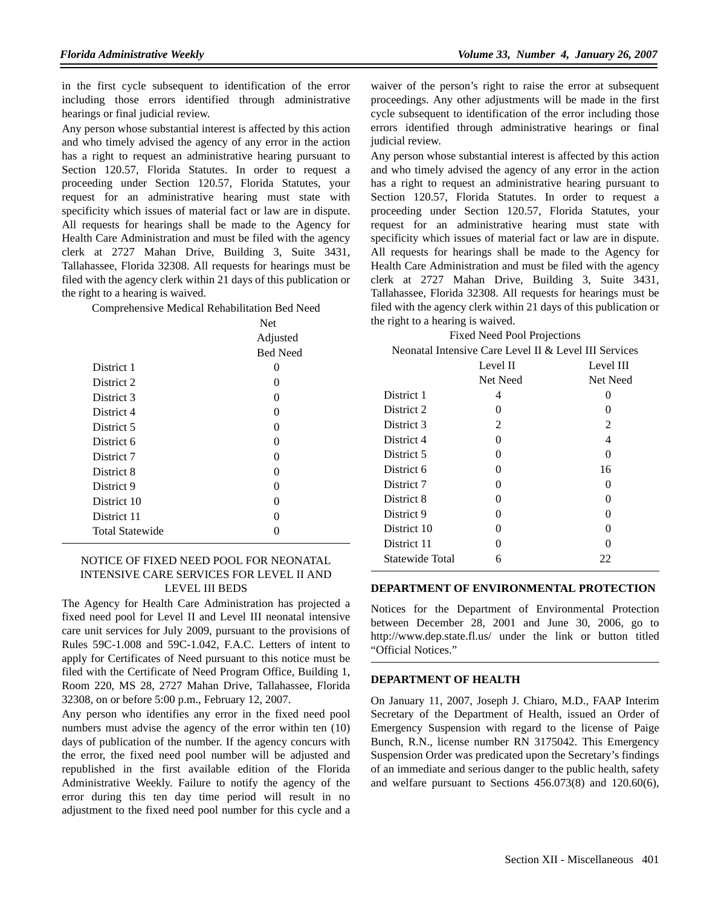in the first cycle subsequent to identification of the error including those errors identified through administrative hearings or final judicial review.

Any person whose substantial interest is affected by this action and who timely advised the agency of any error in the action has a right to request an administrative hearing pursuant to Section 120.57, Florida Statutes. In order to request a proceeding under Section 120.57, Florida Statutes, your request for an administrative hearing must state with specificity which issues of material fact or law are in dispute. All requests for hearings shall be made to the Agency for Health Care Administration and must be filed with the agency clerk at 2727 Mahan Drive, Building 3, Suite 3431, Tallahassee, Florida 32308. All requests for hearings must be filed with the agency clerk within 21 days of this publication or the right to a hearing is waived.

Comprehensive Medical Rehabilitation Bed Need

|                        | <b>Net</b>      |
|------------------------|-----------------|
|                        | Adjusted        |
|                        | <b>Bed Need</b> |
| District 1             | 0               |
| District 2             | 0               |
| District 3             | 0               |
| District 4             | 0               |
| District 5             | 0               |
| District 6             | 0               |
| District 7             | 0               |
| District 8             | 0               |
| District 9             | 0               |
| District 10            | 0               |
| District 11            | 0               |
| <b>Total Statewide</b> |                 |

# NOTICE OF FIXED NEED POOL FOR NEONATAL INTENSIVE CARE SERVICES FOR LEVEL II AND LEVEL III BEDS

The Agency for Health Care Administration has projected a fixed need pool for Level II and Level III neonatal intensive care unit services for July 2009, pursuant to the provisions of Rules 59C-1.008 and 59C-1.042, F.A.C. Letters of intent to apply for Certificates of Need pursuant to this notice must be filed with the Certificate of Need Program Office, Building 1, Room 220, MS 28, 2727 Mahan Drive, Tallahassee, Florida 32308, on or before 5:00 p.m., February 12, 2007.

Any person who identifies any error in the fixed need pool numbers must advise the agency of the error within ten (10) days of publication of the number. If the agency concurs with the error, the fixed need pool number will be adjusted and republished in the first available edition of the Florida Administrative Weekly. Failure to notify the agency of the error during this ten day time period will result in no adjustment to the fixed need pool number for this cycle and a

waiver of the person's right to raise the error at subsequent proceedings. Any other adjustments will be made in the first cycle subsequent to identification of the error including those errors identified through administrative hearings or final judicial review.

Any person whose substantial interest is affected by this action and who timely advised the agency of any error in the action has a right to request an administrative hearing pursuant to Section 120.57, Florida Statutes. In order to request a proceeding under Section 120.57, Florida Statutes, your request for an administrative hearing must state with specificity which issues of material fact or law are in dispute. All requests for hearings shall be made to the Agency for Health Care Administration and must be filed with the agency clerk at 2727 Mahan Drive, Building 3, Suite 3431, Tallahassee, Florida 32308. All requests for hearings must be filed with the agency clerk within 21 days of this publication or the right to a hearing is waived.

| <b>Fixed Need Pool Projections</b>                    |
|-------------------------------------------------------|
| Neonatal Intensive Care Level II & Level III Services |

|                 | Level II | Level III         |
|-----------------|----------|-------------------|
|                 | Net Need | Net Need          |
| District 1      | 4        |                   |
| District 2      | $\Omega$ | $\mathbf{0}$      |
| District 3      | 2        | 2                 |
| District 4      | $\theta$ | 4                 |
| District 5      | $\Omega$ | $\Omega$          |
| District 6      | 0        | 16                |
| District 7      | $\Omega$ | $\mathbf{0}$      |
| District 8      | 0        | $\mathbf{0}$      |
| District 9      | 0        | $\Omega$          |
| District 10     | $\Omega$ | $\mathbf{\Omega}$ |
| District 11     | 0        | 0                 |
| Statewide Total | 6        | 22                |

#### **DEPARTMENT OF ENVIRONMENTAL PROTECTION**

Notices for the Department of Environmental Protection between December 28, 2001 and June 30, 2006, go to http://www.dep.state.fl.us/ under the link or button titled "Official Notices."

### **DEPARTMENT OF HEALTH**

On January 11, 2007, Joseph J. Chiaro, M.D., FAAP Interim Secretary of the Department of Health, issued an Order of Emergency Suspension with regard to the license of Paige Bunch, R.N., license number RN 3175042. This Emergency Suspension Order was predicated upon the Secretary's findings of an immediate and serious danger to the public health, safety and welfare pursuant to Sections 456.073(8) and 120.60(6),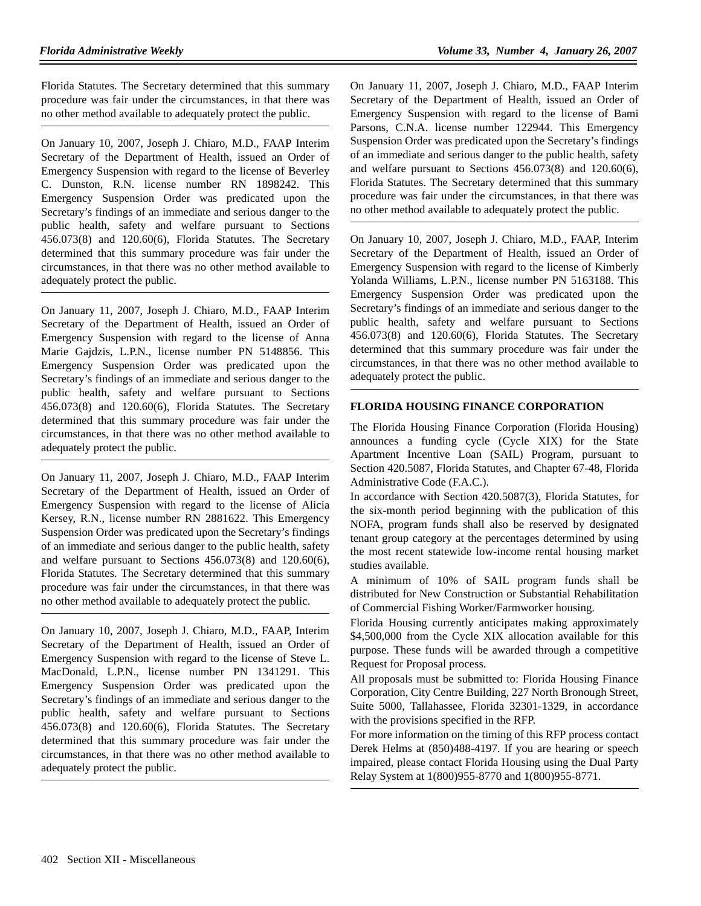Florida Statutes. The Secretary determined that this summary procedure was fair under the circumstances, in that there was no other method available to adequately protect the public.

On January 10, 2007, Joseph J. Chiaro, M.D., FAAP Interim Secretary of the Department of Health, issued an Order of Emergency Suspension with regard to the license of Beverley C. Dunston, R.N. license number RN 1898242. This Emergency Suspension Order was predicated upon the Secretary's findings of an immediate and serious danger to the public health, safety and welfare pursuant to Sections 456.073(8) and 120.60(6), Florida Statutes. The Secretary determined that this summary procedure was fair under the circumstances, in that there was no other method available to adequately protect the public.

On January 11, 2007, Joseph J. Chiaro, M.D., FAAP Interim Secretary of the Department of Health, issued an Order of Emergency Suspension with regard to the license of Anna Marie Gajdzis, L.P.N., license number PN 5148856. This Emergency Suspension Order was predicated upon the Secretary's findings of an immediate and serious danger to the public health, safety and welfare pursuant to Sections 456.073(8) and 120.60(6), Florida Statutes. The Secretary determined that this summary procedure was fair under the circumstances, in that there was no other method available to adequately protect the public.

On January 11, 2007, Joseph J. Chiaro, M.D., FAAP Interim Secretary of the Department of Health, issued an Order of Emergency Suspension with regard to the license of Alicia Kersey, R.N., license number RN 2881622. This Emergency Suspension Order was predicated upon the Secretary's findings of an immediate and serious danger to the public health, safety and welfare pursuant to Sections 456.073(8) and 120.60(6), Florida Statutes. The Secretary determined that this summary procedure was fair under the circumstances, in that there was no other method available to adequately protect the public.

On January 10, 2007, Joseph J. Chiaro, M.D., FAAP, Interim Secretary of the Department of Health, issued an Order of Emergency Suspension with regard to the license of Steve L. MacDonald, L.P.N., license number PN 1341291. This Emergency Suspension Order was predicated upon the Secretary's findings of an immediate and serious danger to the public health, safety and welfare pursuant to Sections 456.073(8) and 120.60(6), Florida Statutes. The Secretary determined that this summary procedure was fair under the circumstances, in that there was no other method available to adequately protect the public.

On January 11, 2007, Joseph J. Chiaro, M.D., FAAP Interim Secretary of the Department of Health, issued an Order of Emergency Suspension with regard to the license of Bami Parsons, C.N.A. license number 122944. This Emergency Suspension Order was predicated upon the Secretary's findings of an immediate and serious danger to the public health, safety and welfare pursuant to Sections 456.073(8) and 120.60(6), Florida Statutes. The Secretary determined that this summary procedure was fair under the circumstances, in that there was no other method available to adequately protect the public.

On January 10, 2007, Joseph J. Chiaro, M.D., FAAP, Interim Secretary of the Department of Health, issued an Order of Emergency Suspension with regard to the license of Kimberly Yolanda Williams, L.P.N., license number PN 5163188. This Emergency Suspension Order was predicated upon the Secretary's findings of an immediate and serious danger to the public health, safety and welfare pursuant to Sections 456.073(8) and 120.60(6), Florida Statutes. The Secretary determined that this summary procedure was fair under the circumstances, in that there was no other method available to adequately protect the public.

# **FLORIDA HOUSING FINANCE CORPORATION**

The Florida Housing Finance Corporation (Florida Housing) announces a funding cycle (Cycle XIX) for the State Apartment Incentive Loan (SAIL) Program, pursuant to Section 420.5087, Florida Statutes, and Chapter 67-48, Florida Administrative Code (F.A.C.).

In accordance with Section 420.5087(3), Florida Statutes, for the six-month period beginning with the publication of this NOFA, program funds shall also be reserved by designated tenant group category at the percentages determined by using the most recent statewide low-income rental housing market studies available.

A minimum of 10% of SAIL program funds shall be distributed for New Construction or Substantial Rehabilitation of Commercial Fishing Worker/Farmworker housing.

Florida Housing currently anticipates making approximately \$4,500,000 from the Cycle XIX allocation available for this purpose. These funds will be awarded through a competitive Request for Proposal process.

All proposals must be submitted to: Florida Housing Finance Corporation, City Centre Building, 227 North Bronough Street, Suite 5000, Tallahassee, Florida 32301-1329, in accordance with the provisions specified in the RFP.

For more information on the timing of this RFP process contact Derek Helms at (850)488-4197. If you are hearing or speech impaired, please contact Florida Housing using the Dual Party Relay System at 1(800)955-8770 and 1(800)955-8771.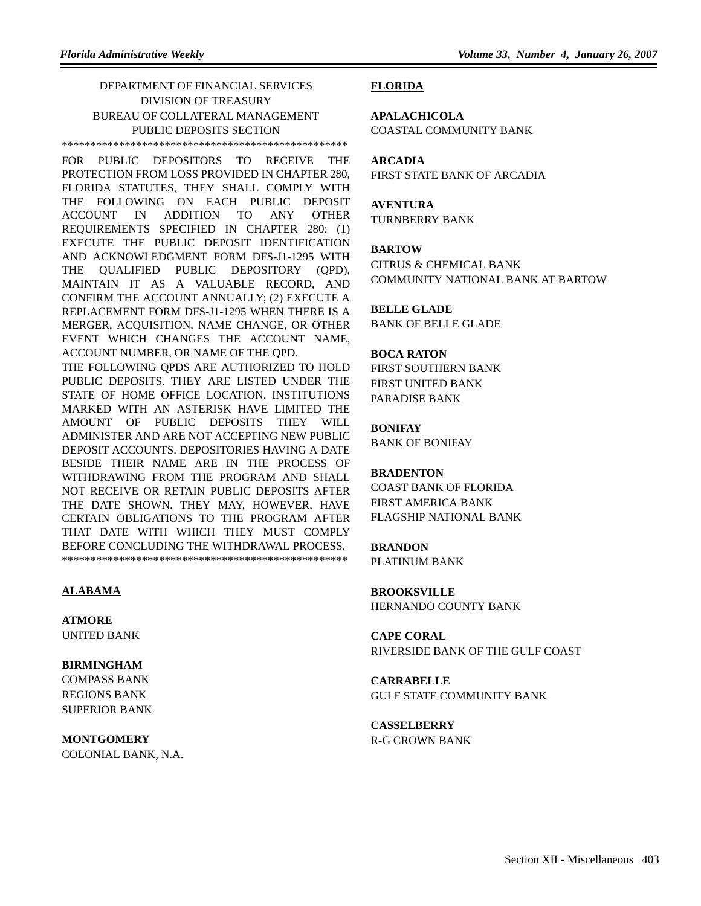#### DEPARTMENT OF FINANCIAL SERVICES DIVISION OF TREASURY BUREAU OF COLLATERAL MANAGEMENT PUBLIC DEPOSITS SECTION \*\*\*\*\*\*\*\*\*\*\*\*\*\*\*\*\*\*\*\*\*\*\*\*\*\*\*\*\*\*\*\*\*\*\*\*\*\*\*\*\*\*\*\*\*\*\*\*\*\*

FOR PUBLIC DEPOSITORS TO RECEIVE THE PROTECTION FROM LOSS PROVIDED IN CHAPTER 280, FLORIDA STATUTES, THEY SHALL COMPLY WITH THE FOLLOWING ON EACH PUBLIC DEPOSIT ACCOUNT IN ADDITION TO ANY OTHER REQUIREMENTS SPECIFIED IN CHAPTER 280: (1) EXECUTE THE PUBLIC DEPOSIT IDENTIFICATION AND ACKNOWLEDGMENT FORM DFS-J1-1295 WITH THE QUALIFIED PUBLIC DEPOSITORY (QPD), MAINTAIN IT AS A VALUABLE RECORD, AND CONFIRM THE ACCOUNT ANNUALLY; (2) EXECUTE A REPLACEMENT FORM DFS-J1-1295 WHEN THERE IS A MERGER, ACQUISITION, NAME CHANGE, OR OTHER EVENT WHICH CHANGES THE ACCOUNT NAME, ACCOUNT NUMBER, OR NAME OF THE QPD. THE FOLLOWING QPDS ARE AUTHORIZED TO HOLD PUBLIC DEPOSITS. THEY ARE LISTED UNDER THE STATE OF HOME OFFICE LOCATION. INSTITUTIONS MARKED WITH AN ASTERISK HAVE LIMITED THE AMOUNT OF PUBLIC DEPOSITS THEY WILL ADMINISTER AND ARE NOT ACCEPTING NEW PUBLIC DEPOSIT ACCOUNTS. DEPOSITORIES HAVING A DATE BESIDE THEIR NAME ARE IN THE PROCESS OF WITHDRAWING FROM THE PROGRAM AND SHALL NOT RECEIVE OR RETAIN PUBLIC DEPOSITS AFTER THE DATE SHOWN. THEY MAY, HOWEVER, HAVE CERTAIN OBLIGATIONS TO THE PROGRAM AFTER THAT DATE WITH WHICH THEY MUST COMPLY BEFORE CONCLUDING THE WITHDRAWAL PROCESS. \*\*\*\*\*\*\*\*\*\*\*\*\*\*\*\*\*\*\*\*\*\*\*\*\*\*\*\*\*\*\*\*\*\*\*\*\*\*\*\*\*\*\*\*\*\*\*\*\*\*

# **ALABAMA**

**ATMORE** UNITED BANK

# **BIRMINGHAM**

COMPASS BANK REGIONS BANK SUPERIOR BANK

## **MONTGOMERY** COLONIAL BANK, N.A.

#### **FLORIDA**

**APALACHICOLA** COASTAL COMMUNITY BANK

# **ARCADIA**

FIRST STATE BANK OF ARCADIA

# **AVENTURA**

TURNBERRY BANK

#### **BARTOW**

CITRUS & CHEMICAL BANK COMMUNITY NATIONAL BANK AT BARTOW

# **BELLE GLADE**

BANK OF BELLE GLADE

#### **BOCA RATON**

FIRST SOUTHERN BANK FIRST UNITED BANK PARADISE BANK

### **BONIFAY**

BANK OF BONIFAY

### **BRADENTON**

COAST BANK OF FLORIDA FIRST AMERICA BANK FLAGSHIP NATIONAL BANK

# **BRANDON**

PLATINUM BANK

**BROOKSVILLE** HERNANDO COUNTY BANK

**CAPE CORAL** RIVERSIDE BANK OF THE GULF COAST

**CARRABELLE** GULF STATE COMMUNITY BANK

**CASSELBERRY** R-G CROWN BANK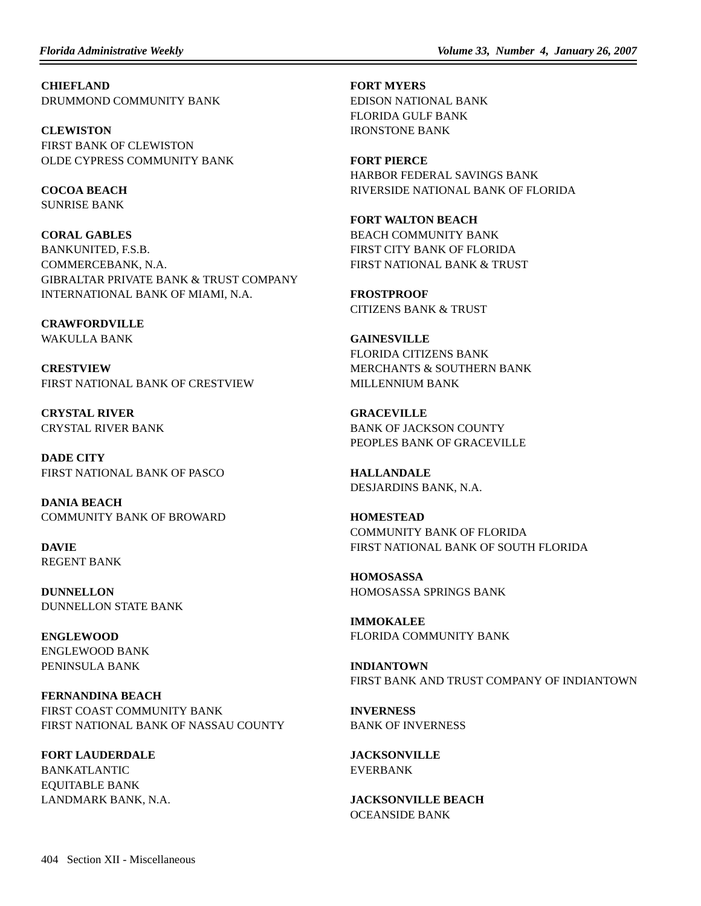**CHIEFLAND** DRUMMOND COMMUNITY BANK

**CLEWISTON** FIRST BANK OF CLEWISTON OLDE CYPRESS COMMUNITY BANK

**COCOA BEACH** SUNRISE BANK

**CORAL GABLES** BANKUNITED, F.S.B. COMMERCEBANK, N.A. GIBRALTAR PRIVATE BANK & TRUST COMPANY INTERNATIONAL BANK OF MIAMI, N.A.

**CRAWFORDVILLE** WAKULLA BANK

**CRESTVIEW** FIRST NATIONAL BANK OF CRESTVIEW

**CRYSTAL RIVER** CRYSTAL RIVER BANK

**DADE CITY** FIRST NATIONAL BANK OF PASCO

**DANIA BEACH** COMMUNITY BANK OF BROWARD

**DAVIE** REGENT BANK

**DUNNELLON** DUNNELLON STATE BANK

**ENGLEWOOD** ENGLEWOOD BANK PENINSULA BANK

**FERNANDINA BEACH** FIRST COAST COMMUNITY BANK FIRST NATIONAL BANK OF NASSAU COUNTY

**FORT LAUDERDALE** BANKATLANTIC EQUITABLE BANK LANDMARK BANK, N.A. **FORT MYERS** EDISON NATIONAL BANK FLORIDA GULF BANK IRONSTONE BANK

**FORT PIERCE** HARBOR FEDERAL SAVINGS BANK RIVERSIDE NATIONAL BANK OF FLORIDA

**FORT WALTON BEACH** BEACH COMMUNITY BANK FIRST CITY BANK OF FLORIDA FIRST NATIONAL BANK & TRUST

**FROSTPROOF** CITIZENS BANK & TRUST

**GAINESVILLE** FLORIDA CITIZENS BANK MERCHANTS & SOUTHERN BANK MILLENNIUM BANK

**GRACEVILLE** BANK OF JACKSON COUNTY PEOPLES BANK OF GRACEVILLE

**HALLANDALE** DESJARDINS BANK, N.A.

**HOMESTEAD** COMMUNITY BANK OF FLORIDA FIRST NATIONAL BANK OF SOUTH FLORIDA

**HOMOSASSA** HOMOSASSA SPRINGS BANK

**IMMOKALEE** FLORIDA COMMUNITY BANK

**INDIANTOWN** FIRST BANK AND TRUST COMPANY OF INDIANTOWN

**INVERNESS** BANK OF INVERNESS

**JACKSONVILLE** EVERBANK

**JACKSONVILLE BEACH** OCEANSIDE BANK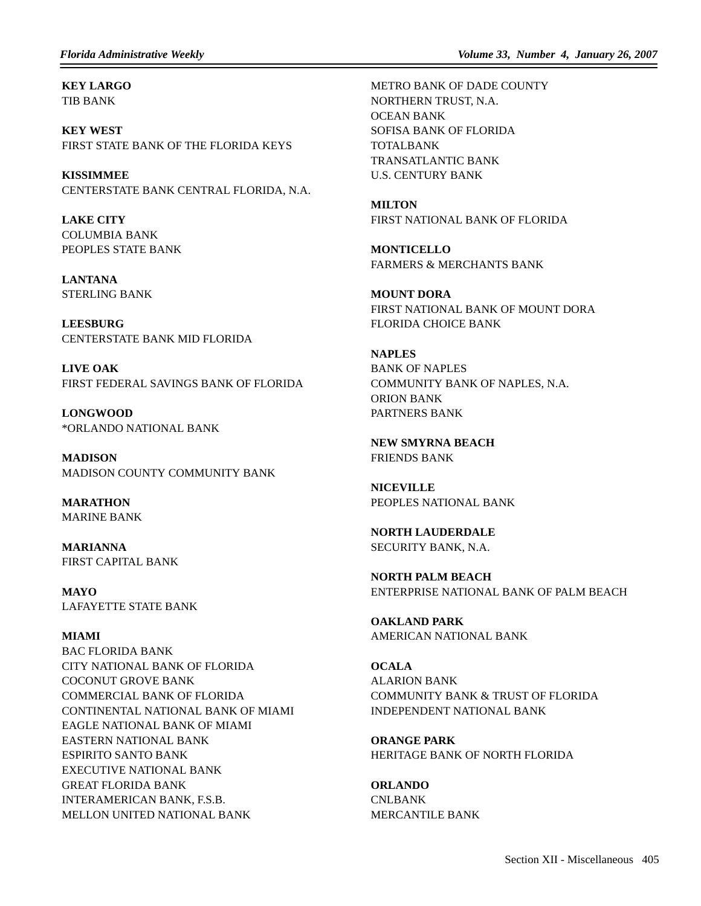**KEY LARGO** TIB BANK

**KEY WEST** FIRST STATE BANK OF THE FLORIDA KEYS

**KISSIMMEE** CENTERSTATE BANK CENTRAL FLORIDA, N.A.

**LAKE CITY** COLUMBIA BANK PEOPLES STATE BANK

**LANTANA** STERLING BANK

**LEESBURG** CENTERSTATE BANK MID FLORIDA

**LIVE OAK** FIRST FEDERAL SAVINGS BANK OF FLORIDA

**LONGWOOD** \*ORLANDO NATIONAL BANK

**MADISON** MADISON COUNTY COMMUNITY BANK

**MARATHON** MARINE BANK

**MARIANNA** FIRST CAPITAL BANK

**MAYO** LAFAYETTE STATE BANK

# **MIAMI**

BAC FLORIDA BANK CITY NATIONAL BANK OF FLORIDA COCONUT GROVE BANK COMMERCIAL BANK OF FLORIDA CONTINENTAL NATIONAL BANK OF MIAMI EAGLE NATIONAL BANK OF MIAMI EASTERN NATIONAL BANK ESPIRITO SANTO BANK EXECUTIVE NATIONAL BANK GREAT FLORIDA BANK INTERAMERICAN BANK, F.S.B. MELLON UNITED NATIONAL BANK

METRO BANK OF DADE COUNTY NORTHERN TRUST, N.A. OCEAN BANK SOFISA BANK OF FLORIDA TOTALBANK TRANSATLANTIC BANK U.S. CENTURY BANK

**MILTON** FIRST NATIONAL BANK OF FLORIDA

**MONTICELLO** FARMERS & MERCHANTS BANK

**MOUNT DORA** FIRST NATIONAL BANK OF MOUNT DORA FLORIDA CHOICE BANK

**NAPLES** BANK OF NAPLES COMMUNITY BANK OF NAPLES, N.A. ORION BANK PARTNERS BANK

**NEW SMYRNA BEACH** FRIENDS BANK

**NICEVILLE** PEOPLES NATIONAL BANK

**NORTH LAUDERDALE** SECURITY BANK, N.A.

**NORTH PALM BEACH** ENTERPRISE NATIONAL BANK OF PALM BEACH

**OAKLAND PARK** AMERICAN NATIONAL BANK

**OCALA** ALARION BANK COMMUNITY BANK & TRUST OF FLORIDA INDEPENDENT NATIONAL BANK

**ORANGE PARK** HERITAGE BANK OF NORTH FLORIDA

**ORLANDO** CNLBANK MERCANTILE BANK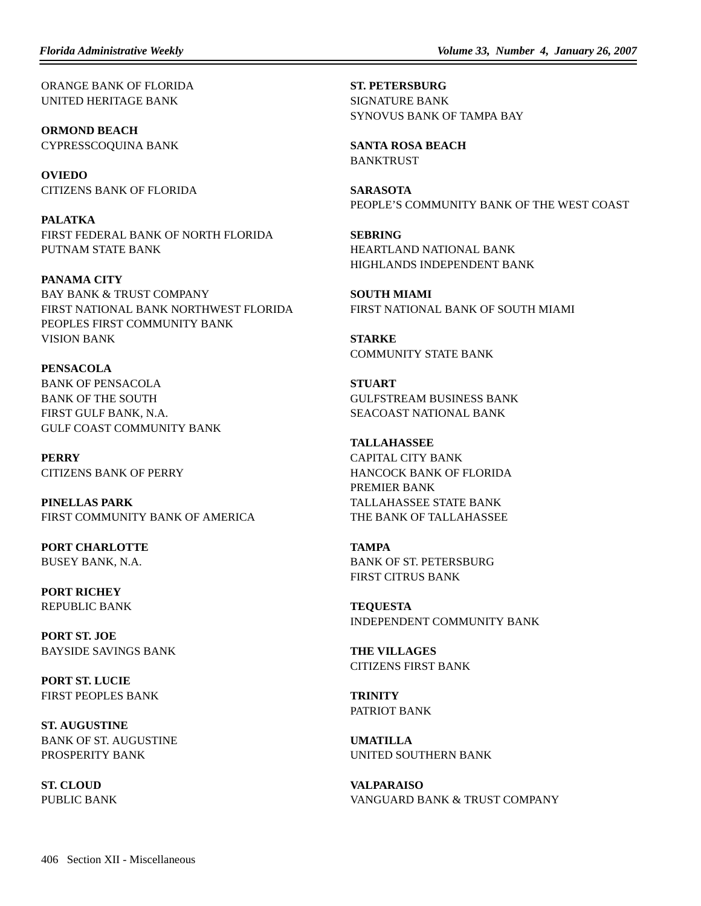ORANGE BANK OF FLORIDA UNITED HERITAGE BANK

**ORMOND BEACH** CYPRESSCOQUINA BANK

**OVIEDO** CITIZENS BANK OF FLORIDA

**PALATKA** FIRST FEDERAL BANK OF NORTH FLORIDA PUTNAM STATE BANK

**PANAMA CITY** BAY BANK & TRUST COMPANY FIRST NATIONAL BANK NORTHWEST FLORIDA PEOPLES FIRST COMMUNITY BANK VISION BANK

**PENSACOLA** BANK OF PENSACOLA BANK OF THE SOUTH FIRST GULF BANK, N.A. GULF COAST COMMUNITY BANK

**PERRY** CITIZENS BANK OF PERRY

**PINELLAS PARK** FIRST COMMUNITY BANK OF AMERICA

**PORT CHARLOTTE** BUSEY BANK, N.A.

**PORT RICHEY** REPUBLIC BANK

**PORT ST. JOE** BAYSIDE SAVINGS BANK

**PORT ST. LUCIE** FIRST PEOPLES BANK

**ST. AUGUSTINE** BANK OF ST. AUGUSTINE PROSPERITY BANK

**ST. CLOUD** PUBLIC BANK **ST. PETERSBURG** SIGNATURE BANK SYNOVUS BANK OF TAMPA BAY

**SANTA ROSA BEACH** BANKTRUST

**SARASOTA** PEOPLE'S COMMUNITY BANK OF THE WEST COAST

**SEBRING** HEARTLAND NATIONAL BANK HIGHLANDS INDEPENDENT BANK

**SOUTH MIAMI** FIRST NATIONAL BANK OF SOUTH MIAMI

**STARKE** COMMUNITY STATE BANK

**STUART** GULFSTREAM BUSINESS BANK SEACOAST NATIONAL BANK

# **TALLAHASSEE**

CAPITAL CITY BANK HANCOCK BANK OF FLORIDA PREMIER BANK TALLAHASSEE STATE BANK THE BANK OF TALLAHASSEE

**TAMPA**

BANK OF ST. PETERSBURG FIRST CITRUS BANK

**TEQUESTA** INDEPENDENT COMMUNITY BANK

**THE VILLAGES** CITIZENS FIRST BANK

**TRINITY** PATRIOT BANK

**UMATILLA** UNITED SOUTHERN BANK

**VALPARAISO** VANGUARD BANK & TRUST COMPANY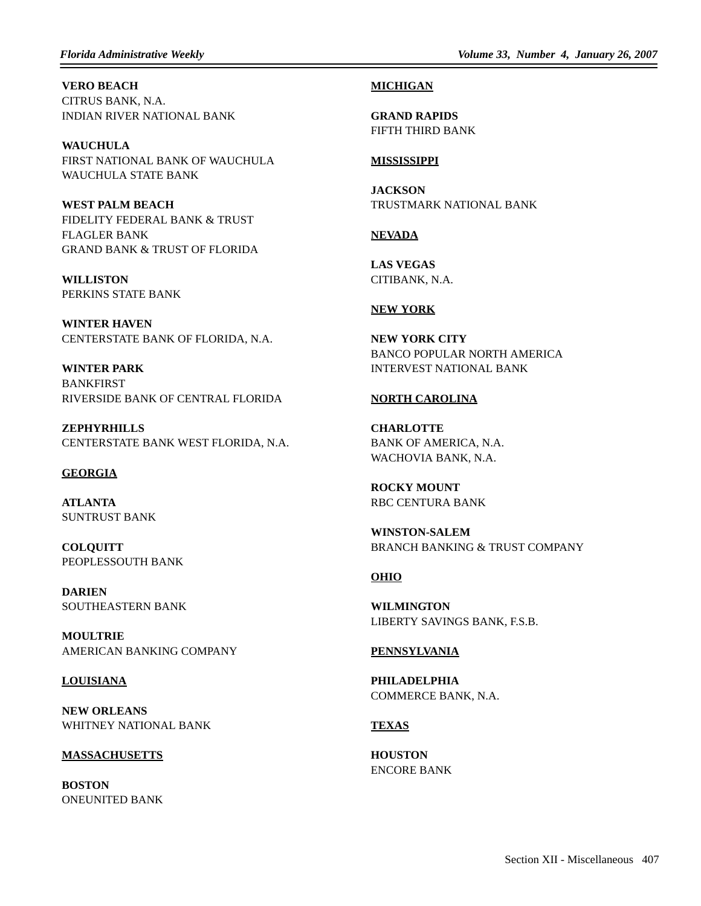*Florida Administrative Weekly Volume 33, Number 4, January 26, 2007*

**VERO BEACH** CITRUS BANK, N.A. INDIAN RIVER NATIONAL BANK

**WAUCHULA** FIRST NATIONAL BANK OF WAUCHULA WAUCHULA STATE BANK

**WEST PALM BEACH** FIDELITY FEDERAL BANK & TRUST FLAGLER BANK GRAND BANK & TRUST OF FLORIDA

**WILLISTON** PERKINS STATE BANK

**WINTER HAVEN** CENTERSTATE BANK OF FLORIDA, N.A.

**WINTER PARK** BANKFIRST RIVERSIDE BANK OF CENTRAL FLORIDA

**ZEPHYRHILLS** CENTERSTATE BANK WEST FLORIDA, N.A.

#### **GEORGIA**

**ATLANTA** SUNTRUST BANK

**COLQUITT** PEOPLESSOUTH BANK

**DARIEN** SOUTHEASTERN BANK

**MOULTRIE** AMERICAN BANKING COMPANY

### **LOUISIANA**

**NEW ORLEANS** WHITNEY NATIONAL BANK

### **MASSACHUSETTS**

**BOSTON** ONEUNITED BANK

#### **MICHIGAN**

**GRAND RAPIDS** FIFTH THIRD BANK

#### **MISSISSIPPI**

**JACKSON** TRUSTMARK NATIONAL BANK

#### **NEVADA**

**LAS VEGAS** CITIBANK, N.A.

#### **NEW YORK**

**NEW YORK CITY** BANCO POPULAR NORTH AMERICA INTERVEST NATIONAL BANK

#### **NORTH CAROLINA**

**CHARLOTTE** BANK OF AMERICA, N.A. WACHOVIA BANK, N.A.

**ROCKY MOUNT** RBC CENTURA BANK

**WINSTON-SALEM** BRANCH BANKING & TRUST COMPANY

### **OHIO**

**WILMINGTON** LIBERTY SAVINGS BANK, F.S.B.

#### **PENNSYLVANIA**

**PHILADELPHIA** COMMERCE BANK, N.A.

#### **TEXAS**

**HOUSTON** ENCORE BANK